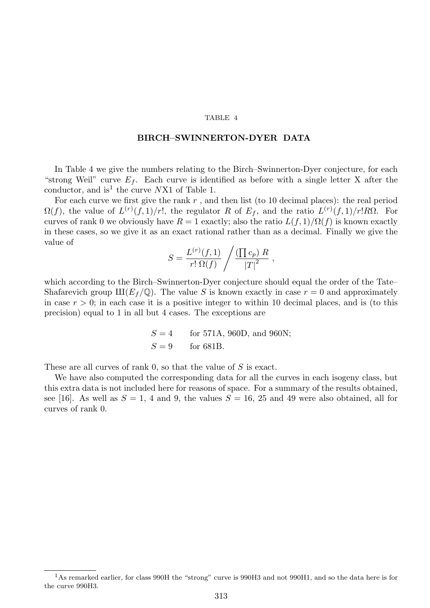## TABLE 4

## BIRCH–SWINNERTON-DYER DATA

In Table 4 we give the numbers relating to the Birch–Swinnerton-Dyer conjecture, for each "strong Weil" curve  $E_f$ . Each curve is identified as before with a single letter X after the conductor, and is<sup>1</sup> the curve  $NX1$  of Table 1.

For each curve we first give the rank  $r$ , and then list (to 10 decimal places): the real period  $\Omega(f)$ , the value of  $L^{(r)}(f,1)/r!$ , the regulator R of  $E_f$ , and the ratio  $L^{(r)}(f,1)/r!R\Omega$ . For curves of rank 0 we obviously have  $R = 1$  exactly; also the ratio  $L(f, 1)/\Omega(f)$  is known exactly in these cases, so we give it as an exact rational rather than as a decimal. Finally we give the value of

$$
S = \frac{L^{(r)}(f,1)}{r! \Omega(f)} / \frac{\left(\prod c_p\right) R}{\left|T\right|^2} ,
$$

which according to the Birch–Swinnerton-Dyer conjecture should equal the order of the Tate– Shafarevich group  $\text{III}(E_f / \mathbb{Q})$ . The value S is known exactly in case  $r = 0$  and approximately in case  $r > 0$ ; in each case it is a positive integer to within 10 decimal places, and is (to this precision) equal to 1 in all but 4 cases. The exceptions are

$$
S = 4
$$
 for 571A, 960D, and 960N;  
 $S = 9$  for 681B.

These are all curves of rank 0, so that the value of S is exact.

We have also computed the corresponding data for all the curves in each isogeny class, but this extra data is not included here for reasons of space. For a summary of the results obtained, see [16]. As well as  $S = 1$ , 4 and 9, the values  $S = 16$ , 25 and 49 were also obtained, all for curves of rank 0.

<sup>&</sup>lt;sup>1</sup>As remarked earlier, for class 990H the "strong" curve is 990H3 and not 990H1, and so the data here is for the curve 990H3.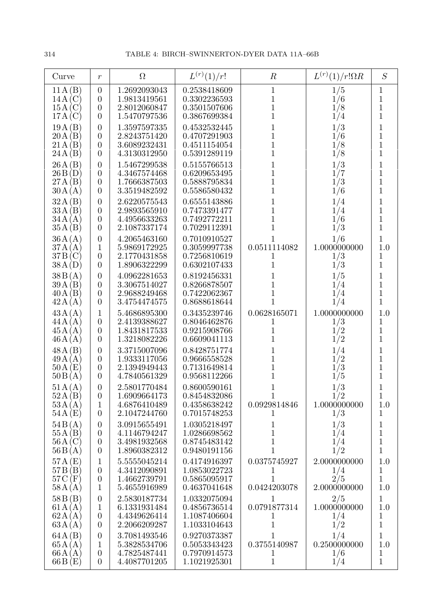| Curve                                | $\,r$                                                                    | $\Omega$                                                     | $L^{(r)}(1)/r!$                                              | $\boldsymbol{R}$                                  | $L^{(r)}(1)/r!\Omega R$                                 | S                                                                 |
|--------------------------------------|--------------------------------------------------------------------------|--------------------------------------------------------------|--------------------------------------------------------------|---------------------------------------------------|---------------------------------------------------------|-------------------------------------------------------------------|
| 11A(B)                               | $\boldsymbol{0}$                                                         | 1.2692093043                                                 | 0.2538418609                                                 | $\,1$                                             | $\frac{1/5}{1/6}$<br>$\frac{1/8}{1/4}$                  | $\mathbf 1$                                                       |
| 14A(C)                               | $\boldsymbol{0}$                                                         | 1.9813419561                                                 | 0.3302236593                                                 | $\mathbf 1$                                       |                                                         | $\overline{1}$                                                    |
| 15A(C)                               | $\boldsymbol{0}$                                                         | 2.8012060847                                                 | 0.3501507606                                                 | $\mathbf 1$                                       |                                                         | $\overline{1}$                                                    |
| 17A(C)                               | $\overline{0}$                                                           | 1.5470797536                                                 | 0.3867699384                                                 | $\mathbf 1$                                       |                                                         | $\overline{1}$                                                    |
| 19A(B)<br>20A(B)<br>21A(B)<br>24A(B) | $\overline{0}$<br>$\overline{0}$<br>$\boldsymbol{0}$<br>$\overline{0}$   | 1.3597597335<br>2.8243751420<br>3.6089232431<br>4.3130312950 | 0.4532532445<br>0.4707291903<br>0.4511154054<br>0.5391289119 | 1<br>1<br>1<br>$\overline{1}$                     | 1/3<br>1/6<br>$\frac{1/8}{1/8}$                         | $\mathbf 1$<br>$\overline{1}$<br>$\overline{1}$<br>$\overline{1}$ |
| 26A(B)                               | $\overline{0}$                                                           | 1.5467299538                                                 | 0.5155766513                                                 | 1                                                 | $\begin{array}{c} 1/3 \\ 1/7 \\ 1/3 \\ 1/6 \end{array}$ | $\mathbf{1}$                                                      |
| 26B(D)                               | $\boldsymbol{0}$                                                         | 4.3467574468                                                 | 0.6209653495                                                 | 1                                                 |                                                         | $\mathbf 1$                                                       |
| 27A(B)                               | $\boldsymbol{0}$                                                         | 1.7666387503                                                 | 0.5888795834                                                 | $\mathbf 1$                                       |                                                         | $\mathbf 1$                                                       |
| 30A(A)                               | $\overline{0}$                                                           | 3.3519482592                                                 | 0.5586580432                                                 | 1                                                 |                                                         | $\mathbf 1$                                                       |
| 32A(B)<br>33A(B)<br>34A(A)<br>35A(B) | $\overline{0}$<br>$\overline{0}$<br>$\overline{0}$<br>$\overline{0}$     | 2.6220575543<br>2.9893565910<br>4.4956633263<br>2.1087337174 | 0.6555143886<br>0.7473391477<br>0.7492772211<br>0.7029112391 | 1<br>1<br>1<br>1                                  | $\frac{1/4}{1/6}$<br>1/3                                | 1<br>$\mathbf{1}$<br>$\mathbf{1}$<br>$\mathbf{1}$                 |
| 36A(A)                               | $\overline{0}$                                                           | 4.2065463160                                                 | 0.7010910527                                                 | 1                                                 | 1/6                                                     | $\mathbf 1$                                                       |
| 37A(A)                               | 1                                                                        | 5.9869172925                                                 | 0.3059997738                                                 | 0.0511114082                                      | 1.0000000000                                            | 1.0                                                               |
| 37B(C)                               | $\overline{0}$                                                           | 2.1770431858                                                 | 0.7256810619                                                 | 1                                                 | 1/3                                                     | $\mathbf 1$                                                       |
| 38A(D)                               | $\overline{0}$                                                           | 1.8906322299                                                 | 0.6302107433                                                 | $\mathbf 1$                                       | 1/3                                                     | $\mathbf{1}$                                                      |
| 38B(A)<br>39A(B)<br>40A(B)<br>42A(A) | $\boldsymbol{0}$<br>$\overline{0}$<br>$\boldsymbol{0}$<br>$\overline{0}$ | 4.0962281653<br>3.3067514027<br>2.9688249468<br>3.4754474575 | 0.8192456331<br>0.8266878507<br>0.7422062367<br>0.8688618644 | 1<br>$\mathbf 1$<br>$\mathbf 1$<br>$\overline{1}$ | 1/5<br>$\frac{1}{4}$<br>$\frac{1}{4}$<br>1/4            | $\mathbf 1$<br>$\mathbf{1}$<br>$\mathbf{1}$<br>$\overline{1}$     |
| 43A(A)                               | 1                                                                        | 5.4686895300                                                 | 0.3435239746                                                 | 0.0628165071                                      | 1.0000000000                                            | 1.0                                                               |
| 44A(A)                               | $\overline{0}$                                                           | 2.4139388627                                                 | 0.8046462876                                                 | 1                                                 | 1/3                                                     | $\mathbf 1$                                                       |
| 45A(A)                               | $\boldsymbol{0}$                                                         | 1.8431817533                                                 | 0.9215908766                                                 | $\mathbf 1$                                       | 1/2                                                     | $\overline{1}$                                                    |
| 46A(A)                               | $\overline{0}$                                                           | 1.3218082226                                                 | 0.6609041113                                                 | 1                                                 | 1/2                                                     | $\mathbf{1}$                                                      |
| 48A(B)<br>49A(A)<br>50A(E)<br>50B(A) | $\overline{0}$<br>$\boldsymbol{0}$<br>$\boldsymbol{0}$<br>$\overline{0}$ | 3.3715007096<br>1.9333117056<br>2.1394949443<br>4.7840561329 | 0.8428751774<br>0.9666558528<br>0.7131649814<br>0.9568112266 | 1<br>1<br>1<br>1                                  | 1/4<br>$\frac{1}{2}$<br>1/5                             | $\mathbf{1}$<br>$\overline{1}$<br>$\mathbf{1}$<br>$\mathbf{1}$    |
| 51A(A)<br>52A(B)<br>53A(A)<br>54A(E) | $\boldsymbol{0}$<br>$\boldsymbol{0}$<br>1<br>$\overline{0}$              | 2.5801770484<br>1.6909664173<br>4.6876410489<br>2.1047244760 | 0.8600590161<br>0.8454832086<br>0.4358638242<br>0.7015748253 | 1<br>0.0929814846<br>1                            | 1/3<br>1/2<br>1.0000000000<br>1/3                       | 1<br>1.0<br>1                                                     |
| 54B(A)                               | $\overline{0}$                                                           | 3.0915655491                                                 | 1.0305218497                                                 | 1                                                 | 1/3                                                     | 1                                                                 |
| 55A(B)                               | $\boldsymbol{0}$                                                         | 4.1146794247                                                 | 1.0286698562                                                 | 1                                                 | 1/4                                                     | 1                                                                 |
| 56A(C)                               | $\boldsymbol{0}$                                                         | 3.4981932568                                                 | 0.8745483142                                                 | 1                                                 | 1/4                                                     | $\mathbf 1$                                                       |
| 56B(A)                               | $\overline{0}$                                                           | 1.8960382312                                                 | 0.9480191156                                                 | 1                                                 | 1/2                                                     | $\mathbf 1$                                                       |
| 57A(E)                               | 1                                                                        | 5.5555045214                                                 | 0.4174916397                                                 | 0.0375745927                                      | 2.0000000000                                            | 1.0                                                               |
| 57B(B)                               | $\boldsymbol{0}$                                                         | 4.3412090891                                                 | 1.0853022723                                                 | 1                                                 | 1/4                                                     | 1                                                                 |
| $57C$ (F)                            | $\boldsymbol{0}$                                                         | 1.4662739791                                                 | 0.5865095917                                                 | 1                                                 | 2/5                                                     | 1                                                                 |
| 58A(A)                               | 1                                                                        | 5.4655916989                                                 | 0.4637041648                                                 | 0.0424203078                                      | 2.0000000000                                            | 1.0                                                               |
| 58B(B)                               | $\overline{0}$                                                           | 2.5830187734                                                 | 1.0332075094                                                 | $\mathbf{1}$                                      | 2/5                                                     | $\mathbf{1}$                                                      |
| 61A(A)                               | $\mathbf 1$                                                              | 6.1331931484                                                 | 0.4856736514                                                 | 0.0791877314                                      | 1.0000000000                                            | 1.0                                                               |
| 62A(A)                               | $\boldsymbol{0}$                                                         | 4.4349626414                                                 | 1.1087406604                                                 | 1                                                 | 1/4                                                     | $\mathbf 1$                                                       |
| 63A(A)                               | $\theta$                                                                 | 2.2066209287                                                 | 1.1033104643                                                 | 1                                                 | 1/2                                                     | $\mathbf 1$                                                       |
| 64A(B)                               | $\boldsymbol{0}$                                                         | 3.7081493546                                                 | 0.9270373387                                                 | 1                                                 | 1/4                                                     | 1                                                                 |
| 65A(A)                               | 1                                                                        | 5.3828534706                                                 | 0.5053343423                                                 | 0.3755140987                                      | 0.2500000000                                            | 1.0                                                               |
| 66A(A)                               | $\boldsymbol{0}$                                                         | 4.7825487441                                                 | 0.7970914573                                                 | 1                                                 | 1/6                                                     | 1                                                                 |
| 66B(E)                               | $\overline{0}$                                                           | 4.4087701205                                                 | 1.1021925301                                                 | $\mathbf 1$                                       | 1/4                                                     | $\mathbf{1}$                                                      |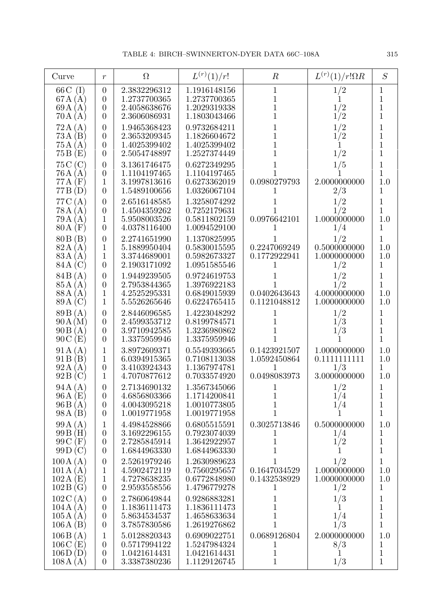| Curve                                       | $\boldsymbol{r}$                                                   | $\Omega$                                                     | $L^{(r)}(1)/r!$                                              | $\boldsymbol{R}$                                  | $L^{(r)}(1)/r!\Omega R$                              | $\cal S$                                                     |
|---------------------------------------------|--------------------------------------------------------------------|--------------------------------------------------------------|--------------------------------------------------------------|---------------------------------------------------|------------------------------------------------------|--------------------------------------------------------------|
| $66C$ (I)<br>67A(A)<br>69A(A)<br>70A(A)     | $\theta$<br>$\overline{0}$<br>$\theta$<br>$\overline{0}$           | 2.3832296312<br>1.2737700365<br>2.4058638676<br>2.3606086931 | 1.1916148156<br>1.2737700365<br>1.2029319338<br>1.1803043466 | 1<br>1<br>$\mathbf 1$<br>$\overline{1}$           | 1/2<br>$\frac{1}{2}$                                 | 1<br>$\mathbf{1}$<br>$\mathbf 1$<br>$\overline{1}$           |
| 72A(A)<br>73A(B)<br>75A(A)<br>75B(E)        | $\boldsymbol{0}$<br>$\boldsymbol{0}$<br>$\theta$<br>$\theta$       | 1.9465368423<br>2.3653209345<br>1.4025399402<br>2.5054748897 | 0.9732684211<br>1.1826604672<br>1.4025399402<br>1.2527374449 | 1<br>$\overline{1}$<br>$\overline{1}$<br>1        | 1/2<br>1/2<br>1/2                                    | $\mathbf 1$<br>$\mathbf{1}$<br>$\mathbf{1}$<br>$\mathbf{1}$  |
| 75C(C)<br>76A(A)<br>$77A$ (F)<br>77B(D)     | $\theta$<br>$\theta$<br>1<br>$\overline{0}$                        | 3.1361746475<br>1.1104197465<br>3.1997813616<br>1.5489100656 | 0.6272349295<br>1.1104197465<br>0.6273362019<br>1.0326067104 | 0.0980279793                                      | 1/5<br>2.0000000000<br>2/3                           | $\mathbf 1$<br>$\mathbf{1}$<br>1.0<br>1                      |
| 77C(A)<br>78A(A)<br>79A(A)<br>$80A$ (F)     | $\boldsymbol{0}$<br>$\boldsymbol{0}$<br>$\mathbf 1$<br>$\theta$    | 2.6516148585<br>1.4504359262<br>5.9508003526<br>4.0378116400 | 1.3258074292<br>0.7252179631<br>0.5811802159<br>1.0094529100 | 0.0976642101                                      | 1/2<br>1/2<br>1.0000000000<br>1/4                    | 1<br>1<br>1.0<br>1                                           |
| 80B(B)<br>82A(A)<br>83 A (A)<br>84 A (C)    | $\boldsymbol{0}$<br>1<br>1<br>$\theta$                             | 2.2741651990<br>5.1889950404<br>3.3744689001<br>2.1903171092 | 1.1370825995<br>0.5830015595<br>0.5982673327<br>1.0951585546 | L<br>0.2247069249<br>0.1772922941<br>1            | 1/2<br>0.5000000000<br>1.0000000000<br>1/2           | 1<br>1.0<br>1.0<br>$\mathbf 1$                               |
| 84B(A)<br>85 A (A)<br>88 A (A)<br>89 A (C)  | $\boldsymbol{0}$<br>0<br>1<br>1                                    | 1.9449239505<br>2.7953844365<br>4.2525295331<br>5.5526265646 | 0.9724619753<br>1.3976922183<br>0.6849015939<br>0.6224765415 | 0.0402643643<br>0.1121048812                      | 1/2<br>1/2<br>4.0000000000<br>1.0000000000           | 1<br>$\overline{1}$<br>1.0<br>1.0                            |
| 89B(A)<br>90A(M)<br>90B(A)<br>90C(E)        | $\boldsymbol{0}$<br>$\boldsymbol{0}$<br>$\theta$<br>$\overline{0}$ | 2.8446096585<br>2.4599353712<br>3.9710942585<br>1.3375959946 | 1.4223048292<br>0.8199784571<br>1.3236980862<br>1.3375959946 | $\overline{1}$<br>1<br>1                          | 1/2<br>1/3<br>1/3                                    | $\mathbf 1$<br>$\mathbf 1$<br>$\mathbf{1}$<br>$\overline{1}$ |
| 91A(A)<br>91B(B)<br>92A(A)<br>92B(C)        | 1<br>1<br>$\theta$<br>1                                            | 3.8972609371<br>6.0394915365<br>3.4103924343<br>4.7070877612 | 0.5549393665<br>0.7108113038<br>1.1367974781<br>0.7033574920 | 0.1423921507<br>1.0592450864<br>1<br>0.0498083973 | 1.0000000000<br>0.11111111111<br>1/3<br>3.0000000000 | 1.0<br>1.0<br>1<br>1.0                                       |
| 94A(A)<br>96A(E)<br>96B(A)<br>98A(B)        | $\overline{0}$<br>$\theta$<br>$\theta$<br>$\theta$                 | 2.7134690132<br>4.6856803366<br>4.0043095218<br>1.0019771958 | 1.3567345066<br>1.1714200841<br>1.0010773805<br>1.0019771958 | 1<br>1<br>1                                       | 1/2<br>1/4<br>$\frac{1}{4}$                          | 1<br>$\mathbf{1}$<br>$\mathbf{1}$<br>$\mathbf{1}$            |
| 99A(A)<br>99B(H)<br>99C(F)<br>99D(C)        | 1<br>$\theta$<br>$\theta$<br>$\theta$                              | 4.4984528866<br>3.1692296155<br>2.7285845914<br>1.6844963330 | 0.6805515591<br>0.7923074039<br>1.3642922957<br>1.6844963330 | 0.3025713846<br>1<br>$\mathbf 1$                  | 0.5000000000<br>1/4<br>1/2                           | 1.0<br>1<br>$\mathbf 1$<br>1                                 |
| 100A(A)<br>101A(A)<br>102A(E)<br>102B(G)    | $\boldsymbol{0}$<br>1<br>1<br>$\overline{0}$                       | 2.5261979246<br>4.5902472119<br>4.7278638235<br>2.9593558556 | 1.2630989623<br>0.7560295657<br>0.6772848980<br>1.4796779278 | 1<br>0.1647034529<br>0.1432538929<br>T            | 1/2<br>1.0000000000<br>1.0000000000<br>1/2           | 1<br>1.0<br>1.0<br>1                                         |
| 102C(A)<br>104A(A)<br>105A(A)<br>106A(B)    | $\theta$<br>$\theta$<br>$\theta$<br>$\overline{0}$                 | 2.7860649844<br>1.1836111473<br>5.8634534537<br>3.7857830586 | 0.9286883281<br>1.1836111473<br>1.4658633634<br>1.2619276862 | 1<br>$\mathbf 1$<br>$\mathbf 1$<br>1              | 1/3<br>1<br>1/4<br>1/3                               | 1<br>$\mathbf 1$<br>$\mathbf{1}$<br>$\mathbf{1}$             |
| 106B(A)<br>$106C$ (E)<br>106D(D)<br>108A(A) | 1<br>$\theta$<br>$\overline{0}$<br>$\overline{0}$                  | 5.0128820343<br>0.5717994122<br>1.0421614431<br>3.3387380236 | 0.6909022751<br>1.5247984324<br>1.0421614431<br>1.1129126745 | 0.0689126804<br>1<br>1<br>$\mathbf{1}$            | 2.0000000000<br>8/3<br>1<br>1/3                      | 1.0<br>1<br>$\overline{1}$<br>$\mathbf{1}$                   |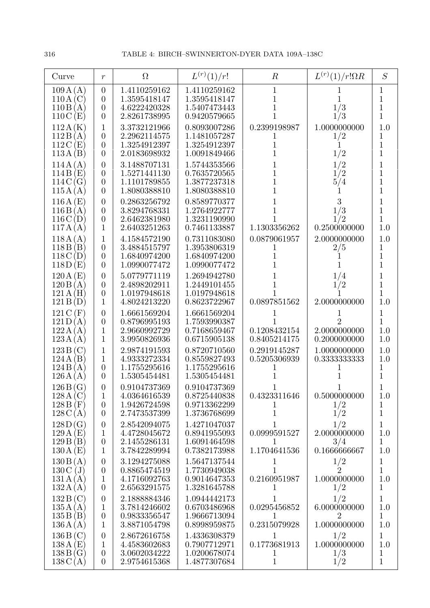| Curve                                                               | $\boldsymbol{r}$                                                       | $\Omega$                                                     | $L^{(r)}(1)/r!$                                              | $\boldsymbol{R}$                       | $L^{(r)}(1)/r!\Omega R$                               | S                                                                |
|---------------------------------------------------------------------|------------------------------------------------------------------------|--------------------------------------------------------------|--------------------------------------------------------------|----------------------------------------|-------------------------------------------------------|------------------------------------------------------------------|
| 109A(A)<br>110A<br>$\left( \mathrm{C}\right)$<br>110B(A)<br>110C(E) | $\overline{0}$<br>$\overline{0}$<br>$\boldsymbol{0}$<br>$\overline{0}$ | 1.4110259162<br>1.3595418147<br>4.6222420328<br>2.8261738995 | 1.4110259162<br>1.3595418147<br>1.5407473443<br>0.9420579665 | $\mathbf{1}$<br>1<br>1                 | 1<br>1<br>1/3<br>1/3                                  | $\mathbf{1}$<br>$\mathbf{1}$<br>$\mathbf{1}$<br>$\mathbf{1}$     |
| 112A(K)<br>112B(A)<br>112C(E)<br>113A(B)                            | $\mathbf{1}$<br>$\boldsymbol{0}$<br>$\boldsymbol{0}$<br>$\overline{0}$ | 3.3732121966<br>2.2962114575<br>1.3254912397<br>2.0183698932 | 0.8093007286<br>1.1481057287<br>1.3254912397<br>1.0091849466 | 0.2399198987                           | 1.0000000000<br>1/2<br>1<br>1/2                       | 1.0<br>$\mathbf{1}$<br>$\mathbf{1}$<br>$\overline{1}$            |
| 114A(A)<br>114B(E)<br>114C(G)<br>115A(A)                            | $\overline{0}$<br>$\overline{0}$<br>$\overline{0}$<br>$\overline{0}$   | 3.1488707131<br>1.5271441130<br>1.1101789855<br>1.8080388810 | 1.5744353566<br>0.7635720565<br>1.3877237318<br>1.8080388810 |                                        | 1/2<br>1/2<br>5/4                                     | $\overline{1}$<br>$\mathbf{1}$<br>$\mathbf{1}$<br>$\overline{1}$ |
| 116A(E)<br>116B(A)<br>116C(D)<br>117A(A)                            | $\overline{0}$<br>$\overline{0}$<br>$\overline{0}$<br>1                | 0.2863256792<br>3.8294768331<br>2.6462381980<br>2.6403251263 | 0.8589770377<br>1.2764922777<br>1.3231190990<br>0.7461133887 | 1.1303356262                           | 3<br>1/3<br>1/2<br>0.2500000000                       | $\mathbf{1}$<br>$\mathbf{1}$<br>$\overline{1}$<br>$1.0\,$        |
| 118A(A)<br>118B(B)<br>118C(D)<br>118D(E)                            | $\mathbf{1}$<br>$\overline{0}$<br>$\boldsymbol{0}$<br>$\overline{0}$   | 4.1584572190<br>3.4884515797<br>1.6840974200<br>1.0990077472 | 0.7311083080<br>1.3953806319<br>1.6840974200<br>1.0990077472 | 0.0879061957<br>1                      | 2.0000000000<br>2/5                                   | 1.0<br>$\mathbf 1$<br>$\overline{1}$<br>$\mathbf{1}$             |
| 120A(E)<br>120B(A)<br>121A(H)<br>121B(D)                            | $\overline{0}$<br>$\overline{0}$<br>$\overline{0}$<br>1                | 5.0779771119<br>2.4898202911<br>1.0197948618<br>4.8024213220 | 1.2694942780<br>1.2449101455<br>1.0197948618<br>0.8623722967 | 1<br>0.0897851562                      | 1/4<br>1/2<br>2.0000000000                            | $\mathbf{1}$<br>$\mathbf{1}$<br>$\overline{1}$<br>1.0            |
| 121C(F)<br>121D(A)<br>122A(A)<br>123A(A)                            | $\overline{0}$<br>$\boldsymbol{0}$<br>1<br>1                           | 1.6661569204<br>0.8796995193<br>2.9660992729<br>3.9950826936 | 1.6661569204<br>1.7593990387<br>0.7168659467<br>0.6715905138 | 0.1208432154<br>0.8405214175           | $\overline{2}$<br>2.0000000000<br>0.2000000000        | $\mathbf{1}$<br>$\overline{1}$<br>1.0<br>1.0                     |
| 123B(C)<br>124A(B)<br>124B(A)<br>126A(A)                            | 1<br>1<br>$\overline{0}$<br>$\overline{0}$                             | 2.9874191593<br>4.9333272334<br>1.1755295616<br>1.5305454481 | 0.8720710560<br>0.8559827493<br>1.1755295616<br>1.5305454481 | 0.2919145287<br>0.5205306939           | 1.0000000000<br>0.3333333333                          | 1.0<br>1.0<br>$\mathbf 1$<br>$\overline{1}$                      |
| 126B(G)<br>128A(C)<br>128B(F)<br>128C(A)                            | $\overline{0}$<br>$\mathbf{1}$<br>$\overline{0}$<br>$\overline{0}$     | 0.9104737369<br>4.0364616539<br>1.9426724598<br>2.7473537399 | 0.9104737369<br>0.8725440838<br>0.9713362299<br>1.3736768699 | 0.4323311646                           | 0.5000000000<br>1/2<br>1/2                            | 1.0<br>$\mathbf{1}$<br>$\mathbf{1}$                              |
| 128D(G)<br>129A(E)<br>129B(B)<br>130A(E)                            | $\overline{0}$<br>1<br>$\boldsymbol{0}$<br>$\mathbf{1}$                | 2.8542094075<br>4.4728045672<br>2.1455286131<br>3.7842289994 | 1.4271047037<br>0.8941955093<br>1.6091464598<br>0.7382173988 | 0.0999591527<br>1<br>1.1704641536      | 1/2<br>2.0000000000<br>3/4<br>0.1666666667            | $\mathbf{1}$<br>1.0<br>$\mathbf 1$<br>1.0                        |
| 130B(A)<br>130C(J)<br>131A(A)<br>132A(A)                            | $\overline{0}$<br>$\boldsymbol{0}$<br>$\mathbf 1$<br>$\boldsymbol{0}$  | 3.1294275088<br>0.8865474519<br>4.1716092763<br>2.6563291575 | 1.5647137544<br>1.7730949038<br>0.9014647353<br>1.3281645788 | 1<br>0.2160951987<br>1                 | 1/2<br>$\overline{2}$<br>1.0000000000<br>1/2          | $\mathbf 1$<br>$\mathbf{1}$<br>1.0<br>$\mathbf{1}$               |
| 132B(C)<br>135A(A)<br>135B(B)<br>136A(A)                            | $\boldsymbol{0}$<br>$\mathbf{1}$<br>$\boldsymbol{0}$<br>$\mathbf{1}$   | 2.1888884346<br>3.7814246602<br>0.9833356547<br>3.8871054798 | 1.0944442173<br>0.6703486968<br>1.9666713094<br>0.8998959875 | 0.0295456852<br>1<br>0.2315079928      | 1/2<br>6.0000000000<br>$\overline{2}$<br>1.0000000000 | $\mathbf{1}$<br>1.0<br>$\mathbf{1}$<br>1.0                       |
| 136B(C)<br>138A(E)<br>138B(G)<br>138C(A)                            | $\overline{0}$<br>1<br>$\boldsymbol{0}$<br>$\overline{0}$              | 2.8672616758<br>4.4583602683<br>3.0602034222<br>2.9754615368 | 1.4336308379<br>0.7907712971<br>1.0200678074<br>1.4877307684 | 1<br>0.1773681913<br>1<br>$\mathbf{1}$ | 1/2<br>1.0000000000<br>1/3<br>1/2                     | $\mathbf{1}$<br>1.0<br>$\mathbf{1}$<br>$\mathbf{1}$              |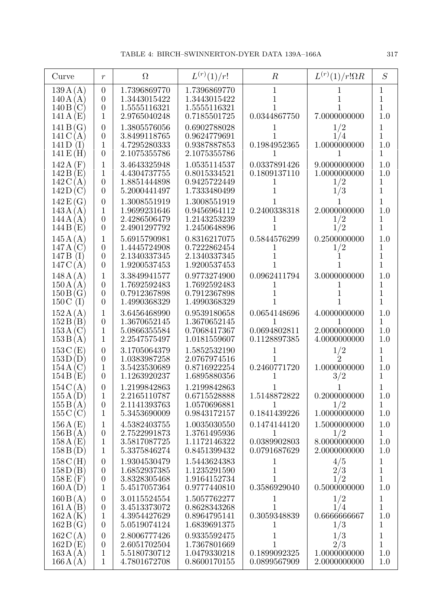| Curve                                         | $\boldsymbol{r}$                                                       | $\Omega$                                                     | $L^{(r)}(1)/r!$                                              | $\boldsymbol{R}$                                  | $L^{(r)}(1)/r!\Omega R$                             | S                                                      |
|-----------------------------------------------|------------------------------------------------------------------------|--------------------------------------------------------------|--------------------------------------------------------------|---------------------------------------------------|-----------------------------------------------------|--------------------------------------------------------|
| 139A(A)<br>140A(A)<br>140B(C)<br>141A(E)      | $\overline{0}$<br>$\overline{0}$<br>$\boldsymbol{0}$<br>1              | 1.7396869770<br>1.3443015422<br>1.5555116321<br>2.9765040248 | 1.7396869770<br>1.3443015422<br>1.5555116321<br>0.7185501725 | $\mathbf{1}$<br>1<br>0.0344867750                 | 7.0000000000                                        | 1<br>$\mathbf{1}$<br>$\mathbf 1$<br>1.0                |
| 141B(G)<br>141C(A)<br>141D<br>(I)<br>141E(H)  | $\overline{0}$<br>$\overline{0}$<br>1<br>$\overline{0}$                | 1.3805576056<br>3.8499118765<br>4.7295280333<br>2.1075355786 | 0.6902788028<br>0.9624779691<br>0.9387887853<br>2.1075355786 | 0.1984952365                                      | 1/2<br>1/4<br>1.0000000000                          | $\mathbf 1$<br>$\overline{1}$<br>1.0<br>1              |
| 142A(F)<br>142B(E)<br>142C(A)<br>142D(C)      | 1<br>1<br>$\overline{0}$<br>$\overline{0}$                             | 3.4643325948<br>4.4304737755<br>1.8851444898<br>5.2000441497 | 1.0535114537<br>0.8015334521<br>0.9425722449<br>1.7333480499 | 0.0337891426<br>0.1809137110<br>1                 | 9.0000000000<br>1.0000000000<br>1/2<br>1/3          | 1.0<br>1.0<br>1<br>$\mathbf{1}$                        |
| 142E(G)<br>143A(A)<br>144A<br>(A)<br>144B(E)  | $\overline{0}$<br>$\mathbf 1$<br>$\overline{0}$<br>$\overline{0}$      | 1.3008551919<br>1.9699231646<br>2.4286506479<br>2.4901297792 | 1.3008551919<br>0.9456964112<br>1.2143253239<br>1.2450648896 | 0.2400338318                                      | 2.0000000000<br>1/2<br>1/2                          | $\overline{1}$<br>1.0<br>$\mathbf 1$<br>$\overline{1}$ |
| 145A(A)<br>147A(C)<br>147 B<br>(I)<br>147C(A) | 1<br>$\overline{0}$<br>$\boldsymbol{0}$<br>$\overline{0}$              | 5.6915790981<br>1.4445724908<br>2.1340337345<br>1.9200537453 | 0.8316217075<br>0.7222862454<br>2.1340337345<br>1.9200537453 | 0.5844576299                                      | 0.2500000000<br>1/2                                 | 1.0<br>1<br>$\mathbf{1}$<br>$\mathbf 1$                |
| 148A(A)<br>150A(A)<br>150B(G)<br>150C<br>(I)  | 1<br>$\overline{0}$<br>$\overline{0}$<br>$\overline{0}$                | 3.3849941577<br>1.7692592483<br>0.7912367898<br>1.4990368329 | 0.9773274900<br>1.7692592483<br>0.7912367898<br>1.4990368329 | 0.0962411794                                      | 3.0000000000                                        | 1.0<br>1<br>$\overline{1}$<br>$\mathbf{1}$             |
| 152A(A)<br>152B(B)<br>153A(C)<br>153B(A)      | 1<br>$\boldsymbol{0}$<br>1<br>1                                        | 3.6456468990<br>1.3670652145<br>5.0866355584<br>2.2547575497 | 0.9539180658<br>1.3670652145<br>0.7068417367<br>1.0181559607 | 0.0654148696<br>1<br>0.0694802811<br>0.1128897385 | 4.0000000000<br>1<br>2.0000000000<br>4.0000000000   | 1.0<br>$\mathbf 1$<br>1.0<br>1.0                       |
| 153C(E)<br>153D(D)<br>154A(C)<br>154B(E)      | $\overline{0}$<br>$\boldsymbol{0}$<br>1<br>0                           | 3.1705064379<br>1.0383987258<br>3.5423530689<br>1.1263920237 | 1.5852532190<br>2.0767974516<br>0.8716922254<br>1.6895880356 | 0.2460771720<br>1                                 | 1/2<br>$\overline{2}$<br>1.0000000000<br>3/2        | $\mathbf 1$<br>$\mathbf{1}$<br>1.0<br>1                |
| 154C(A)<br>155A(D)<br>155B(A)<br>155C(C)      | $\overline{0}$<br>1<br>$\overline{0}$<br>1                             | 1.2199842863<br>2.2165110787<br>2.1141393763<br>5.3453690009 | 1.2199842863<br>0.6715528888<br>1.0570696881<br>0.9843172157 | 1.5148872822<br>1<br>0.1841439226                 | 0.2000000000<br>1/2<br>1.0000000000                 | 1.0<br>$\mathbf{1}$<br>1.0                             |
| 156A(E)<br>156B(A)<br>158A(E)<br>158B(D)      | 1<br>$\boldsymbol{0}$<br>1<br>1                                        | 4.5382403755<br>2.7522991873<br>3.5817087725<br>5.3375846274 | 1.0035030550<br>1.3761495936<br>1.1172146322<br>0.8451399432 | 0.1474144120<br>1<br>0.0389902803<br>0.0791687629 | 1.5000000000<br>1/2<br>8.0000000000<br>2.0000000000 | 1.0<br>$\mathbf{1}$<br>1.0<br>1.0                      |
| 158C(H)<br>158D(B)<br>$158E$ (F)<br>160A(D)   | $\overline{0}$<br>$\boldsymbol{0}$<br>$\boldsymbol{0}$<br>$\mathbf{1}$ | 1.9304530479<br>1.6852937385<br>3.8328305468<br>5.4517057364 | 1.5443624383<br>1.1235291590<br>1.9164152734<br>0.9777440810 | 1<br>$\mathbf{1}$<br>1<br>0.3586929040            | 4/5<br>2/3<br>1/2<br>0.5000000000                   | $\mathbf 1$<br>$\overline{1}$<br>$\mathbf{1}$<br>1.0   |
| 160B(A)<br>161A(B)<br>162A(K)<br>162B(G)      | $\boldsymbol{0}$<br>$\boldsymbol{0}$<br>1<br>$\theta$                  | 3.0115524554<br>3.4513373072<br>4.3954427629<br>5.0519074124 | 1.5057762277<br>0.8628343268<br>0.8964795141<br>1.6839691375 | 1<br>0.3059348839<br>1                            | 1/2<br>1/4<br>0.6666666667<br>1/3                   | $\mathbf{1}$<br>$\mathbf{1}$<br>1.0<br>1               |
| 162C(A)<br>162D(E)<br>163A(A)<br>166A(A)      | $\theta$<br>$\boldsymbol{0}$<br>$\mathbf 1$<br>$\mathbf{1}$            | 2.8006777426<br>2.6051702504<br>5.5180730712<br>4.7801672708 | 0.9335592475<br>1.7367801669<br>1.0479330218<br>0.8600170155 | 1<br>1<br>0.1899092325<br>0.0899567909            | 1/3<br>2/3<br>1.0000000000<br>2.0000000000          | 1<br>$\overline{1}$<br>1.0<br>1.0                      |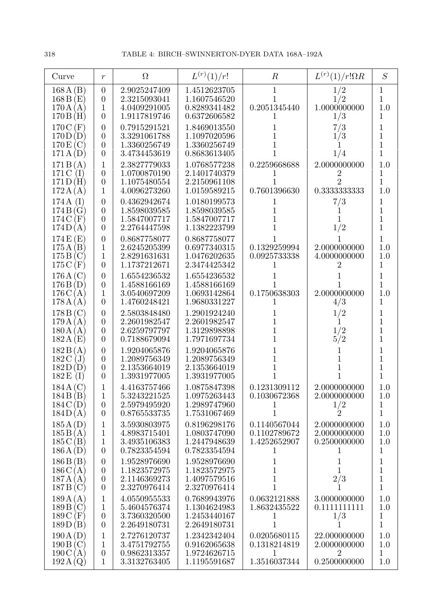| Curve                                                    | $\boldsymbol{r}$                                                           | $\Omega$                                                     | $L^{(r)}(1)/r!$                                              | $\boldsymbol{R}$                                  | $L^{(r)}(1)/r!\Omega R$                                        | S                                                                 |
|----------------------------------------------------------|----------------------------------------------------------------------------|--------------------------------------------------------------|--------------------------------------------------------------|---------------------------------------------------|----------------------------------------------------------------|-------------------------------------------------------------------|
| 168A(B)<br>168B(E)<br>170A(A)<br>170B(H)                 | $\overline{0}$<br>$\boldsymbol{0}$<br>1<br>$\overline{0}$                  | 2.9025247409<br>2.3215093041<br>4.0409291005<br>1.9117819746 | 1.4512623705<br>1.1607546520<br>0.8289341482<br>0.6372606582 | $\mathbf{1}$<br>1<br>0.2051345440<br>1            | 1/2<br>1/2<br>1.0000000000<br>1/3                              | $\mathbf{1}$<br>$\mathbf{1}$<br>1.0<br>1                          |
| 170C (F)<br>170D(D)<br>170E(C)<br>171A(D)                | $\overline{0}$<br>$\overline{0}$<br>$\overline{0}$<br>$\overline{0}$       | 0.7915291521<br>3.3291061788<br>1.3360256749<br>3.4734453619 | 1.8469013550<br>1.1097020596<br>1.3360256749<br>0.8683613405 |                                                   | 7/3<br>1/3<br>1/4                                              | $\mathbf 1$<br>$\overline{1}$<br>$\overline{1}$<br>$\overline{1}$ |
| 171B(A)<br>171 C<br>$(\mathrm{I})$<br>171D(H)<br>172A(A) | 1<br>$\boldsymbol{0}$<br>$\boldsymbol{0}$<br>1                             | 2.3827779033<br>1.0700870190<br>1.1075480554<br>4.0096273260 | 1.0768577238<br>2.1401740379<br>2.2150961108<br>1.0159589215 | 0.2259668688<br>1<br>0.7601396630                 | 2.0000000000<br>2<br>$\overline{2}$<br>0.3333333333            | 1.0<br>$\mathbf 1$<br>$\mathbf{1}$<br>1.0                         |
| 174A<br>(I)<br>174B(G)<br>174C (F)<br>174D(A)            | $\overline{0}$<br>$\overline{0}$<br>$\overline{0}$<br>$\overline{0}$       | 0.4362942674<br>1.8598039585<br>1.5847007717<br>2.2764447598 | 1.0180199573<br>1.8598039585<br>1.5847007717<br>1.1382223799 | $\perp$<br>1                                      | 7/3<br>1<br>1/2                                                | 1<br>$\mathbf{1}$<br>$\overline{1}$<br>$\overline{1}$             |
| 174E(E)<br>175A(B)<br>175B(C)<br>$175C$ (F)              | $\boldsymbol{0}$<br>$\mathbf 1$<br>1<br>$\theta$                           | 0.8687758077<br>2.6245205399<br>2.8291631631<br>1.1737212671 | 0.8687758077<br>0.6977340315<br>1.0476202635<br>2.3474425342 | 0.1329259994<br>0.0925733338<br>1                 | 2.0000000000<br>4.0000000000<br>2                              | $\mathbf{1}$<br>1.0<br>1.0<br>1                                   |
| 176A(C)<br>176B(D)<br>176C(A)<br>178A(A)                 | $\boldsymbol{0}$<br>$\overline{0}$<br>$\mathbf 1$<br>$\overline{0}$        | 1.6554236532<br>1.4588166169<br>3.0540697209<br>1.4760248421 | 1.6554236532<br>1.4588166169<br>1.0693142864<br>1.9680331227 | 0.1750638303<br>1                                 | 2.0000000000<br>4/3                                            | 1<br>$\overline{1}$<br>1.0<br>$\mathbf{1}$                        |
| 178B(C)<br>179A(A)<br>180A(A)<br>182A(E)                 | $\overline{0}$<br>$\overline{0}$<br>$\theta$<br>$\overline{0}$             | 2.5803848480<br>2.2601982547<br>2.6259797797<br>0.7188679094 | 1.2901924240<br>2.2601982547<br>1.3129898898<br>1.7971697734 |                                                   | 1/2<br>1/2<br>5/2                                              | $\mathbf{1}$<br>$\mathbf{1}$<br>$\mathbf{1}$<br>$\mathbf{1}$      |
| 182B(A)<br>182C<br>(J)<br>182D(D)<br>$182E$ (I)          | $\overline{0}$<br>$\boldsymbol{0}$<br>$\boldsymbol{0}$<br>$\boldsymbol{0}$ | 1.9204065876<br>1.2089756349<br>2.1353664019<br>1.3931977005 | 1.9204065876<br>1.2089756349<br>2.1353664019<br>1.3931977005 | 1<br>1                                            |                                                                | $\mathbf 1$<br>$\overline{1}$<br>$\overline{1}$<br>$\overline{1}$ |
| 184A(C)<br>184B(B)<br>184C(D)<br>184D(A)                 | 1<br>1<br>$\boldsymbol{0}$<br>$\boldsymbol{0}$                             | 4.4163757466<br>5.3243221525<br>2.5979495920<br>0.8765533735 | 1.0875847398<br>1.0975263443<br>1.2989747960<br>1.7531067469 | 0.1231309112<br>0.1030672368<br>$\mathbf{1}$      | 2.0000000000<br>2.0000000000<br>$\frac{1}{2}$                  | 1.0<br>1.0<br>1<br>$\mathbf{1}$                                   |
| 185A(D)<br>185B(A)<br>185C(B)<br>186A(D)                 | 1<br>1<br>1<br>$\theta$                                                    | 3.5930803975<br>4.8983715401<br>3.4935106383<br>0.7823354594 | 0.8196298176<br>1.0803747090<br>1.2447948639<br>0.7823354594 | 0.1140567044<br>0.1102789672<br>1.4252652907<br>1 | 2.0000000000<br>2.0000000000<br>0.2500000000<br>1              | 1.0<br>1.0<br>1.0<br>1                                            |
| 186B(B)<br>186C(A)<br>187A(A)<br>187B(C)                 | $\theta$<br>$\overline{0}$<br>$\boldsymbol{0}$<br>$\overline{0}$           | 1.9528976690<br>1.1823572975<br>2.1146369273<br>2.3270976414 | 1.9528976690<br>1.1823572975<br>1.4097579516<br>2.3270976414 | 1<br>1<br>1<br>1                                  | 1<br>1<br>2/3                                                  | $\mathbf{1}$<br>$\overline{1}$<br>$\mathbf{1}$<br>$\overline{1}$  |
| 189A(A)<br>189B(C)<br>189C (F)<br>189D(B)                | 1<br>1<br>$\boldsymbol{0}$<br>$\boldsymbol{0}$                             | 4.0550955533<br>5.4604576374<br>3.7360320500<br>2.2649180731 | 0.7689943976<br>1.1304624983<br>1.2453440167<br>2.2649180731 | 0.0632121888<br>1.8632435522<br>1<br>1            | 3.0000000000<br>0.1111111111<br>1/3                            | 1.0<br>1.0<br>$\mathbf 1$<br>$\mathbf 1$                          |
| 190A(D)<br>190B(C)<br>190C(A)<br>192A(Q)                 | $\mathbf 1$<br>1<br>$\boldsymbol{0}$<br>$\mathbf{1}$                       | 2.7276120737<br>3.4751792755<br>0.9862313357<br>3.3132763405 | 1.2342342404<br>0.9162065638<br>1.9724626715<br>1.1195591687 | 0.0205680115<br>0.1318214819<br>1<br>1.3516037344 | 22.000000000<br>2.0000000000<br>$\overline{2}$<br>0.2500000000 | 1.0<br>1.0<br>1<br>1.0                                            |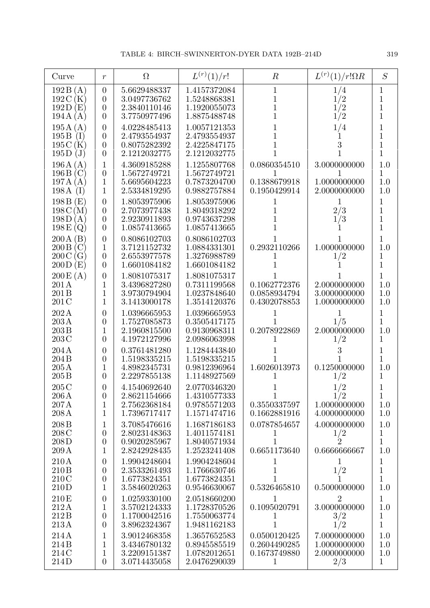| Curve                                                                   | $\mathfrak{r}$                                                         | $\Omega$                                                     | $L^{(r)}(1)/r!$                                              | $\boldsymbol{R}$                                             | $L^{(r)}(1)/r!\Omega R$                               | S                                                       |
|-------------------------------------------------------------------------|------------------------------------------------------------------------|--------------------------------------------------------------|--------------------------------------------------------------|--------------------------------------------------------------|-------------------------------------------------------|---------------------------------------------------------|
| 192B(A)<br>192C<br>(K)<br>192D<br>(E)<br>194A(A)                        | $\boldsymbol{0}$<br>$\overline{0}$<br>$\theta$<br>$\theta$             | 5.6629488337<br>3.0497736762<br>2.3840110146<br>3.7750977496 | 1.4157372084<br>1.5248868381<br>1.1920055073<br>1.8875488748 | 1<br>1                                                       | 1/4<br>1/2<br>1/2<br>1/2                              | 1<br>$\mathbf 1$<br>$\mathbf 1$<br>$\overline{1}$       |
| 195A(A)<br>195B<br>(I)<br>195C(K)<br>195D<br>$\mathrm{(J)}$             | $\overline{0}$<br>$\overline{0}$<br>$\boldsymbol{0}$<br>$\overline{0}$ | 4.0228485413<br>2.4793554937<br>0.8075282392<br>2.1212032775 | 1.0057121353<br>2.4793554937<br>2.4225847175<br>2.1212032775 | 1<br>1                                                       | 1/4<br>3                                              | 1<br>$\overline{1}$<br>$\overline{1}$<br>$\overline{1}$ |
| 196A(A)<br>196B(C)<br>197A(A)<br>198A<br>(I)                            | 1<br>$\boldsymbol{0}$<br>$\mathbf{1}$<br>$\mathbf{1}$                  | 4.3609185288<br>1.5672749721<br>5.6695604223<br>2.5334819295 | 1.1255807768<br>1.5672749721<br>0.7873204700<br>0.9882757884 | 0.0860354510<br>1<br>0.1388679918<br>0.1950429914            | 3.0000000000<br>1.0000000000<br>2.0000000000          | 1.0<br>1<br>1.0<br>1.0                                  |
| 198B(E)<br>198C(M)<br>198D<br>(A)<br>198E(Q)                            | $\overline{0}$<br>$\overline{0}$<br>$\overline{0}$<br>$\overline{0}$   | 1.8053975906<br>2.7073977438<br>2.9230911893<br>1.0857413665 | 1.8053975906<br>1.8049318292<br>0.9743637298<br>1.0857413665 | 1                                                            | 1<br>2/3<br>1/3                                       | 1<br>$\overline{1}$<br>$\overline{1}$<br>$\overline{1}$ |
| 200A(B)<br>(C)<br>200B<br>$200\,\mathrm{C}$<br>$\rm (G)$<br>200D<br>(E) | $\boldsymbol{0}$<br>$\mathbf{1}$<br>$\boldsymbol{0}$<br>$\overline{0}$ | 0.8086102703<br>3.7121152732<br>2.6553977578<br>1.6601084182 | 0.8086102703<br>1.0884331301<br>1.3276988789<br>1.6601084182 | 0.2932110266<br>1                                            | 1.0000000000<br>1/2                                   | 1<br>1.0<br>1<br>$\overline{1}$                         |
| 200E(A)<br>201 A<br>201 B<br>201 C                                      | $\boldsymbol{0}$<br>1<br>1<br>1                                        | 1.8081075317<br>3.4396827280<br>3.9730794904<br>3.1413000178 | 1.8081075317<br>0.7311199568<br>1.0237848640<br>1.3514120376 | 0.1062772376<br>0.0858934794<br>0.4302078853                 | 2.0000000000<br>3.0000000000<br>1.0000000000          | 1<br>1.0<br>1.0<br>1.0                                  |
| 202A<br>203A<br>203B<br>203C                                            | $\overline{0}$<br>$\overline{0}$<br>1<br>$\overline{0}$                | 1.0396665953<br>1.7527085873<br>2.1960815500<br>4.1972127996 | 1.0396665953<br>0.3505417175<br>0.9130968311<br>2.0986063998 | 1<br>1<br>0.2078922869                                       | 1/5<br>2.0000000000<br>1/2                            | 1<br>$\mathbf 1$<br>1.0<br>1                            |
| 204A<br>204B<br>205A<br>205B                                            | $\overline{0}$<br>$\overline{0}$<br>1<br>$\overline{0}$                | 0.3761481280<br>1.5198335215<br>4.8982345731<br>2.2297855138 | 1.1284443840<br>1.5198335215<br>0.9812396964<br>1.1148927569 | 1.6026013973<br>1                                            | 0.1250000000<br>1/2                                   | 1<br>1<br>1.0<br>1                                      |
| 205C<br>$206\,\mathrm{A}$<br>207A<br>208 A                              | $\theta$<br>$\overline{0}$<br>$\mathbf{1}$<br>$\mathbf{1}$             | 4.1540692640<br>2.8621154666<br>2.7562368184<br>1.7396717417 | 2.0770346320<br>1.4310577333<br>0.9785571203<br>1.1571474716 | 1<br>0.3550337597<br>0.1662881916                            | 1/2<br>1/2<br>1.0000000000<br>4.0000000000            | $\mathbf 1$<br>1.0<br>1.0                               |
| 208 <sub>B</sub><br>208C<br>208D<br>209A                                | $\mathbf 1$<br>$\boldsymbol{0}$<br>$\boldsymbol{0}$<br>$\mathbf{1}$    | 3.7085476616<br>2.8023148363<br>0.9020285967<br>2.8242928435 | 1.1687186183<br>1.4011574181<br>1.8040571934<br>1.2523241408 | 0.0787854657<br>$\perp$<br>$\mathbf{1}$<br>0.6651173640      | 4.0000000000<br>1/2<br>$\overline{2}$<br>0.6666666667 | 1.0<br>1<br>$\mathbf{1}$<br>1.0                         |
| 210A<br>210 <sub>B</sub><br>210C<br>210D                                | $\theta$<br>$\overline{0}$<br>$\boldsymbol{0}$<br>$\mathbf{1}$         | 1.9904248604<br>2.3533261493<br>1.6773824351<br>3.5846020263 | 1.9904248604<br>1.1766630746<br>1.6773824351<br>0.9546630067 | 1<br>$\mathbf 1$<br>0.5326465810                             | $\mathbf{1}$<br>$\frac{1}{2}$<br>0.5000000000         | 1<br>$\overline{1}$<br>$\overline{1}$<br>1.0            |
| 210E<br>212A<br>212B<br>213A                                            | $\theta$<br>$\mathbf{1}$<br>$\boldsymbol{0}$<br>$\overline{0}$         | 1.0259330100<br>3.5702124333<br>1.1700042516<br>3.8962324367 | 2.0518660200<br>1.1728370526<br>1.7550063774<br>1.9481162183 | $\mathbf{1}$<br>0.1095020791<br>1<br>$\mathbf{1}$            | $\overline{2}$<br>3.0000000000<br>$\frac{3}{2}$       | $\mathbf{1}$<br>1.0<br>$\,1$<br>$\overline{1}$          |
| 214A<br>214B<br>214C<br>214D                                            | 1<br>1<br>1<br>$\overline{0}$                                          | 3.9012468358<br>3.4346780132<br>3.2209151387<br>3.0714435058 | 1.3657652583<br>0.8945585519<br>1.0782012651<br>2.0476290039 | 0.0500120425<br>0.2604490285<br>0.1673749880<br>$\mathbf{1}$ | 7.0000000000<br>1.0000000000<br>2.0000000000<br>2/3   | 1.0<br>1.0<br>1.0<br>$\mathbf{1}$                       |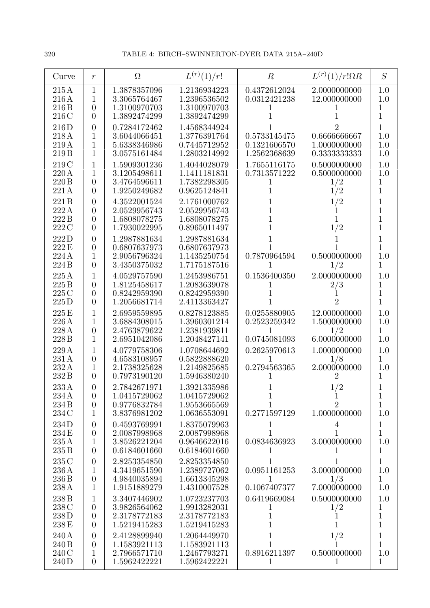| Curve                                      | $\boldsymbol{r}$                                                       | $\Omega$                                                     | $L^{(r)}(1)/r!$                                              | $\, R \,$                                         | $L^{(r)}(1)/r!\Omega R$                             | S                               |
|--------------------------------------------|------------------------------------------------------------------------|--------------------------------------------------------------|--------------------------------------------------------------|---------------------------------------------------|-----------------------------------------------------|---------------------------------|
| 215A<br>216A<br>216 <sub>B</sub><br>216 C  | $\mathbf{1}$<br>1<br>$\overline{0}$<br>$\overline{0}$                  | 1.3878357096<br>3.3065764467<br>1.3100970703<br>1.3892474299 | 1.2136934223<br>1.2396536502<br>1.3100970703<br>1.3892474299 | 0.4372612024<br>0.0312421238<br>1                 | 2.0000000000<br>12.000000000                        | 1.0<br>1.0<br>1<br>1            |
| 216D<br>218A<br>219A<br>219 <sub>B</sub>   | $\overline{0}$<br>1<br>1<br>1                                          | 0.7284172462<br>3.6044066451<br>5.6338346986<br>3.0575161484 | 1.4568344924<br>1.3776391764<br>0.7445712952<br>1.2803214992 | 0.5733145475<br>0.1321606570<br>1.2562368639      | 0.6666666667<br>1.0000000000<br>0.3333333333        | 1<br>1.0<br>1.0<br>1.0          |
| 219 C<br>220A<br>220 B<br>221 A            | 1<br>1<br>$\overline{0}$<br>$\overline{0}$                             | 1.5909301236<br>3.1205498611<br>3.4764596611<br>1.9250249682 | 1.4044028079<br>1.1411181831<br>1.7382298305<br>0.9625124841 | 1.7655116175<br>0.7313571222<br>1<br>1            | 0.5000000000<br>0.5000000000<br>1/2<br>1/2          | 1.0<br>1.0<br>1<br>1            |
| 221B<br>222A<br>222B<br>222C               | $\overline{0}$<br>$\overline{0}$<br>$\overline{0}$<br>$\overline{0}$   | 4.3522001524<br>2.0529956743<br>1.6808078275<br>1.7930022995 | 2.1761000762<br>2.0529956743<br>1.6808078275<br>0.8965011497 | 1<br>1<br>1<br>1                                  | 1/2<br>1/2                                          | 1<br>1<br>1<br>1                |
| 222D<br>222 E<br>224A<br>224B              | $\overline{0}$<br>$\boldsymbol{0}$<br>$\mathbf{1}$<br>$\overline{0}$   | 1.2987881634<br>0.6807637973<br>2.9056796324<br>3.4350375032 | 1.2987881634<br>0.6807637973<br>1.1435250754<br>1.7175187516 | 1<br>0.7870964594                                 | 0.5000000000<br>1/2                                 | $\overline{1}$<br>1<br>1.0<br>1 |
| 225A<br>225B<br>225C<br>225D               | $\mathbf 1$<br>$\overline{0}$<br>$\overline{0}$<br>$\overline{0}$      | 4.0529757590<br>1.8125458617<br>0.8242959390<br>1.2056681714 | 1.2453986751<br>1.2083639078<br>0.8242959390<br>2.4113363427 | 0.1536400350                                      | 2.0000000000<br>2/3<br>2                            | 1.0<br>1<br>1<br>1              |
| 225 E<br>226A<br>228 A<br>228 <sub>B</sub> | 1<br>1<br>$\overline{0}$<br>1                                          | 2.6959559895<br>3.6884308015<br>2.4763879622<br>2.6951042086 | 0.8278123885<br>1.3960301214<br>1.2381939811<br>1.2048427141 | 0.0255880905<br>0.2523259342<br>1<br>0.0745081093 | 12.000000000<br>1.5000000000<br>1/2<br>6.0000000000 | 1.0<br>1.0<br>1<br>1.0          |
| 229A<br>231 A<br>232A<br>232B              | 1<br>$\boldsymbol{0}$<br>$\mathbf{1}$<br>$\overline{0}$                | 4.0779758306<br>4.6583108957<br>2.1738325628<br>0.7973190120 | 1.0708644692<br>0.5822888620<br>1.2149825685<br>1.5946380240 | 0.2625970613<br>1<br>0.2794563365                 | 1.0000000000<br>1/8<br>2.0000000000                 | 1.0<br>1<br>1.0<br>1            |
| 233A<br>234 A<br>234 B<br>234 C            | $\overline{0}$<br>$\overline{0}$<br>$\overline{0}$<br>$\mathbf{1}$     | 2.7842671971<br>1.0415729062<br>0.9776832784<br>3.8376981202 | 1.3921335986<br>1.0415729062<br>1.9553665569<br>1.0636553091 | 1<br>0.2771597129                                 | 1/2<br>$\overline{2}$<br>1.0000000000               | 1<br>$\mathbf 1$<br>1.0         |
| 234D<br>234 E<br>235A<br>$235\,\mathrm{B}$ | $\boldsymbol{0}$<br>$\boldsymbol{0}$<br>$\mathbf{1}$<br>$\overline{0}$ | 0.4593769991<br>2.0087998968<br>3.8526221204<br>0.6184601660 | 1.8375079963<br>2.0087998968<br>0.9646622016<br>0.6184601660 | 1<br>1<br>0.0834636923<br>$\perp$                 | $\overline{4}$<br>1<br>3.0000000000                 | 1<br>$\mathbf 1$<br>1.0<br>1    |
| 235 C<br>236A<br>236B<br>238A              | $\boldsymbol{0}$<br>$\boldsymbol{0}$<br>1                              | 2.8253354850<br>4.3419651590<br>4.9840035894<br>1.9151889279 | 2.8253354850<br>1.2389727062<br>1.6613345298<br>1.4310007528 | 0.0951161253<br>1<br>0.1067407377                 | 3.0000000000<br>1/3<br>7.0000000000                 | 1<br>1.0<br>1<br>1.0            |
| 238 B<br>238 C<br>238D<br>238 E            | 1<br>$\boldsymbol{0}$<br>$\boldsymbol{0}$<br>$\overline{0}$            | 3.3407446902<br>3.9826564062<br>2.3178772183<br>1.5219415283 | 1.0723237703<br>1.9913282031<br>2.3178772183<br>1.5219415283 | 0.6419669084<br>T<br>1<br>1                       | 0.5000000000<br>1/2<br>1                            | 1.0<br>1<br>$\mathbf 1$<br>1    |
| 240 A<br>240 B<br>240C<br>240 D            | $\boldsymbol{0}$<br>$\boldsymbol{0}$<br>1<br>$\overline{0}$            | 2.4128899940<br>1.1583921113<br>2.7966571710<br>1.5962422221 | 1.2064449970<br>1.1583921113<br>1.2467793271<br>1.5962422221 | 1<br>0.8916211397<br>$\mathbf{1}$                 | 1/2<br>0.5000000000<br>1                            | 1<br>1<br>1.0<br>1              |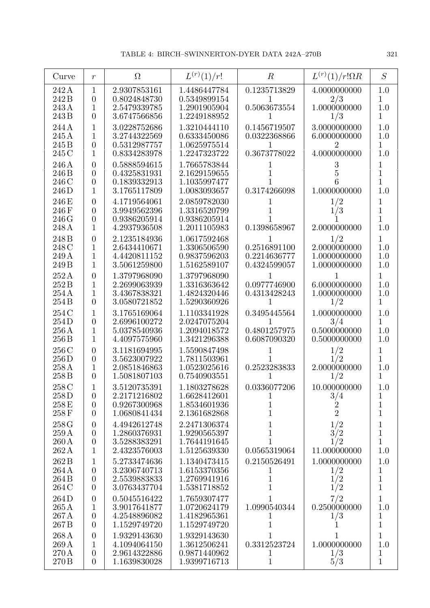| Curve                                                   | $\,r$                                                                    | $\Omega$                                                     | $L^{(r)}(1)/r!$                                              | $\, R \,$                                                     | $L^{(r)}(1)/r!\Omega R$                             | S                                        |
|---------------------------------------------------------|--------------------------------------------------------------------------|--------------------------------------------------------------|--------------------------------------------------------------|---------------------------------------------------------------|-----------------------------------------------------|------------------------------------------|
| 242 A<br>242 B<br>243 A<br>243 B                        | 1<br>$\overline{0}$<br>1<br>$\overline{0}$                               | 2.9307853161<br>0.8024848730<br>2.5479339785<br>3.6747566856 | 1.4486447784<br>0.5349899154<br>1.2901905904<br>1.2249188952 | 0.1235713829<br>1<br>0.5063673554<br>1                        | 4.0000000000<br>2/3<br>1.0000000000<br>1/3          | 1.0<br>1<br>1.0<br>1                     |
| 244 A<br>245 A<br>245 B<br>245 C                        | 1<br>1<br>$\overline{0}$<br>1                                            | 3.0228752686<br>3.2744322569<br>0.5312987757<br>0.8334283978 | 1.3210444110<br>0.6333450086<br>1.0625975514<br>1.2247323722 | 0.1456719507<br>0.0322368866<br>0.3673778022                  | 3.0000000000<br>6.0000000000<br>2<br>4.0000000000   | 1.0<br>1.0<br>1<br>1.0                   |
| 246 A<br>246 B<br>246 C<br>246D                         | $\overline{0}$<br>$\overline{0}$<br>$\overline{0}$<br>1                  | 0.5888594615<br>0.4325831931<br>0.1839332913<br>3.1765117809 | 1.7665783844<br>2.1629159655<br>1.1035997477<br>1.0083093657 | 1<br>0.3174266098                                             | 3<br>1.0000000000                                   | 1<br>1<br>1<br>1.0                       |
| 246 E<br>246 F<br>246G<br>248 A                         | $\overline{0}$<br>$\overline{0}$<br>$\overline{0}$<br>1                  | 4.1719564061<br>3.9949562396<br>0.9386205914<br>4.2937936508 | 2.0859782030<br>1.3316520799<br>0.9386205914<br>1.2011105983 | 0.1398658967                                                  | 1/2<br>1/3<br>2.0000000000                          | 1<br>1<br>1<br>1.0                       |
| 248 <sub>B</sub><br>248 C<br>249 A<br>249 B             | $\overline{0}$<br>1<br>1<br>1                                            | 2.1235184936<br>2.6434410671<br>4.4420811152<br>3.5061259800 | 1.0617592468<br>1.3306506590<br>0.9837596203<br>1.5162589107 | 1<br>0.2516891100<br>0.2214636777<br>0.4324599057             | 1/2<br>2.0000000000<br>1.0000000000<br>1.0000000000 | 1<br>1.0<br>1.0<br>1.0                   |
| 252A<br>252B<br>254 A<br>254B                           | $\overline{0}$<br>1<br>1<br>$\overline{0}$                               | 1.3797968090<br>2.2699063939<br>3.4367838321<br>3.0580721852 | 1.3797968090<br>1.3316363642<br>1.4824320446<br>1.5290360926 | 0.0977746900<br>0.4313428243<br>1                             | 6.0000000000<br>1.0000000000<br>1/2                 | 1<br>1.0<br>1.0<br>1                     |
| 254 C<br>254D<br>$256\,\mathrm{A}$<br>256 B             | 1<br>$\overline{0}$<br>1<br>1                                            | 3.1765169064<br>2.6996100272<br>5.0378540936<br>4.4097575960 | 1.1103341928<br>2.0247075204<br>1.2094018572<br>1.3421296388 | 0.3495445564<br>1<br>0.4801257975<br>0.6087090320             | 1.0000000000<br>3/4<br>0.5000000000<br>0.5000000000 | 1.0<br>1<br>1.0<br>1.0                   |
| 256 C<br>256D<br>258A<br>258 B                          | $\overline{0}$<br>$\overline{0}$<br>1<br>$\overline{0}$                  | 3.1181694995<br>3.5623007922<br>2.0851846863<br>1.5081807103 | 1.5590847498<br>1.7811503961<br>1.0523025616<br>0.7540903551 | 0.2523283833<br>1                                             | 1/2<br>1/2<br>2.0000000000<br>1/2                   | 1<br>1<br>1.0<br>1                       |
| 258 C<br>258D<br>258 E<br>258F                          | $\overline{0}$<br>$\overline{0}$<br>$\overline{0}$                       | 3.5120735391<br>2.2171216802<br>0.9267300968<br>1.0680841434 | 1.1803278628<br>1.6628412601<br>1.8534601936<br>2.1361682868 | 0.0336077206<br>$\mathbf 1$<br>$\overline{1}$<br>$\mathbf{1}$ | 10.000000000<br>$\frac{3}{4}$<br>$\overline{2}$     | 1.0<br>1<br>$\mathbf 1$<br>$\mathbf{1}$  |
| $258\,\mathrm{G}$<br>259 A<br>$260\,\mathrm{A}$<br>262A | $\boldsymbol{0}$<br>$\boldsymbol{0}$<br>$\boldsymbol{0}$<br>$\mathbf{1}$ | 4.4942612748<br>1.2860376931<br>3.5288383291<br>2.4323576003 | 2.2471306374<br>1.9290565397<br>1.7644191645<br>1.5125639330 | 1<br>1<br>0.0565319064                                        | 1/2<br>3/2<br>1/2<br>11.000000000                   | $\mathbf 1$<br>$\mathbf{1}$<br>1<br>1.0  |
| 262 B<br>264A<br>264 B<br>264 C                         | 1<br>$\boldsymbol{0}$<br>$\boldsymbol{0}$<br>$\boldsymbol{0}$            | 5.2733474636<br>3.2306740713<br>2.5539883833<br>3.0763437704 | 1.1340473415<br>1.6153370356<br>1.2769941916<br>1.5381718852 | 0.2150526491<br>1<br>$\mathbf 1$<br>$\mathbf{1}$              | 1.0000000000<br>1/2<br>1/2<br>1/2                   | 1.0<br>1<br>$\mathbf{1}$<br>$\mathbf{1}$ |
| 264D<br>$265\,\mathrm{A}$<br>267A<br>267 B              | $\boldsymbol{0}$<br>$\mathbf{1}$<br>$\boldsymbol{0}$<br>$\overline{0}$   | 0.5045516422<br>3.9017641877<br>4.2548896082<br>1.1529749720 | 1.7659307477<br>1.0720624179<br>1.4182965361<br>1.1529749720 | 1<br>1.0990540344<br>1<br>1                                   | 7/2<br>0.2500000000<br>1/3<br>1                     | $\mathbf 1$<br>1.0<br>1<br>$\mathbf{1}$  |
| 268 A<br>269 A<br>270 A<br>270 B                        | $\boldsymbol{0}$<br>1<br>$\boldsymbol{0}$<br>$\overline{0}$              | 1.9329143630<br>4.1094064150<br>2.9614322886<br>1.1639830028 | 1.9329143630<br>1.3612506241<br>0.9871440962<br>1.9399716713 | 1<br>0.3312523724<br>1<br>$\mathbf 1$                         | 1<br>1.0000000000<br>1/3<br>5/3                     | 1<br>1.0<br>1<br>$\overline{1}$          |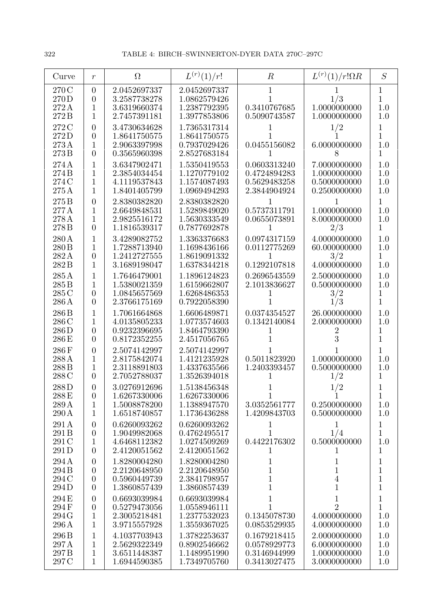| Curve                                       | $\boldsymbol{r}$                                                         | $\Omega$                                                     | $L^{(r)}(1)/r!$                                              | $\boldsymbol{R}$                                             | $L^{(r)}(1)/r!\Omega R$                                        | S                                                |
|---------------------------------------------|--------------------------------------------------------------------------|--------------------------------------------------------------|--------------------------------------------------------------|--------------------------------------------------------------|----------------------------------------------------------------|--------------------------------------------------|
| 270 C<br>270 D<br>272A<br>272B              | $\theta$<br>$\overline{0}$<br>1<br>1                                     | 2.0452697337<br>3.2587738278<br>3.6319660374<br>2.7457391181 | 2.0452697337<br>1.0862579426<br>1.2387792395<br>1.3977853806 | 1<br>0.3410767685<br>0.5090743587                            | 1<br>1/3<br>1.0000000000<br>1.0000000000                       | $\mathbf 1$<br>$\mathbf{1}$<br>1.0<br>1.0        |
| 272 C<br>272D<br>273A<br>273B               | $\overline{0}$<br>$\overline{0}$<br>1<br>$\overline{0}$                  | 3.4730634628<br>1.8641750575<br>2.9063397998<br>0.3565960398 | 1.7365317314<br>1.8641750575<br>0.7937029426<br>2.8527683184 | 0.0455156082                                                 | 1/2<br>6.0000000000<br>8                                       | 1<br>$\overline{1}$<br>1.0<br>$\mathbf 1$        |
| 274 A<br>274B<br>274 C<br>$275\,\mathrm{A}$ | 1<br>1<br>1<br>1                                                         | 3.6347902471<br>2.3854034454<br>4.1119537843<br>1.8401405799 | 1.5350419553<br>1.1270779102<br>1.1574087493<br>1.0969494293 | 0.0603313240<br>0.4724894283<br>0.5629483258<br>2.3844904924 | 7.0000000000<br>1.0000000000<br>0.5000000000<br>0.2500000000   | 1.0<br>1.0<br>1.0<br>1.0                         |
| 275B<br>277 A<br>278 A<br>278 B             | $\overline{0}$<br>1<br>1<br>$\overline{0}$                               | 2.8380382820<br>2.6649848531<br>2.9825516172<br>1.1816539317 | 2.8380382820<br>1.5289849020<br>1.5630333549<br>0.7877692878 | 0.5737311791<br>0.0655073891                                 | 1.0000000000<br>8.0000000000<br>2/3                            | $\mathbf{1}$<br>1.0<br>1.0<br>1                  |
| 280 A<br>280 B<br>282A<br>282B              | 1<br>1<br>$\boldsymbol{0}$<br>$\mathbf{1}$                               | 3.4289082752<br>1.7288713940<br>1.2412727555<br>3.1689198047 | 1.3363376683<br>1.1698436166<br>1.8619091332<br>1.6378344218 | 0.0974317159<br>0.0112775269<br>1<br>0.1292107818            | 4.0000000000<br>60.000000000<br>3/2<br>4.0000000000            | 1.0<br>1.0<br>$\mathbf{1}$<br>1.0                |
| 285A<br>285 B<br>285 C<br>286A              | 1<br>1<br>$\overline{0}$<br>$\overline{0}$                               | 1.7646479001<br>1.5380021359<br>1.0845657569<br>2.3766175169 | 1.1896124823<br>1.6159662807<br>1.6268486353<br>0.7922058390 | 0.2696543559<br>2.1013836627<br>1                            | 2.5000000000<br>0.5000000000<br>3/2<br>1/3                     | 1.0<br>1.0<br>1<br>1                             |
| 286 B<br>286 C<br>286D<br>286 E             | 1<br>1<br>$\overline{0}$<br>$\overline{0}$                               | 1.7061664868<br>4.0135805233<br>0.9232396695<br>0.8172352255 | 1.6606489871<br>1.0773574603<br>1.8464793390<br>2.4517056765 | 0.0374354527<br>0.1342140084                                 | 26.000000000<br>2.0000000000<br>$\mathbf 2$<br>3               | 1.0<br>1.0<br>1<br>$\mathbf{1}$                  |
| 286F<br>288 A<br>288B<br>288C               | $\boldsymbol{0}$<br>1<br>1<br>$\overline{0}$                             | 2.5074142997<br>2.8175842074<br>2.3118891803<br>2.7052788037 | 2.5074142997<br>1.4121235928<br>1.4337635566<br>1.3526394018 | 0.5011823920<br>1.2403393457<br>1                            | 1.0000000000<br>0.5000000000<br>1/2                            | 1<br>1.0<br>1.0<br>1                             |
| 288D<br>288E<br>289A<br>$290\,\mathrm{A}$   | $\overline{0}$<br>$\boldsymbol{0}$<br>$\mathbf{1}$<br>$\mathbf{1}$       | 3.0276912696<br>1.6267330006<br>1.5008878200<br>1.6518740857 | 1.5138456348<br>1.6267330006<br>1.1388947570<br>1.1736436288 | $\mathbf 1$<br>3.0352561777<br>1.4209843703                  | 1/2<br>0.2500000000<br>0.5000000000                            | $\mathbf{1}$<br>1.0<br>1.0                       |
| 291 A<br>291 B<br>291 C<br>291D             | $\boldsymbol{0}$<br>$\boldsymbol{0}$<br>$\mathbf 1$<br>$\overline{0}$    | 0.6260093262<br>1.9049982068<br>4.6468112382<br>2.4120051562 | 0.6260093262<br>0.4762495517<br>1.0274509269<br>2.4120051562 | 1<br>1<br>0.4422176302<br>1                                  | 1<br>1/4<br>0.5000000000<br>T                                  | $\mathbf{1}$<br>$\mathbf 1$<br>1.0<br>1          |
| 294 A<br>294 B<br>294 C<br>294D             | $\boldsymbol{0}$<br>$\overline{0}$<br>$\boldsymbol{0}$<br>$\overline{0}$ | 1.8280004280<br>2.2120648950<br>0.5960449739<br>1.3860857439 | 1.8280004280<br>2.2120648950<br>2.3841798957<br>1.3860857439 | $\mathbf{1}$<br>$\mathbf{1}$<br>$\mathbf 1$<br>$\mathbf{1}$  | 1<br>$\mathbf{1}$<br>$\bf 4$<br>$\mathbf{1}$                   | 1<br>$\mathbf{1}$<br>$\mathbf 1$<br>$\mathbf{1}$ |
| 294 E<br>294F<br>294G<br>296 A              | $\boldsymbol{0}$<br>$\boldsymbol{0}$<br>$\mathbf{1}$<br>$\mathbf{1}$     | 0.6693039984<br>0.5279473056<br>2.3005218481<br>3.9715557928 | 0.6693039984<br>1.0558946111<br>1.2377532023<br>1.3559367025 | $\mathbf 1$<br>0.1345078730<br>0.0853529935                  | $\mathbf{1}$<br>$\overline{2}$<br>4.0000000000<br>4.0000000000 | $\mathbf 1$<br>$\mathbf{1}$<br>1.0<br>1.0        |
| 296 B<br>297A<br>297 <sub>B</sub><br>297 C  | $\mathbf{1}$<br>$\mathbf{1}$<br>$\mathbf{1}$<br>$\mathbf{1}$             | 4.1037703943<br>2.5629322349<br>3.6511448387<br>1.6944590385 | 1.3782253637<br>0.8902546662<br>1.1489951990<br>1.7349705760 | 0.1679218415<br>0.0578929773<br>0.3146944999<br>0.3413027475 | 2.0000000000<br>6.0000000000<br>1.0000000000<br>3.0000000000   | 1.0<br>1.0<br>1.0<br>1.0                         |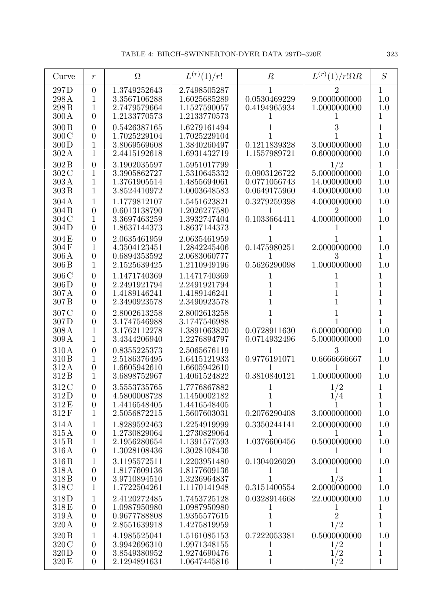| Curve                                                 | $\boldsymbol{r}$                                                     | $\Omega$                                                     | $L^{(r)}(1)/r!$                                              | $\boldsymbol{R}$                                  | $L^{(r)}(1)/r!\Omega R$                             | S                                        |
|-------------------------------------------------------|----------------------------------------------------------------------|--------------------------------------------------------------|--------------------------------------------------------------|---------------------------------------------------|-----------------------------------------------------|------------------------------------------|
| 297D<br>298A<br>298 <sub>B</sub><br>$300\,\mathrm{A}$ | $\overline{0}$<br>1<br>1<br>$\overline{0}$                           | 1.3749252643<br>3.3567106288<br>2.7479579664<br>1.2133770573 | 2.7498505287<br>1.6025685289<br>1.1527590057<br>1.2133770573 | 0.0530469229<br>0.4194965934                      | 9.0000000000<br>1.0000000000                        | $\mathbf 1$<br>1.0<br>1.0<br>1           |
| 300B<br>300C<br>300D<br>302A                          | $\overline{0}$<br>$\boldsymbol{0}$<br>$\mathbf 1$<br>1               | 0.5426387165<br>1.7025229104<br>3.8069569608<br>2.4415192618 | 1.6279161494<br>1.7025229104<br>1.3840260497<br>1.6931432719 | 0.1211839328<br>1.1557989721                      | 3<br>3.0000000000<br>0.6000000000                   | 1<br>1<br>$1.0\,$<br>1.0                 |
| 302B<br>302 C<br>303A<br>303B                         | $\overline{0}$<br>1<br>1<br>1                                        | 3.1902035597<br>3.3905862727<br>1.3761905514<br>3.8524410972 | 1.5951017799<br>1.5310645332<br>1.4855694061<br>1.0003648583 | 0.0903126722<br>0.0771056743<br>0.0649175960      | 1/2<br>5.0000000000<br>14.000000000<br>4.0000000000 | 1<br>1.0<br>1.0<br>1.0                   |
| 304A<br>304 <sub>B</sub><br>304 C<br>304D             | 1<br>$\overline{0}$<br>1<br>$\overline{0}$                           | 1.1779812107<br>0.6013138790<br>3.3697463259<br>1.8637144373 | 1.5451623821<br>1.2026277580<br>1.3932747404<br>1.8637144373 | 0.3279259398<br>1<br>0.1033664411                 | 4.0000000000<br>2<br>4.0000000000                   | 1.0<br>1<br>1.0<br>1                     |
| 304E<br>304F<br>306 A<br>306 <sub>B</sub>             | $\overline{0}$<br>1<br>$\boldsymbol{0}$<br>1                         | 2.0635461959<br>4.3504123451<br>0.6894353592<br>2.1525639425 | 2.0635461959<br>1.2842245406<br>2.0683060777<br>1.2110949196 | 0.1475980251<br>1<br>0.5626290098                 | 2.0000000000<br>3<br>1.0000000000                   | 1<br>1.0<br>1<br>1.0                     |
| 306C<br>306D<br>307A<br>307 <sub>B</sub>              | $\overline{0}$<br>$\overline{0}$<br>$\overline{0}$<br>$\overline{0}$ | 1.1471740369<br>2.2491921794<br>1.4189146241<br>2.3490923578 | 1.1471740369<br>2.2491921794<br>1.4189146241<br>2.3490923578 | 1<br>1<br>1<br>1                                  |                                                     | 1<br>1<br>1<br>1                         |
| 307 C<br>307D<br>308 A<br>309A                        | $\overline{0}$<br>$\overline{0}$<br>1<br>1                           | 2.8002613258<br>3.1747546988<br>3.1762112278<br>3.4344206940 | 2.8002613258<br>3.1747546988<br>1.3891063820<br>1.2276894797 | 0.0728911630<br>0.0714932496                      | 6.0000000000<br>5.0000000000                        | 1<br>1<br>1.0<br>1.0                     |
| 310A<br>310 B<br>312A<br>312 B                        | $\overline{0}$<br>1<br>$\boldsymbol{0}$<br>1                         | 0.8355225373<br>2.5186376495<br>1.6605942610<br>3.6898752967 | 2.5065676119<br>1.6415121933<br>1.6605942610<br>1.4061524822 | 0.9776191071<br>0.3810840121                      | 3<br>0.6666666667<br>1.0000000000                   | 1<br>1.0<br>1<br>1.0                     |
| 312 C<br>312D<br>312 E<br>312F                        | 0<br>$\boldsymbol{0}$<br>$\boldsymbol{0}$<br>1                       | 3.5553735765<br>4.5800008728<br>1.4416548405<br>2.5056872215 | 1.7776867882<br>1.1450002182<br>1.4416548405<br>1.5607603031 | 1<br>1<br>0.2076290408                            | 1/2<br>1/4<br>3.0000000000                          | 1<br>$\mathbf 1$<br>$\mathbf{1}$<br>1.0  |
| 314A<br>315A<br>315 B<br>316A                         | 1<br>$\boldsymbol{0}$<br>1<br>$\boldsymbol{0}$                       | 1.8289592463<br>1.2730829064<br>2.1956280654<br>1.3028108436 | 1.2254919999<br>1.2730829064<br>1.1391577593<br>1.3028108436 | 0.3350244141<br>1<br>1.0376600456<br>1            | 2.0000000000<br>0.5000000000                        | 1.0<br>1<br>1.0<br>1                     |
| 316 B<br>318A<br>318 B<br>318 C                       | 1<br>$\overline{0}$<br>$\overline{0}$<br>1                           | 3.1195572511<br>1.8177609136<br>3.9710894510<br>1.7722504261 | 1.2203951480<br>1.8177609136<br>1.3236964837<br>1.1170141948 | 0.1304026020<br>$\perp$<br>0.3151400554           | 3.0000000000<br>T<br>1/3<br>2.0000000000            | 1.0<br>1<br>1<br>1.0                     |
| 318D<br>318E<br>319 A<br>320 A                        | 1<br>$\boldsymbol{0}$<br>$\boldsymbol{0}$<br>$\overline{0}$          | 2.4120272485<br>1.0987950980<br>0.9677788808<br>2.8551639918 | 1.7453725128<br>1.0987950980<br>1.9355577615<br>1.4275819959 | 0.0328914668<br>1<br>1<br>$\overline{1}$          | 22.000000000<br>$\perp$<br>$\overline{2}$<br>1/2    | 1.0<br>1<br>1<br>$\mathbf{1}$            |
| 320 B<br>320 C<br>320D<br>320 E                       | 1<br>$\overline{0}$<br>$\boldsymbol{0}$<br>$\overline{0}$            | 4.1985525041<br>3.9942696310<br>3.8549380952<br>2.1294891631 | 1.5161085153<br>1.9971348155<br>1.9274690476<br>1.0647445816 | 0.7222053381<br>1<br>$\mathbf{1}$<br>$\mathbf{1}$ | 0.5000000000<br>1/2<br>1/2<br>1/2                   | 1.0<br>1<br>$\mathbf{1}$<br>$\mathbf{1}$ |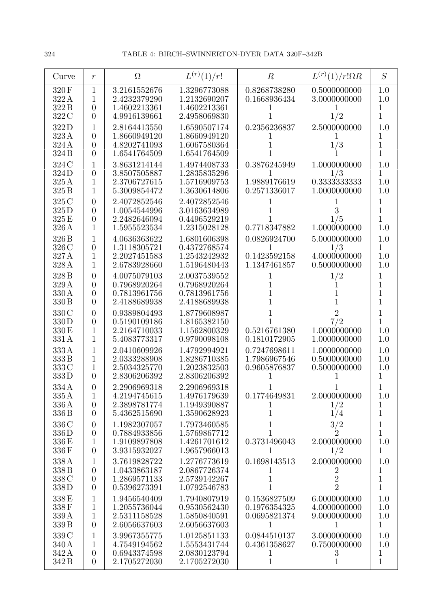| Curve                                       | $\boldsymbol{r}$                                                      | $\Omega$                                                     | $L^{(r)}(1)/r!$                                              | $\boldsymbol{R}$                                  | $L^{(r)}(1)/r!\Omega R$                               | S                                                         |
|---------------------------------------------|-----------------------------------------------------------------------|--------------------------------------------------------------|--------------------------------------------------------------|---------------------------------------------------|-------------------------------------------------------|-----------------------------------------------------------|
| 320F<br>322A<br>322B                        | $\mathbf{1}$<br>$\mathbf{1}$<br>$\theta$                              | 3.2161552676<br>2.4232379290<br>1.4602213361                 | 1.3296773088<br>1.2132690207<br>1.4602213361                 | 0.8268738280<br>0.1668936434                      | 0.5000000000<br>3.0000000000                          | 1.0<br>1.0<br>1                                           |
| 322 C<br>322D                               | $\overline{0}$<br>1                                                   | 4.9916139661<br>2.8164413550                                 | 2.4958069830<br>1.6590507174                                 | 0.2356236837                                      | 1/2<br>2.5000000000                                   | $\mathbf 1$<br>1.0                                        |
| 323A<br>324A<br>324 <sub>B</sub>            | $\overline{0}$<br>$\overline{0}$<br>$\overline{0}$                    | 1.8660949120<br>4.8202741093<br>1.6541764509                 | 1.8660949120<br>1.6067580364<br>1.6541764509                 |                                                   | 1/3                                                   | 1<br>1<br>$\mathbf{1}$                                    |
| 324 C<br>324D<br>325 A<br>325 B             | 1<br>$\overline{0}$<br>$\mathbf{1}$<br>$\mathbf{1}$                   | 3.8631214144<br>3.8507505887<br>2.3706727615<br>5.3009854472 | 1.4974408733<br>1.2835835296<br>1.5716909753<br>1.3630614806 | 0.3876245949<br>1<br>1.9889176619<br>0.2571336017 | 1.0000000000<br>1/3<br>0.3333333333<br>1.0000000000   | 1.0<br>$\mathbf 1$<br>1.0<br>1.0                          |
| 325 C<br>325D<br>325 E<br>326A              | $\overline{0}$<br>$\overline{0}$<br>$\overline{0}$<br>1               | 2.4072852546<br>1.0054544996<br>2.2482646094<br>1.5955523534 | 2.4072852546<br>3.0163634989<br>0.4496529219<br>1.2315028128 | 1<br>0.7718347882                                 | 3<br>1/5<br>1.0000000000                              | 1<br>$\overline{1}$<br>$\overline{1}$<br>1.0              |
| 326 <sub>B</sub><br>326 C<br>327 A<br>328 A | 1<br>$\boldsymbol{0}$<br>$\mathbf{1}$<br>1                            | 4.0636363622<br>1.3118305721<br>2.2027451583<br>2.6783928660 | 1.6801606398<br>0.4372768574<br>1.2543242932<br>1.5196480443 | 0.0826924700<br>1<br>0.1423592158<br>1.1347461857 | 5.0000000000<br>1/3<br>4.0000000000<br>0.5000000000   | 1.0<br>$\mathbf{1}$<br>1.0<br>1.0                         |
| 328 <sub>B</sub><br>329 A<br>330 A<br>330 B | $\overline{0}$<br>$\overline{0}$<br>$\theta$<br>$\overline{0}$        | 4.0075079103<br>0.7968920264<br>0.7813961756<br>2.4188689938 | 2.0037539552<br>0.7968920264<br>0.7813961756<br>2.4188689938 | 1<br>1                                            | 1/2                                                   | $\mathbf 1$<br>$\mathbf 1$<br>$\mathbf 1$<br>$\mathbf{1}$ |
| 330 C<br>330D<br>330 E<br>331 A             | $\overline{0}$<br>$\overline{0}$<br>$\mathbf{1}$<br>1                 | 0.9389804493<br>0.5190109186<br>2.2164710033<br>5.4083773317 | 1.8779608987<br>1.8165382150<br>1.1562800329<br>0.9790098108 | 0.5216761380<br>0.1810172905                      | $\overline{2}$<br>7/2<br>1.0000000000<br>1.0000000000 | 1<br>$\overline{1}$<br>1.0<br>1.0                         |
| 333A<br>333B<br>333C<br>333D                | 1<br>1<br>1<br>$\overline{0}$                                         | 2.0410609926<br>2.0333288908<br>2.5034325770<br>2.8306206392 | 1.4792994921<br>1.8286710385<br>1.2023832503<br>2.8306206392 | 0.7247698611<br>1.7986967546<br>0.9605876837      | 1.0000000000<br>0.5000000000<br>0.5000000000          | 1.0<br>1.0<br>1.0<br>1                                    |
| 334 A<br>335A<br>336 A<br>336 B             | 0<br>$\mathbf{1}$<br>$\overline{0}$<br>$\theta$                       | 2.2906969318<br>4.2194745615<br>2.3898781774<br>5.4362515690 | 2.2906969318<br>1.4976179639<br>1.1949390887<br>1.3590628923 | 0.1774649831<br>1                                 | 2.0000000000<br>1/2<br>1/4                            | 1.0<br>1<br>1                                             |
| 336 C<br>336D<br>336 E<br>336F              | $\boldsymbol{0}$<br>$\boldsymbol{0}$<br>$\mathbf 1$<br>$\overline{0}$ | 1.1982307057<br>0.7884933856<br>1.9109897808<br>3.9315932027 | 1.7973460585<br>1.5769867712<br>1.4261701612<br>1.9657966013 | 1<br>1<br>0.3731496043<br>1                       | $\frac{3}{2}$<br>2.0000000000<br>1/2                  | $\mathbf 1$<br>$\mathbf 1$<br>1.0<br>$\mathbf{1}$         |
| 338A<br>338B<br>338 C<br>338D               | 1<br>$\theta$<br>$\theta$<br>$\overline{0}$                           | 3.7619828722<br>1.0433863187<br>1.2869571133<br>0.5396273391 | 1.2776773619<br>2.0867726374<br>2.5739142267<br>1.0792546783 | 0.1698143513<br>1<br>1<br>1                       | 2.0000000000<br>2<br>$\sqrt{2}$<br>$\overline{2}$     | 1.0<br>1<br>$\mathbf 1$<br>$\overline{1}$                 |
| 338 E<br>338F<br>339 A<br>339 B             | 1<br>$\mathbf 1$<br>$\mathbf{1}$<br>$\overline{0}$                    | 1.9456540409<br>1.2055736044<br>2.5311158528<br>2.6056637603 | 1.7940807919<br>0.9530562430<br>1.5850840591<br>2.6056637603 | 0.1536827509<br>0.1976354325<br>0.0695821374<br>1 | 6.0000000000<br>4.0000000000<br>9.0000000000<br>1     | 1.0<br>1.0<br>1.0<br>$\mathbf{1}$                         |
| 339 C<br>340 A<br>342 A<br>342 B            | 1<br>1<br>$\boldsymbol{0}$<br>$\overline{0}$                          | 3.9967355775<br>4.7549194562<br>0.6943374598<br>2.1705272030 | 1.0125851133<br>1.5553431744<br>2.0830123794<br>2.1705272030 | 0.0844510137<br>0.4361358627<br>1<br>$\mathbf 1$  | 3.0000000000<br>0.7500000000<br>$\boldsymbol{3}$<br>1 | 1.0<br>1.0<br>1<br>$\mathbf{1}$                           |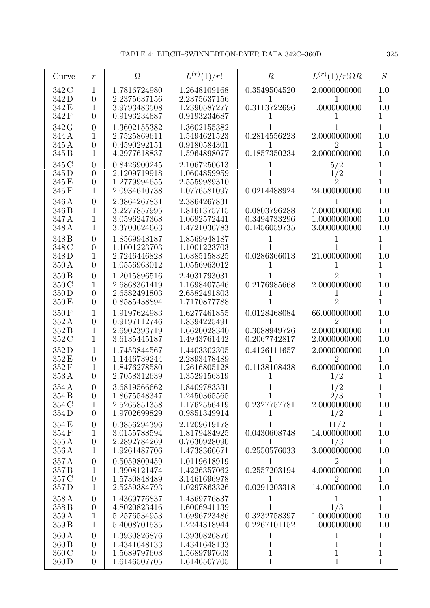| Curve                                                  | $\boldsymbol{r}$                                                       | $\Omega$                                                     | $L^{(r)}(1)/r!$                                              | $\boldsymbol{R}$                                            | $L^{(r)}(1)/r!\Omega R$                               | S                                                |
|--------------------------------------------------------|------------------------------------------------------------------------|--------------------------------------------------------------|--------------------------------------------------------------|-------------------------------------------------------------|-------------------------------------------------------|--------------------------------------------------|
| 342 C<br>342D<br>342 E<br>342F                         | 1<br>$\overline{0}$<br>1<br>$\theta$                                   | 1.7816724980<br>2.2375637156<br>3.9793483508<br>0.9193234687 | 1.2648109168<br>2.2375637156<br>1.2390587277<br>0.9193234687 | 0.3549504520<br>0.3113722696                                | 2.0000000000<br>1.0000000000                          | 1.0<br>1<br>1.0<br>1                             |
| 342 G<br>344 A<br>345 A<br>345 B                       | $\overline{0}$<br>1<br>$\overline{0}$<br>1                             | 1.3602155382<br>2.7525869611<br>0.4590292151<br>4.2977618837 | 1.3602155382<br>1.5494621523<br>0.9180584301<br>1.5964898077 | 0.2814556223<br>0.1857350234                                | 2.0000000000<br>2<br>2.0000000000                     | 1<br>1.0<br>1<br>1.0                             |
| 345 C<br>345 D<br>345 E<br>345 F                       | $\overline{0}$<br>$\overline{0}$<br>$\overline{0}$<br>1                | 0.8426900245<br>2.1209719918<br>1.2779994655<br>2.0934610738 | 2.1067250613<br>1.0604859959<br>2.5559989310<br>1.0776581097 | 0.0214488924                                                | 5/2<br>1/2<br>$\dot 2$<br>24.000000000                | 1<br>1<br>1<br>1.0                               |
| 346 A<br>346 B<br>347 A<br>348 A                       | $\overline{0}$<br>1<br>1<br>1                                          | 2.3864267831<br>3.2277857995<br>3.0596247368<br>3.3700624663 | 2.3864267831<br>1.8161375715<br>1.0692572441<br>1.4721036783 | 0.0803796288<br>0.3494733296<br>0.1456059735                | 7.0000000000<br>1.0000000000<br>3.0000000000          | 1<br>1.0<br>1.0<br>1.0                           |
| 348 <sub>B</sub><br>348 C<br>348D<br>$350\,\mathrm{A}$ | $\overline{0}$<br>$\overline{0}$<br>1<br>$\overline{0}$                | 1.8569948187<br>1.1001223703<br>2.7246446828<br>1.0556963012 | 1.8569948187<br>1.1001223703<br>1.6385158325<br>1.0556963012 | 0.0286366013                                                | 21.000000000                                          | 1<br>1<br>1.0<br>1                               |
| 350 <sub>B</sub><br>350 C<br>350D<br>350 E             | $\overline{0}$<br>1<br>$\overline{0}$<br>$\overline{0}$                | 1.2015896516<br>2.6868361419<br>2.6582491803<br>0.8585438894 | 2.4031793031<br>1.1698407546<br>2.6582491803<br>1.7170877788 | 0.2176985668                                                | 2.0000000000<br>2                                     | 1<br>1.0<br>1<br>1                               |
| 350F<br>352A<br>352B<br>352 C                          | 1<br>$\overline{0}$<br>1<br>1                                          | 1.9197624983<br>0.9197112746<br>2.6902393719<br>3.6135445187 | 1.6277461855<br>1.8394225491<br>1.6620028340<br>1.4943761442 | 0.0128468084<br>1<br>0.3088949726<br>0.2067742817           | 66.000000000<br>2<br>2.0000000000<br>2.0000000000     | 1.0<br>$\mathbf 1$<br>1.0<br>1.0                 |
| 352D<br>352 E<br>352F<br>353A                          | 1<br>$\overline{0}$<br>1<br>$\overline{0}$                             | 1.7453844567<br>1.1446739244<br>1.8476278580<br>2.7058312639 | 1.4403302305<br>2.2893478489<br>1.2616805128<br>1.3529156319 | 0.4126111657<br>0.1138108438<br>1                           | 2.0000000000<br>$\overline{2}$<br>6.0000000000<br>1/2 | 1.0<br>1<br>1.0<br>1                             |
| 354A<br>354 B<br>354 C<br>354D                         | $\overline{0}$<br>$\overline{0}$<br>$\mathbf{1}$<br>$\overline{0}$     | 3.6819566662<br>1.8675548347<br>2.5265851358<br>1.9702699829 | 1.8409783331<br>1.2450365565<br>1.1762556419<br>0.9851349914 | 1<br>0.2327757781<br>T                                      | 1/2<br>2/3<br>2.0000000000<br>1/2                     | $\mathbf{1}$<br>1.0<br>1                         |
| 354 E<br>354F<br>355A<br>356 A                         | $\boldsymbol{0}$<br>1<br>$\boldsymbol{0}$<br>1                         | 0.3856294396<br>3.0155788594<br>2.2892784269<br>1.9261487706 | 2.1209619178<br>1.8179484925<br>0.7630928090<br>1.4738366671 | 1<br>0.0430608748<br>0.2550576033                           | 11/2<br>14.000000000<br>1/3<br>3.0000000000           | $\mathbf{1}$<br>1.0<br>1<br>1.0                  |
| 357A<br>357 <sub>B</sub><br>357 C<br>357D              | $\boldsymbol{0}$<br>1<br>$\boldsymbol{0}$<br>1                         | 0.5059809459<br>1.3908121474<br>1.5730848489<br>2.5259384793 | 1.0119618919<br>1.4226357062<br>3.1461696978<br>1.0297863326 | 1<br>0.2557203194<br>1<br>0.0291203318                      | $\overline{2}$<br>4.0000000000<br>2<br>14.000000000   | $\mathbf 1$<br>1.0<br>1<br>1.0                   |
| 358 A<br>358 B<br>359 A<br>359 B                       | $\overline{0}$<br>$\boldsymbol{0}$<br>$\mathbf{1}$<br>$\mathbf{1}$     | 1.4369776837<br>4.8020823416<br>5.2576534953<br>5.4008701535 | 1.4369776837<br>1.6006941139<br>1.6996723486<br>1.2244318944 | $\mathbf{1}$<br>1<br>0.3232758397<br>0.2267101152           | $\mathbf{1}$<br>1/3<br>1.0000000000<br>1.0000000000   | $\mathbf{1}$<br>$\mathbf{1}$<br>1.0<br>1.0       |
| 360 A<br>360 B<br>360 C<br>360D                        | $\overline{0}$<br>$\overline{0}$<br>$\boldsymbol{0}$<br>$\overline{0}$ | 1.3930826876<br>1.4341648133<br>1.5689797603<br>1.6146507705 | 1.3930826876<br>1.4341648133<br>1.5689797603<br>1.6146507705 | $\mathbf 1$<br>$\mathbf{1}$<br>$\mathbf{1}$<br>$\mathbf{1}$ | 1<br>$\mathbf 1$<br>$\overline{1}$<br>$\mathbf{1}$    | 1<br>$\mathbf{1}$<br>$\mathbf 1$<br>$\mathbf{1}$ |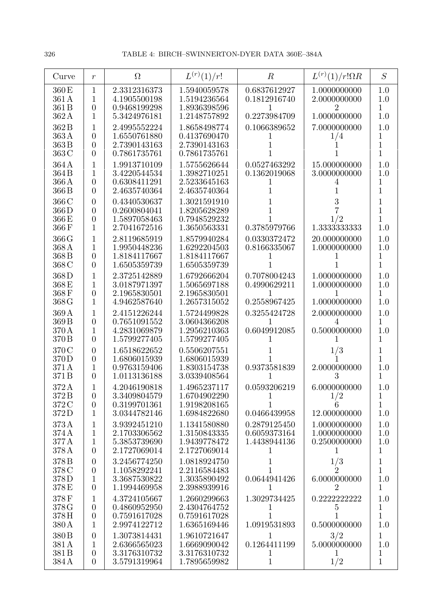| Curve                                      | $\boldsymbol{r}$                                        | $\Omega$                                                     | $L^{(r)}(1)/r!$                                              | $\boldsymbol{R}$                                  | $L^{(r)}(1)/r!\Omega R$                             | S                                        |
|--------------------------------------------|---------------------------------------------------------|--------------------------------------------------------------|--------------------------------------------------------------|---------------------------------------------------|-----------------------------------------------------|------------------------------------------|
| 360 E<br>361A<br>361 B                     | $\mathbf{1}$<br>$\mathbf{1}$<br>$\overline{0}$          | 2.3312316373<br>4.1905500198<br>0.9468199298                 | 1.5940059578<br>1.5194236564<br>1.8936398596                 | 0.6837612927<br>0.1812916740                      | 1.0000000000<br>2.0000000000<br>2                   | 1.0<br>1.0<br>$\mathbf 1$                |
| 362A<br>362B                               | 1<br>1                                                  | 5.3424976181<br>2.4995552224                                 | 1.2148757892<br>1.8658498774                                 | 0.2273984709<br>0.1066389652                      | 1.0000000000<br>7.0000000000                        | 1.0<br>1.0                               |
| 363A<br>363B<br>363 C                      | $\overline{0}$<br>$\theta$<br>$\theta$                  | 1.6550761880<br>2.7390143163<br>0.7861735761                 | 0.4137690470<br>2.7390143163<br>0.7861735761                 | $\mathbf{I}$                                      | 1/4                                                 | 1<br>$\overline{1}$<br>$\overline{1}$    |
| 364A<br>364 B<br>366 A<br>366 B            | 1<br>1<br>$\overline{0}$<br>$\theta$                    | 1.9913710109<br>3.4220544534<br>0.6308411291<br>2.4635740364 | 1.5755626644<br>1.3982710251<br>2.5233645163<br>2.4635740364 | 0.0527463292<br>0.1362019068                      | 15.000000000<br>3.0000000000<br>4                   | 1.0<br>1.0<br>1<br>1                     |
| 366 C<br>366D<br>366 E<br>366F             | $\theta$<br>$\theta$<br>$\theta$<br>1                   | 0.4340530637<br>0.2600804041<br>1.5897058463<br>2.7041672516 | 1.3021591910<br>1.8205628289<br>0.7948529232<br>1.3650563331 | 0.3785979766                                      | 3<br>1/2<br>1.3333333333                            | 1<br>1<br>1<br>1.0                       |
| 366G<br>368 A<br>368 B<br>368 C            | 1<br>1<br>$\theta$<br>$\overline{0}$                    | 2.8119685919<br>1.9950448236<br>1.8184117667<br>1.6505359739 | 1.8579940284<br>1.6292204503<br>1.8184117667<br>1.6505359739 | 0.0330372472<br>0.8166335067                      | 20.000000000<br>1.0000000000                        | 1.0<br>1.0<br>1<br>$\overline{1}$        |
| 368D<br>368E<br>368F<br>368 G              | 1<br>1<br>$\theta$<br>1                                 | 2.3725142889<br>3.0187971397<br>2.1965830501<br>4.9462587640 | 1.6792666204<br>1.5065697188<br>2.1965830501<br>1.2657315052 | 0.7078004243<br>0.4990629211<br>0.2558967425      | 1.0000000000<br>1.0000000000<br>1.0000000000        | 1.0<br>1.0<br>1<br>1.0                   |
| 369A<br>369 <sub>B</sub><br>370 A<br>370 B | 1<br>$\overline{0}$<br>1<br>$\theta$                    | 2.4151226244<br>0.7651091552<br>4.2831069879<br>1.5799277405 | 1.5724499828<br>3.0604366208<br>1.2956210363<br>1.5799277405 | 0.3255424728<br>0.6049912085                      | 2.0000000000<br>0.5000000000                        | 1.0<br>1<br>1.0<br>1                     |
| 370 C<br>370D<br>371 A<br>371B             | $\overline{0}$<br>$\overline{0}$<br>1<br>$\overline{0}$ | 1.6518622652<br>1.6806015939<br>0.9763159406<br>1.0113136188 | 0.5506207551<br>1.6806015939<br>1.8303154738<br>3.0339408564 | 0.9373581839<br>1                                 | 1/3<br>2.0000000000<br>3                            | 1<br>1<br>1.0<br>1                       |
| 372A<br>372B<br>372 C<br>372D              | $\overline{0}$<br>$\theta$<br>1                         | 4.2046190818<br>3.3409804579<br>0.3199701361<br>3.0344782146 | 1.4965237117<br>1.6704902290<br>1.9198208165<br>1.6984822680 | 0.0593206219<br>1<br>1<br>0.0466439958            | 6.0000000000<br>1/2<br>12.000000000                 | 1.0<br>1<br>$\overline{1}$<br>1.0        |
| 373A<br>374 A<br>377A<br>378 A             | 1<br>1<br>$\mathbf{1}$<br>$\overline{0}$                | 3.9392451210<br>2.1703306562<br>5.3853739690<br>2.1727069014 | 1.1341580880<br>1.3150843335<br>1.9439778472<br>2.1727069014 | 0.2879125450<br>0.6059373164<br>1.4438944136<br>1 | 1.0000000000<br>1.0000000000<br>0.2500000000<br>T   | 1.0<br>$1.0\,$<br>1.0<br>$\mathbf{1}$    |
| 378 B<br>378 C<br>378D<br>378E             | $\theta$<br>$\boldsymbol{0}$<br>1<br>$\overline{0}$     | 3.2456774250<br>1.1058292241<br>3.3687530822<br>1.1994469958 | 1.0818924750<br>2.2116584483<br>1.3035890492<br>2.3988939916 | 0.0644941426<br>1                                 | $1/3 \over 2$<br>6.0000000000<br>$\overline{2}$     | 1<br>$\overline{1}$<br>1.0<br>1          |
| 378F<br>378 G<br>378H<br>380 A             | 1<br>$\overline{0}$<br>$\overline{0}$<br>1              | 4.3724105667<br>0.4860952950<br>0.7591617028<br>2.9974122712 | 1.2660299663<br>2.4304764752<br>0.7591617028<br>1.6365169446 | 1.3029734425<br>T<br>1<br>1.0919531893            | 0.2222222222<br>$\overline{5}$<br>1<br>0.5000000000 | 1.0<br>1<br>$\overline{1}$<br>1.0        |
| 380 B<br>381 A<br>381 B<br>384 A           | $\theta$<br>1<br>$\boldsymbol{0}$<br>$\overline{0}$     | 1.3073814431<br>2.6366565023<br>3.3176310732<br>3.5791319964 | 1.9610721647<br>1.6669090042<br>3.3176310732<br>1.7895659982 | 1<br>0.1264411199<br>1<br>$1\,$                   | 3/2<br>5.0000000000<br>$\perp$<br>1/2               | $\mathbf{1}$<br>1.0<br>1<br>$\mathbf{1}$ |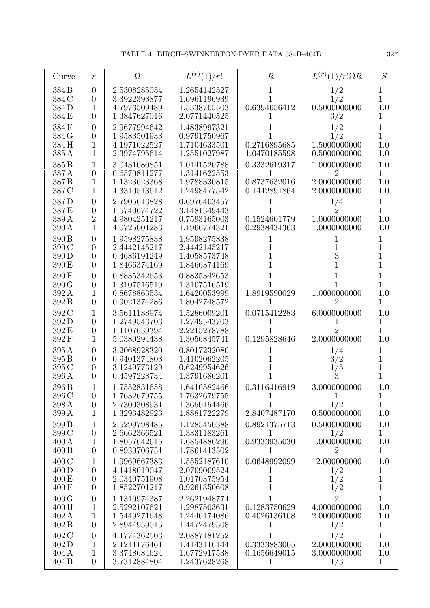| Curve                                                  | $\boldsymbol{r}$                                                       | $\Omega$                                                     | $L^{(r)}(1)/r!$                                              | $\boldsymbol{R}$                                       | $L^{(r)}(1)/r!\Omega R$                               | S                                          |
|--------------------------------------------------------|------------------------------------------------------------------------|--------------------------------------------------------------|--------------------------------------------------------------|--------------------------------------------------------|-------------------------------------------------------|--------------------------------------------|
| 384 B<br>384 C<br>384D<br>384 E                        | $\theta$<br>$\overline{0}$<br>1<br>$\overline{0}$                      | 2.5308285054<br>3.3922393877<br>4.7973509489<br>1.3847627016 | 1.2654142527<br>1.6961196939<br>1.5338705503<br>2.0771440525 | 1<br>0.6394656412<br>1                                 | 1/2<br>1/2<br>0.5000000000<br>3/2                     | 1<br>$\overline{1}$<br>1.0<br>1            |
| 384F<br>384 G<br>384H<br>385 A                         | $\overline{0}$<br>$\boldsymbol{0}$<br>1<br>1                           | 2.9677994642<br>1.9583501933<br>4.1971022527<br>2.3974795614 | 1.4838997321<br>0.9791750967<br>1.7104633501<br>1.2551027987 | 0.2716895685<br>1.0470185598                           | 1/2<br>1/2<br>1.5000000000<br>0.5000000000            | 1<br>$\mathbf{1}$<br>1.0<br>1.0            |
| 385 <sub>B</sub><br>387A<br>387B<br>387 C              | 1<br>$\boldsymbol{0}$<br>1<br>1                                        | 3.0431080851<br>0.6570811277<br>1.1323623368<br>4.3310513612 | 1.0141520788<br>1.3141622553<br>1.9788330815<br>1.2498477542 | 0.3332619317<br>0.8737632016<br>0.1442891864           | 1.0000000000<br>2<br>2.0000000000<br>2.0000000000     | 1.0<br>1<br>1.0<br>1.0                     |
| 387D<br>387 E<br>389 A<br>390 A                        | $\overline{0}$<br>$\overline{0}$<br>$\sqrt{2}$<br>1                    | 2.7905613828<br>1.5740674722<br>4.9804251217<br>4.0725001283 | 0.6976403457<br>3.1481349443<br>0.7593165003<br>1.1966774321 | 0.1524601779<br>0.2938434363                           | 1/4<br>$\dot{2}$<br>1.0000000000<br>1.0000000000      | 1<br>1<br>1.0<br>1.0                       |
| 390 B<br>390 C<br>390D<br>390 E                        | $\boldsymbol{0}$<br>$\overline{0}$<br>$\overline{0}$<br>$\overline{0}$ | 1.9598275838<br>2.4442145217<br>0.4686191249<br>1.8466374169 | 1.9598275838<br>2.4442145217<br>1.4058573748<br>1.8466374169 | 1<br>1                                                 | 1<br>3                                                | 1<br>1<br>$\overline{1}$<br>1              |
| 390F<br>390 G<br>392 A<br>392 B                        | $\overline{0}$<br>$\overline{0}$<br>1<br>$\overline{0}$                | 0.8835342653<br>1.3107516519<br>0.8678863534<br>0.9021374286 | 0.8835342653<br>1.3107516519<br>1.6420053999<br>1.8042748572 | 1.8919590029                                           | 1.0000000000<br>2                                     | 1<br>1<br>1.0<br>1                         |
| 392 C<br>392D<br>392 E<br>392F                         | $\mathbf{1}$<br>$\boldsymbol{0}$<br>$\boldsymbol{0}$<br>1              | 3.5611188974<br>1.2749543703<br>1.1107639394<br>5.0380294438 | 1.5286009201<br>1.2749543703<br>2.2215278788<br>1.3056845741 | 0.0715412283<br>0.1295828646                           | 6.0000000000<br>2<br>2.0000000000                     | 1.0<br>1<br>1<br>1.0                       |
| 395A<br>395 <sub>B</sub><br>395 C<br>396 A             | $\overline{0}$<br>$\overline{0}$<br>$\overline{0}$<br>$\overline{0}$   | 3.2068928320<br>0.9401374803<br>3.1249773129<br>0.4597228734 | 0.8017232080<br>1.4102062205<br>0.6249954626<br>1.3791686201 |                                                        | 1/4<br>3/2<br>/5<br>3                                 | 1<br>1<br>1<br>1                           |
| 396 <sub>B</sub><br>396 C<br>398 A<br>399 A            | 1<br>$\boldsymbol{0}$<br>$\overline{0}$<br>$\mathbf{1}$                | 1.7552831658<br>1.7632679755<br>2.7300308931<br>1.3293482923 | 1.6410582466<br>1.7632679755<br>1.3650154466<br>1.8881722279 | 0.3116416919<br>$\mathbf{1}$<br>1<br>2.8407487170      | 3.0000000000<br>$\mathbf{1}$<br>1/2<br>0.5000000000   | 1.0<br>$\mathbf{1}$<br>$\mathbf{1}$<br>1.0 |
| 399 <sub>B</sub><br>399 C<br>$400\,\mathrm{A}$<br>400B | 1<br>$\boldsymbol{0}$<br>1<br>$\overline{0}$                           | 2.5299798485<br>2.6662366521<br>1.8057642615<br>0.8930706751 | 1.1285450388<br>1.3331183261<br>1.6854886296<br>1.7861413502 | 0.8921375713<br>1<br>0.9333935030<br>1                 | 0.5000000000<br>1/2<br>1.0000000000<br>$\overline{2}$ | 1.0<br>1<br>1.0<br>1                       |
| 400C<br>400D<br>400 E<br>400F                          | 1<br>$\overline{0}$<br>$\boldsymbol{0}$<br>$\boldsymbol{0}$            | 1.9969667383<br>4.1418019047<br>2.0340751908<br>1.8522701217 | 1.5552187610<br>2.0709009524<br>1.0170375954<br>0.9261350608 | 0.0648992099<br>$\perp$<br>$\mathbf 1$<br>$\mathbf{1}$ | 12.000000000<br>1/2<br>1/2<br>1/2                     | 1.0<br>1<br>$\mathbf{1}$<br>$\mathbf{1}$   |
| 400G<br>400H<br>402A<br>402B                           | $\boldsymbol{0}$<br>$\mathbf{1}$<br>$\mathbf{1}$<br>$\overline{0}$     | 1.1310974387<br>2.5292107621<br>1.5449271648<br>2.8944959015 | 2.2621948774<br>1.2987503631<br>1.2440174086<br>1.4472479508 | 1<br>0.1283750629<br>0.4026136108<br>1                 | $\overline{2}$<br>4.0000000000<br>2.0000000000<br>1/2 | $\mathbf{1}$<br>1.0<br>1.0<br>1            |
| 402 C<br>402D<br>404A<br>404 B                         | $\boldsymbol{0}$<br>1<br>$\mathbf{1}$<br>$\overline{0}$                | 4.1774362503<br>2.1211176461<br>3.3748684624<br>3.7312884804 | 2.0887181252<br>1.4143116144<br>1.6772917538<br>1.2437628268 | 1<br>0.3333883005<br>0.1656649015<br>1                 | 1/2<br>2.0000000000<br>3.0000000000<br>1/3            | 1<br>1.0<br>1.0<br>$\mathbf{1}$            |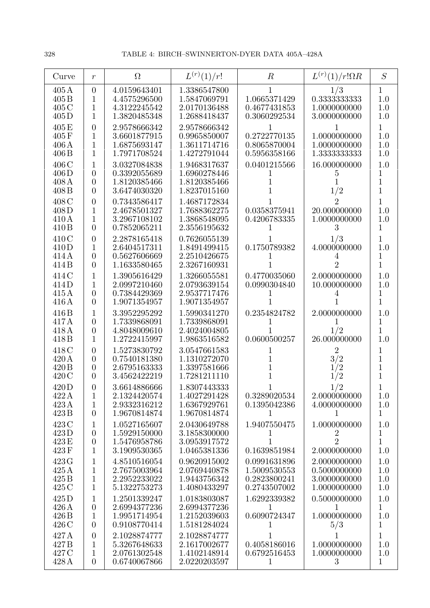| Curve                                       | $\boldsymbol{r}$                                                     | $\Omega$                                                     | $L^{(r)}(1)/r!$                                              | $\boldsymbol{R}$                                             | $L^{(r)}(1)/r!\Omega R$                                      | S                                              |
|---------------------------------------------|----------------------------------------------------------------------|--------------------------------------------------------------|--------------------------------------------------------------|--------------------------------------------------------------|--------------------------------------------------------------|------------------------------------------------|
| $405\,\mathrm{A}$<br>405B<br>405 C<br>405D  | $\overline{0}$<br>1<br>1<br>1                                        | 4.0159643401<br>4.4575296500<br>4.3122245542<br>1.3820485348 | 1.3386547800<br>1.5847069791<br>2.0170136488<br>1.2688418437 | 1.0665371429<br>0.4677431853<br>0.3060292534                 | 1/3<br>0.3333333333<br>1.0000000000<br>3.0000000000          | 1<br>1.0<br>1.0<br>1.0                         |
| 405E<br>405F<br>406A<br>406 <sub>B</sub>    | $\overline{0}$<br>1<br>1<br>1                                        | 2.9578666342<br>3.6601877915<br>1.6875693147<br>1.7971708524 | 2.9578666342<br>0.9965850007<br>1.3611714716<br>1.4272791044 | 0.2722770135<br>0.8065870004<br>0.5956358166                 | 1.0000000000<br>1.0000000000<br>1.3333333333                 | 1<br>1.0<br>1.0<br>1.0                         |
| 406 C<br>406D<br>408A<br>408B               | 1<br>$\overline{0}$<br>$\boldsymbol{0}$<br>$\overline{0}$            | 3.0327084838<br>0.3392055689<br>1.8120385466<br>3.6474030320 | 1.9468317637<br>1.6960278446<br>1.8120385466<br>1.8237015160 | 0.0401215566<br>ı                                            | 16.000000000<br>5<br>1/2                                     | 1.0<br>1<br>1<br>1                             |
| 408 C<br>408D<br>410A<br>410 <sub>B</sub>   | $\overline{0}$<br>1<br>1<br>$\overline{0}$                           | 0.7343586417<br>2.4678501327<br>3.2967108102<br>0.7852065211 | 1.4687172834<br>1.7688362275<br>1.3868548095<br>2.3556195632 | 0.0358375941<br>0.4206783335                                 | 2<br>20.000000000<br>1.0000000000<br>3                       | 1<br>1.0<br>1.0<br>1                           |
| 410C<br>410D<br>414 A<br>414B               | $\overline{0}$<br>1<br>$\boldsymbol{0}$<br>$\overline{0}$            | 2.2878165418<br>2.6404517311<br>0.5627606669<br>1.1633580465 | 0.7626055139<br>1.8491499415<br>2.2510426675<br>2.3267160931 | 0.1750789382                                                 | 1/3<br>4.0000000000<br>4<br>$\overline{2}$                   | 1<br>1.0<br>1<br>$\overline{1}$                |
| 414 C<br>414D<br>415A<br>416 A              | 1<br>1<br>$\overline{0}$<br>$\overline{0}$                           | 1.3905616429<br>2.0997210460<br>0.7384429369<br>1.9071354957 | 1.3266055581<br>2.0793639154<br>2.9537717476<br>1.9071354957 | 0.4770035060<br>0.0990304840                                 | 2.0000000000<br>10.000000000                                 | 1.0<br>1.0<br>1<br>1                           |
| 416 B<br>417A<br>418A<br>418B               | 1<br>$\overline{0}$<br>$\boldsymbol{0}$<br>1                         | 3.3952295292<br>1.7339868091<br>4.8048009610<br>1.2722415997 | 1.5990341270<br>1.7339868091<br>2.4024004805<br>1.9863516582 | 0.2354824782<br>0.0600500257                                 | 2.0000000000<br>1/2<br>26.000000000                          | 1.0<br>$\mathbf 1$<br>$\overline{1}$<br>1.0    |
| 418C<br>420A<br>420 B<br>420C               | $\overline{0}$<br>$\overline{0}$<br>$\overline{0}$<br>$\overline{0}$ | 1.5273830792<br>0.7540181380<br>2.6795163333<br>3.4562422219 | 3.0547661583<br>1.1310272070<br>1.3397581666<br>1.7281211110 | 1<br>1                                                       | $\overline{2}$<br>3/2<br>1/2<br>1/2                          | 1<br>$\mathbf 1$<br>$\mathbf 1$<br>$\mathbf 1$ |
| 420D<br>422A<br>423A<br>423B                | $\overline{0}$<br>1<br>$\mathbf{1}$<br>$\overline{0}$                | 3.6614886666<br>2.1324420574<br>2.9332316212<br>1.9670814874 | 1.8307443333<br>1.4027291428<br>1.6367929761<br>1.9670814874 | 0.3289020534<br>0.1395042386<br>$\mathbf{I}$                 | 1/2<br>2.0000000000<br>4.0000000000                          | 1.0<br>1.0<br>$\mathbf{1}$                     |
| 423 C<br>423D<br>423 E<br>423F              | 1<br>$\boldsymbol{0}$<br>$\boldsymbol{0}$<br>1                       | 1.0527165607<br>1.5929150000<br>1.5476958786<br>3.1909530365 | 2.0430649788<br>3.1858300000<br>3.0953917572<br>1.0465381336 | 1.9407550475<br>T<br>0.1639851984                            | 1.0000000000<br>2<br>$\overline{2}$<br>2.0000000000          | 1.0<br>1<br>$\mathbf{1}$<br>1.0                |
| 423 G<br>425A<br>425 B<br>425 C             | 1<br>$\mathbf{1}$<br>1<br>$\mathbf{1}$                               | 4.8510516054<br>2.7675003964<br>2.2952233022<br>5.1322753273 | 0.9620915002<br>2.0769440878<br>1.9443756342<br>1.4080433297 | 0.0991631896<br>1.5009530553<br>0.2823800241<br>0.2743507002 | 2.0000000000<br>0.5000000000<br>3.0000000000<br>1.0000000000 | 1.0<br>1.0<br>1.0<br>1.0                       |
| 425D<br>426 A<br>426 B<br>426 C             | 1<br>$\boldsymbol{0}$<br>$\mathbf{1}$<br>$\overline{0}$              | 1.2501339247<br>2.6994377236<br>1.9951714954<br>0.9108770414 | 1.0183803087<br>2.6994377236<br>1.2152039603<br>1.5181284024 | 1.6292339382<br>$\mathbf{1}$<br>0.6090724347<br>$\mathbf{I}$ | 0.5000000000<br>$\mathbf{1}$<br>1.0000000000<br>5/3          | 1.0<br>$\mathbf{1}$<br>1.0<br>1                |
| 427 A<br>427 <sub>B</sub><br>427 C<br>428 A | $\boldsymbol{0}$<br>1<br>1<br>$\boldsymbol{0}$                       | 2.1028874777<br>5.3267648633<br>2.0761302548<br>0.6740067866 | 2.1028874777<br>2.1617002677<br>1.4102148914<br>2.0220203597 | 1<br>0.4058186016<br>0.6792516453<br>1                       | 1.0000000000<br>1.0000000000<br>3                            | 1<br>1.0<br>1.0<br>$\mathbf{1}$                |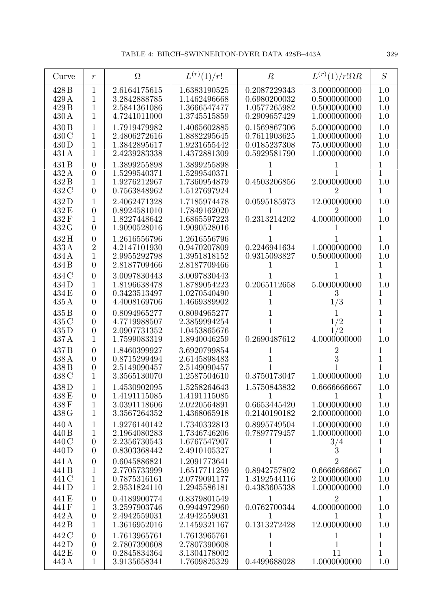| Curve                                       | $\boldsymbol{r}$                                                | $\Omega$                                                     | $L^{(r)}(1)/r!$                                              | $\boldsymbol{R}$                                             | $L^{(r)}(1)/r!\Omega R$                                        | S                                            |
|---------------------------------------------|-----------------------------------------------------------------|--------------------------------------------------------------|--------------------------------------------------------------|--------------------------------------------------------------|----------------------------------------------------------------|----------------------------------------------|
| 428 B<br>429 A<br>429 B<br>430 A            | 1<br>1<br>1<br>1                                                | 2.6164175615<br>3.2842888785<br>2.5841361086<br>4.7241011000 | 1.6383190525<br>1.1462496668<br>1.3666547477<br>1.3745515859 | 0.2087229343<br>0.6980200032<br>1.0577265982<br>0.2909657429 | 3.0000000000<br>0.5000000000<br>0.5000000000<br>1.0000000000   | 1.0<br>1.0<br>1.0<br>1.0                     |
| 430 B<br>430 C<br>430D<br>431 A             | 1<br>1<br>1<br>$\overline{1}$                                   | 1.7919479982<br>2.4806272616<br>1.3842895617<br>2.4239283338 | 1.4065602885<br>1.8882295645<br>1.9231655442<br>1.4372881309 | 0.1569867306<br>0.7611903625<br>0.0185237308<br>0.5929581790 | 5.0000000000<br>1.0000000000<br>75.000000000<br>1.0000000000   | 1.0<br>1.0<br>1.0<br>1.0                     |
| 431 B<br>432 A<br>432B<br>432 C             | $\overline{0}$<br>$\overline{0}$<br>1<br>$\overline{0}$         | 1.3899255898<br>1.5299540371<br>1.9276212967<br>0.7563848962 | 1.3899255898<br>1.5299540371<br>1.7360954879<br>1.5127697924 | 0.4503206856<br>1                                            | 2.0000000000<br>2                                              | 1<br>1<br>1.0<br>1                           |
| 432D<br>432 E<br>432F<br>432 G              | 1<br>$\overline{0}$<br>1<br>$\overline{0}$                      | 2.4062471328<br>0.8924581010<br>1.8227448642<br>1.9090528016 | 1.7185974478<br>1.7849162020<br>1.6865597223<br>1.9090528016 | 0.0595185973<br>0.2313214202                                 | 12.000000000<br>4.0000000000                                   | 1.0<br>1<br>1.0<br>1                         |
| 432H<br>433A<br>434 A<br>434 B              | $\overline{0}$<br>$\overline{2}$<br>1<br>$\overline{0}$         | 1.2616556796<br>4.2147101930<br>2.9955292798<br>2.8187709466 | 1.2616556796<br>0.9470207809<br>1.3951818152<br>2.8187709466 | 0.2246941634<br>0.9315093827                                 | 1.0000000000<br>0.5000000000                                   | 1<br>1.0<br>1.0<br>1                         |
| 434 C<br>434D<br>434 E<br>435A              | $\overline{0}$<br>1<br>$\overline{0}$<br>$\overline{0}$         | 3.0097830443<br>1.8196638478<br>0.3423513497<br>4.4008169706 | 3.0097830443<br>1.8789054223<br>1.0270540490<br>1.4669389902 | 0.2065112658                                                 | 5.0000000000<br>3<br>1/3                                       | 1<br>1.0<br>1<br>1                           |
| 435 <sub>B</sub><br>435 C<br>435D<br>437 A  | $\overline{0}$<br>$\overline{0}$<br>$\overline{0}$<br>1         | 0.8094965277<br>4.7719988507<br>2.0907731352<br>1.7599083319 | 0.8094965277<br>2.3859994254<br>1.0453865676<br>1.8940046259 | 0.2690487612                                                 | 1/2<br>1/2<br>4.0000000000                                     | 1<br>1<br>1<br>1.0                           |
| 437 <sub>B</sub><br>438 A<br>438 B<br>438 C | $\overline{0}$<br>$\overline{0}$<br>$\overline{0}$<br>1         | 1.8460399927<br>0.8715299494<br>2.5149090457<br>3.3565130070 | 3.6920799854<br>2.6145898483<br>2.5149090457<br>1.2587504610 | 1<br>0.3750173047                                            | 2<br>3<br>1.0000000000                                         | 1<br>1<br>1<br>1.0                           |
| 438D<br>438 E<br>438F<br>438 G              | $\boldsymbol{0}$<br>$\mathbf 1$<br>$\mathbf 1$                  | 1.4530902095<br>1.4191115085<br>3.0391118606<br>3.3567264352 | 1.5258264643<br>1.4191115085<br>2.0220564891<br>1.4368065918 | 1.5750843832<br>1<br>0.6653445420<br>0.2140190182            | 0.6666666667<br>1<br>1.0000000000<br>2.0000000000              | 1.0<br>$\mathbf{1}$<br>1.0<br>1.0            |
| 440 A<br>440 B<br>440 C<br>440 D            | 1<br>1<br>$\boldsymbol{0}$<br>$\overline{0}$                    | 1.9276140142<br>2.1964080283<br>2.2356730543<br>0.8303368442 | 1.7340332813<br>1.7346746206<br>1.6767547907<br>2.4910105327 | 0.8995749504<br>0.7897779457<br>1<br>$\mathbf 1$             | 1.0000000000<br>1.0000000000<br>3/4<br>$\ddot{3}$              | 1.0<br>1.0<br>$\mathbf{1}$<br>$\overline{1}$ |
| 441 A<br>441B<br>441 C<br>441 <sub>D</sub>  | $\boldsymbol{0}$<br>1<br>1<br>$\mathbf 1$                       | 0.6045886821<br>2.7705733999<br>0.7875316161<br>2.9531824110 | 1.2091773641<br>1.6517711259<br>2.0779091177<br>1.2945586181 | 1<br>0.8942757802<br>1.3192544116<br>0.4383605338            | $\overline{2}$<br>0.6666666667<br>2.0000000000<br>1.0000000000 | $\mathbf 1$<br>1.0<br>1.0<br>1.0             |
| 441 E<br>441F<br>442 A<br>442 B             | $\overline{0}$<br>$\mathbf 1$<br>$\overline{0}$<br>$\mathbf{1}$ | 0.4189900774<br>3.2597903746<br>2.4942559031<br>1.3616952016 | 0.8379801549<br>0.9944972960<br>2.4942559031<br>2.1459321167 | $\mathbf{1}$<br>0.0762700344<br>1<br>0.1313272428            | $\overline{2}$<br>4.0000000000<br>1<br>12.000000000            | $\overline{1}$<br>1.0<br>$\mathbf{1}$<br>1.0 |
| 442 C<br>442D<br>442 E<br>443 A             | $\overline{0}$<br>$\overline{0}$<br>$\boldsymbol{0}$<br>1       | 1.7613965761<br>2.7807390608<br>0.2845834364<br>3.9135658341 | 1.7613965761<br>2.7807390608<br>3.1304178002<br>1.7609825329 | 1<br>$1\,$<br>1<br>0.4499688028                              | 1<br>$\mathbf 1$<br>11<br>1.0000000000                         | 1<br>$\overline{1}$<br>$\overline{1}$<br>1.0 |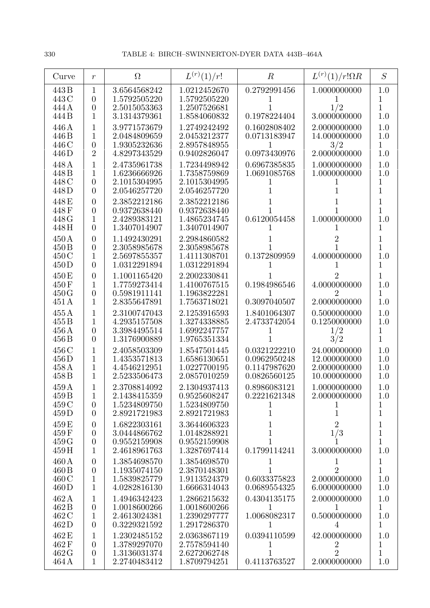| Curve                   | $\,r$                                              | $\Omega$                                     | $L^{(r)}(1)/r!$                              | $\boldsymbol{R}$             | $L^{(r)}(1)/r!\Omega R$        | S                     |
|-------------------------|----------------------------------------------------|----------------------------------------------|----------------------------------------------|------------------------------|--------------------------------|-----------------------|
| 443 B<br>443 C<br>444 A | $\mathbf{1}$<br>$\overline{0}$<br>$\boldsymbol{0}$ | 3.6564568242<br>1.5792505220<br>2.5015053363 | 1.0212452670<br>1.5792505220<br>1.2507526681 | 0.2792991456                 | 1.0000000000<br>1/2            | 1.0<br>1<br>1         |
| 444 B                   | 1                                                  | 3.1314379361                                 | 1.8584060832                                 | 0.1978224404                 | 3.0000000000                   | 1.0                   |
| 446 A<br>446 B          | 1<br>1                                             | 3.9771573679<br>2.0484809659                 | 1.2749242492<br>2.0453212377                 | 0.1602808402<br>0.0713183947 | 2.0000000000<br>14.000000000   | 1.0<br>1.0            |
| 446 C                   | $\overline{0}$                                     | 1.9305232636                                 | 2.8957848955                                 |                              | 3/2                            | 1                     |
| 446D<br>448 A           | $\overline{2}$<br>1                                | 4.8297343529<br>2.4735961738                 | 0.9402826047<br>1.7234498942                 | 0.0973430976<br>0.6967385835 | 2.0000000000<br>1.0000000000   | 1.0<br>1.0            |
| 448B                    | 1                                                  | 1.6236666926                                 | 1.7358759869                                 | 1.0691085768                 | 1.0000000000                   | 1.0                   |
| 448 C<br>448D           | $\overline{0}$<br>$\overline{0}$                   | 2.1015304995<br>2.0546257720                 | 2.1015304995<br>2.0546257720                 |                              |                                | 1<br>1                |
| 448 E                   | $\overline{0}$                                     | 2.3852212186                                 | 2.3852212186                                 |                              |                                | 1                     |
| 448F<br>448 G           | $\overline{0}$<br>1                                | 0.9372638440<br>2.4289383121                 | 0.9372638440<br>1.4865234745                 | 0.6120054458                 | 1.0000000000                   | $\overline{1}$<br>1.0 |
| 448H                    | $\overline{0}$                                     | 1.3407014907                                 | 1.3407014907                                 |                              |                                | 1                     |
| 450 A<br>450 B          | $\overline{0}$<br>$\boldsymbol{0}$                 | 1.1492430291<br>2.3058985678                 | 2.2984860582<br>2.3058985678                 |                              |                                | 1<br>$\overline{1}$   |
| 450 C                   | 1                                                  | 2.5697855357                                 | 1.4111308701                                 | 0.1372809959                 | 4.0000000000                   | 1.0                   |
| 450 D                   | $\overline{0}$                                     | 1.0312291894                                 | 1.0312291894                                 |                              |                                | 1                     |
| 450 E<br>450 F          | $\overline{0}$<br>1                                | 1.1001165420<br>1.7759273414                 | 2.2002330841<br>1.4100767515                 | 0.1984986546                 | 4.0000000000                   | 1<br>1.0              |
| 450G                    | $\overline{0}$                                     | 0.5981911141                                 | 1.1963822281                                 |                              | 2                              | 1                     |
| 451 A<br>455A           | 1<br>1                                             | 2.8355647891<br>2.3100747043                 | 1.7563718021<br>2.1253916593                 | 0.3097040507<br>1.8401064307 | 2.0000000000<br>0.5000000000   | 1.0<br>1.0            |
| 455B                    | 1                                                  | 4.2935157508                                 | 1.3274338885                                 | 2.4733742054                 | 0.1250000000                   | 1.0                   |
| 456 A<br>456 B          | $\overline{0}$<br>$\overline{0}$                   | 3.3984495514<br>1.3176900889                 | 1.6992247757<br>1.9765351334                 |                              | 1/2<br>3/2                     | 1<br>$\overline{1}$   |
| 456 C                   | 1                                                  | 2.4058503309                                 | 1.8547501445                                 | 0.0321222210                 | 24.000000000                   | 1.0                   |
| 456D<br>458 A           | 1<br>1                                             | 1.4353571813<br>4.4546212951                 | 1.6586130651<br>1.0227700195                 | 0.0962950248<br>0.1147987620 | 12.000000000<br>2.0000000000   | 1.0<br>1.0            |
| 458 B                   | 1                                                  | 2.5233506473                                 | 2.0857010259                                 | 0.0826560125                 | 10.000000000                   | 1.0                   |
| 459 A<br>459 B          | $\mathbf{1}$                                       | 2.3708814092<br>2.1438415359                 | 2.1304937413<br>0.9525608247                 | 0.8986083121<br>0.2221621348 | 1.0000000000<br>2.0000000000   | 1.0<br>1.0            |
| 459 C                   | $\overline{0}$                                     | 1.5234809750                                 | 1.5234809750                                 |                              |                                | 1                     |
| 459D                    | $\overline{0}$                                     | 2.8921721983                                 | 2.8921721983                                 | 1                            | 1                              | 1                     |
| 459 E<br>459 F          | $\boldsymbol{0}$<br>$\boldsymbol{0}$               | 1.6822303161<br>3.0444866762                 | 3.3644606323<br>1.0148288921                 | 1                            | $\overline{2}$<br>1/3          | 1<br>$\mathbf{1}$     |
| 459 G                   | $\boldsymbol{0}$                                   | 0.9552159908                                 | 0.9552159908                                 |                              |                                | $\mathbf 1$           |
| 459H<br>460 A           | $\mathbf{1}$<br>$\boldsymbol{0}$                   | 2.4618961763<br>1.3854698570                 | 1.3287697414<br>1.3854698570                 | 0.1799114241<br>1            | 3.0000000000<br>1              | 1.0<br>$\mathbf{1}$   |
| 460 B                   | $\boldsymbol{0}$                                   | 1.1935074150                                 | 2.3870148301                                 |                              | $\overline{2}$                 | $\mathbf{1}$          |
| 460C<br>460 D           | 1<br>1                                             | 1.5839825779<br>4.0282816130                 | 1.9113524379<br>1.6666314043                 | 0.6033375823<br>0.0689554325 | 2.0000000000<br>6.0000000000   | 1.0<br>1.0            |
| 462A                    | $\mathbf{1}$                                       | 1.4946342423                                 | 1.2866215632                                 | 0.4304135175                 | 2.0000000000                   | 1.0                   |
| 462B<br>462 C           | $\boldsymbol{0}$<br>$\mathbf{1}$                   | 1.0018600266<br>2.4613024381                 | 1.0018600266<br>1.2390297777                 | 1<br>1.0068082317            | 1<br>0.5000000000              | $\mathbf{1}$<br>1.0   |
| 462D                    | $\overline{0}$                                     | 0.3229321592                                 | 1.2917286370                                 | 1                            | 4                              | $\mathbf{1}$          |
| 462 E<br>462F           | 1<br>$\theta$                                      | 1.2302485152<br>1.3789297070                 | 2.0363867119<br>2.7578594140                 | 0.0394110599                 | 42.000000000<br>$\overline{2}$ | 1.0<br>$\mathbf 1$    |
| 462G                    | $\boldsymbol{0}$                                   | 1.3136031374                                 | 2.6272062748                                 | 1                            | $\overline{2}$                 | $\overline{1}$        |
| 464 A                   | $\mathbf{1}$                                       | 2.2740483412                                 | 1.8709794251                                 | 0.4113763527                 | 2.0000000000                   | 1.0                   |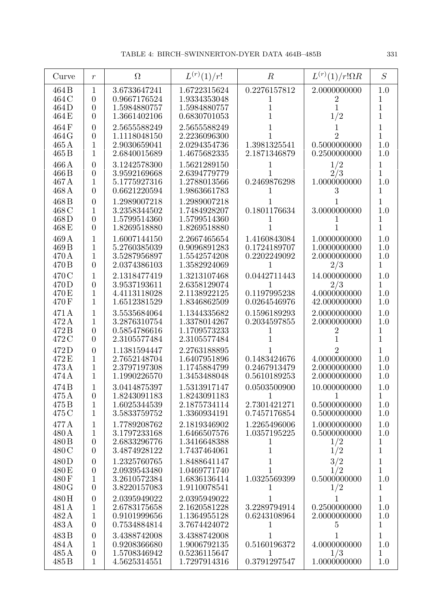| Curve                                       | $\boldsymbol{r}$                                                     | $\Omega$                                                     | $L^{(r)}(1)/r!$                                              | $\boldsymbol{R}$                                    | $L^{(r)}(1)/r!\Omega R$                             | S                                          |
|---------------------------------------------|----------------------------------------------------------------------|--------------------------------------------------------------|--------------------------------------------------------------|-----------------------------------------------------|-----------------------------------------------------|--------------------------------------------|
| 464 B<br>464 C<br>464D                      | $\mathbf 1$<br>$\overline{0}$<br>$\boldsymbol{0}$                    | 3.6733647241<br>0.9667176524<br>1.5984880757                 | 1.6722315624<br>1.9334353048<br>1.5984880757                 | 0.2276157812<br>1<br>1                              | 2.0000000000<br>$\mathbf 2$<br>1                    | 1.0<br>1<br>$\mathbf{1}$                   |
| 464 E<br>464F                               | $\overline{0}$<br>$\overline{0}$                                     | 1.3661402106<br>2.5655588249                                 | 0.6830701053<br>2.5655588249                                 | 1                                                   | 1/2                                                 | 1<br>1                                     |
| 464 G<br>$465\,\mathrm{A}$<br>465B          | $\overline{0}$<br>1<br>1                                             | 1.1118048150<br>2.9030659041<br>2.6840015689                 | 2.2236096300<br>2.0294354736<br>1.4675682335                 | 1.3981325541<br>2.1871346879                        | $\overline{2}$<br>0.5000000000<br>0.2500000000      | $\mathbf{1}$<br>1.0<br>1.0                 |
| 466 A<br>466 B<br>467 A<br>468 A            | $\overline{0}$<br>$\overline{0}$<br>1<br>$\overline{0}$              | 3.1242578300<br>3.9592169668<br>5.1775927316<br>0.6621220594 | 1.5621289150<br>2.6394779779<br>1.2788013566<br>1.9863661783 | 0.2469876298                                        | 1/2<br>2/3<br>1.0000000000                          | $\mathbf 1$<br>1<br>1.0<br>1               |
| 468B<br>468 C<br>468D<br>468E               | $\overline{0}$<br>1<br>$\overline{0}$<br>$\overline{0}$              | 1.2989007218<br>3.2358344502<br>1.5799514360<br>1.8269518880 | 1.2989007218<br>1.7484928207<br>1.5799514360<br>1.8269518880 | 0.1801176634<br>$\mathbf{I}$                        | 3.0000000000                                        | 1<br>1.0<br>1<br>1                         |
| 469 A<br>469 <sub>B</sub><br>470 A<br>470 B | 1<br>1<br>1<br>$\overline{0}$                                        | 1.6007144150<br>5.2760385039<br>3.5287956897<br>2.0374386103 | 2.2667465654<br>0.9096891283<br>1.5542574208<br>1.3582924069 | 1.4160843084<br>0.1724189707<br>0.2202249092<br>1   | 1.0000000000<br>1.0000000000<br>2.0000000000<br>2/3 | 1.0<br>1.0<br>1.0<br>$\mathbf{1}$          |
| 470 C<br>470 D<br>470 E<br>470 F            | 1<br>$\overline{0}$<br>1<br>1                                        | 2.1318477419<br>3.9537193611<br>4.4113118028<br>1.6512381529 | 1.3213107468<br>2.6358129074<br>2.1138922125<br>1.8346862509 | 0.0442711443<br>0.1197995238<br>0.0264546976        | 14.000000000<br>2/3<br>4.0000000000<br>42.000000000 | 1.0<br>1<br>1.0<br>1.0                     |
| 471 A<br>472 A<br>472B<br>472 C             | 1<br>1<br>$\boldsymbol{0}$<br>$\overline{0}$                         | 3.5535684064<br>3.2876310754<br>0.5854786616<br>2.3105577484 | 1.1344335682<br>1.3378014267<br>1.1709573233<br>2.3105577484 | 0.1596189293<br>0.2034597855                        | 2.0000000000<br>2.0000000000                        | 1.0<br>1.0<br>1<br>$\mathbf{1}$            |
| 472D<br>472 E<br>473 A<br>474 A             | $\boldsymbol{0}$<br>1<br>1<br>1                                      | 1.1381594447<br>2.7652148704<br>2.3797197308<br>1.1990226570 | 2.2763188895<br>1.6407951896<br>1.1745884799<br>1.3453488048 | 0.1483424676<br>0.2467913479<br>0.5610189253        | 2<br>4.0000000000<br>2.0000000000<br>2.0000000000   | 1<br>1.0<br>1.0<br>1.0                     |
| 474 B<br>475 A<br>475B<br>475 C             | $\boldsymbol{0}$<br>$\mathbf{1}$<br>$\mathbf{1}$                     | 3.0414875397<br>1.8243091183<br>1.6025344539<br>3.5833759752 | 1.5313917147<br>1.8243091183<br>2.1875734114<br>1.3360934191 | 0.0503500900<br>1<br>2.7301421271<br>0.7457176854   | 10.000000000<br>1<br>0.5000000000<br>0.5000000000   | 1.0<br>$\mathbf{1}$<br>1.0<br>1.0          |
| 477 A<br>480 A<br>480 B<br>480 C            | $\mathbf{1}$<br>$\mathbf 1$<br>$\boldsymbol{0}$<br>$\overline{0}$    | 1.7789208762<br>3.1797233168<br>2.6833296776<br>3.4874928122 | 2.1819346902<br>1.6466507576<br>1.3416648388<br>1.7437464061 | 1.2265496006<br>1.0357195225<br>1<br>$\mathbf{1}$   | 1.0000000000<br>0.5000000000<br>1/2<br>1/2          | 1.0<br>1.0<br>$\mathbf 1$<br>$\mathbf{1}$  |
| 480 D<br>480 E<br>480F<br>480 G             | $\boldsymbol{0}$<br>$\boldsymbol{0}$<br>1<br>$\overline{0}$          | 1.2325760765<br>2.0939543480<br>3.2610572384<br>3.8220157083 | 1.8488641147<br>1.0469771740<br>1.6836136414<br>1.9110078541 | $\mathbf{1}$<br>$\overline{1}$<br>1.0325569399<br>1 | 3/2<br>1/2<br>0.5000000000<br>1/2                   | $\mathbf 1$<br>$\overline{1}$<br>1.0<br>1  |
| 480H<br>481 A<br>482 A<br>483 A             | $\boldsymbol{0}$<br>$\mathbf{1}$<br>$\mathbf{1}$<br>$\boldsymbol{0}$ | 2.0395949022<br>2.6783175658<br>0.9101999656<br>0.7534884814 | 2.0395949022<br>2.1620581228<br>1.1364955128<br>3.7674424072 | 1<br>3.2289794914<br>0.6243108964<br>1              | 1<br>0.2500000000<br>2.0000000000<br>5              | $\mathbf{1}$<br>1.0<br>1.0<br>$\mathbf{1}$ |
| 483B<br>484 A<br>485A<br>$485\,\mathrm{B}$  | $\boldsymbol{0}$<br>1<br>$\boldsymbol{0}$<br>$\mathbf{1}$            | 3.4388742008<br>0.9208366680<br>1.5708346942<br>4.5625314551 | 3.4388742008<br>1.9006792135<br>0.5236115647<br>1.7297914316 | 1<br>0.5160196372<br>1<br>0.3791297547              | 1<br>4.0000000000<br>1/3<br>1.0000000000            | $\mathbf{1}$<br>1.0<br>$\mathbf{1}$<br>1.0 |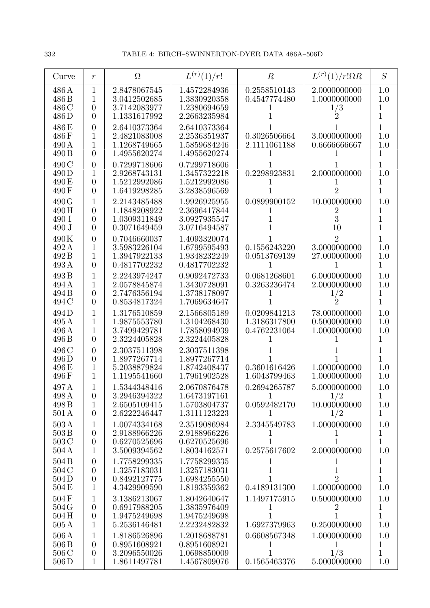| Curve                                      | $\boldsymbol{r}$                                                    | $\Omega$                                                     | $L^{(r)}(1)/r!$                                              | $\, R \,$                                    | $L^{(r)}(1)/r!\Omega R$                             | S                                 |
|--------------------------------------------|---------------------------------------------------------------------|--------------------------------------------------------------|--------------------------------------------------------------|----------------------------------------------|-----------------------------------------------------|-----------------------------------|
| 486 A<br>486 <sub>B</sub><br>486 C<br>486D | $\mathbf{1}$<br>1<br>$\overline{0}$<br>$\overline{0}$               | 2.8478067545<br>3.0412502685<br>3.7142083977<br>1.1331617992 | 1.4572284936<br>1.3830920358<br>1.2380694659<br>2.2663235984 | 0.2558510143<br>0.4547774480<br>T            | 2.0000000000<br>1.0000000000<br>1/3                 | 1.0<br>1.0<br>1<br>1              |
| 486 E<br>486F<br>490A<br>490 B             | $\overline{0}$<br>1<br>1<br>$\overline{0}$                          | 2.6410373364<br>2.4821083008<br>1.1268749665<br>1.4955620274 | 2.6410373364<br>2.2536351937<br>1.5859684246<br>1.4955620274 | 0.3026506664<br>2.1111061188                 | 3.0000000000<br>0.6666666667                        | 1<br>1.0<br>1.0<br>1              |
| 490 C<br>490 D<br>490 E<br>490 F           | $\overline{0}$<br>1<br>$\boldsymbol{0}$<br>$\overline{0}$           | 0.7299718606<br>2.9268743131<br>1.5212992086<br>1.6419298285 | 0.7299718606<br>1.3457322218<br>1.5212992086<br>3.2838596569 | 0.2298923831<br>T                            | 2.0000000000<br>$\overline{2}$                      | 1<br>1.0<br>1<br>1                |
| 490 G<br>490H<br>490 I<br>490 J            | 1<br>$\overline{0}$<br>$\overline{0}$<br>$\overline{0}$             | 2.2143485488<br>1.1848208922<br>1.0309311849<br>0.3071649459 | 1.9926925955<br>2.3696417844<br>3.0927935547<br>3.0716494587 | 0.0899900152<br>$\mathbf{I}$                 | 10.000000000<br>2<br>3<br>10                        | 1.0<br>1<br>1<br>1                |
| 490K<br>492 A<br>492B<br>493 A             | $\overline{0}$<br>1<br>1<br>$\overline{0}$                          | 0.7046660037<br>3.5983226104<br>1.3947922133<br>0.4817702232 | 1.4093320074<br>1.6799595493<br>1.9348232249<br>0.4817702232 | 0.1556243220<br>0.0513769139                 | $\overline{2}$<br>3.0000000000<br>27.000000000      | 1<br>1.0<br>1.0<br>$\mathbf 1$    |
| 493B<br>494 A<br>494 B<br>494 C            | 1<br>1<br>$\boldsymbol{0}$<br>$\overline{0}$                        | 2.2243974247<br>2.0578845874<br>2.7476356194<br>0.8534817324 | 0.9092472733<br>1.3430728091<br>1.3738178097<br>1.7069634647 | 0.0681268601<br>0.3263236474                 | 6.0000000000<br>2.0000000000<br>$\frac{1}{2}$       | 1.0<br>1.0<br>1<br>1              |
| 494D<br>495A<br>496 A<br>496 B             | 1<br>1<br>1<br>$\overline{0}$                                       | 1.3176510859<br>1.9875553780<br>3.7499429781<br>2.3224405828 | 2.1566805189<br>1.3104268430<br>1.7858094939<br>2.3224405828 | 0.0209841213<br>1.3186317800<br>0.4762231064 | 78.000000000<br>0.5000000000<br>1.0000000000        | 1.0<br>1.0<br>1.0<br>1            |
| 496 C<br>496D<br>496 E<br>496F             | $\overline{0}$<br>$\overline{0}$<br>1<br>1                          | 2.3037511398<br>1.8977267714<br>5.2038879824<br>1.1195541660 | 2.3037511398<br>1.8977267714<br>1.8742408437<br>1.7961902528 | 0.3601616426<br>1.6043799463                 | 1.0000000000<br>1.0000000000                        | 1<br>1<br>1.0<br>1.0              |
| 497 A<br>498 A<br>498 B<br>501A            | $\boldsymbol{0}$<br>$\mathbf{1}$<br>$\theta$                        | 1.5344348416<br>3.2946394322<br>2.6505109415<br>2.6222246447 | 2.0670876478<br>1.6473197161<br>1.5703804737<br>1.3111123223 | 0.2694265787<br>$\perp$<br>0.0592482170<br>L | 5.0000000000<br>1/2<br>10.000000000<br>1/2          | 1.0<br>1<br>1.0<br>$\mathbf{1}$   |
| 503A<br>503B<br>503C<br>504A               | $\mathbf 1$<br>$\boldsymbol{0}$<br>$\boldsymbol{0}$<br>$\mathbf{1}$ | 1.0074334168<br>2.9188966226<br>0.6270525696<br>3.5009394562 | 2.3519086984<br>2.9188966226<br>0.6270525696<br>1.8034162571 | 2.3345549783<br>$\perp$<br>1<br>0.2575617602 | 1.0000000000<br>1<br>2.0000000000                   | 1.0<br>1<br>$\mathbf 1$<br>1.0    |
| 504 <sub>B</sub><br>504 C<br>504D<br>504 E | $\overline{0}$<br>$\overline{0}$<br>$\boldsymbol{0}$<br>1           | 1.7758299335<br>1.3257183031<br>0.8492127775<br>4.3429909590 | 1.7758299335<br>1.3257183031<br>1.6984255550<br>1.8193359362 | 1<br>0.4189131300                            | 1<br>$\overline{2}$<br>1.0000000000                 | 1<br>1<br>$\overline{1}$<br>1.0   |
| 504F<br>504G<br>504H<br>$505\,\mathrm{A}$  | 1<br>$\overline{0}$<br>$\boldsymbol{0}$<br>$\mathbf{1}$             | 3.1386213067<br>0.6917988205<br>1.9475249698<br>5.2536146481 | 1.8042640647<br>1.3835976409<br>1.9475249698<br>2.2232482832 | 1.1497175915<br>1<br>1<br>1.6927379963       | 0.5000000000<br>$\overline{2}$<br>1<br>0.2500000000 | 1.0<br>1<br>$\overline{1}$<br>1.0 |
| 506A<br>506B<br>506C<br>$506\,\mathrm{D}$  | 1<br>$\boldsymbol{0}$<br>$\boldsymbol{0}$<br>$\mathbf{1}$           | 1.8186526896<br>0.8951608921<br>3.2096550026<br>1.8611497781 | 1.2018688781<br>0.8951608921<br>1.0698850009<br>1.4567809076 | 0.6608567348<br>1<br>1<br>0.1565463376       | 1.0000000000<br>1<br>1/3<br>5.0000000000            | 1.0<br>1<br>1<br>1.0              |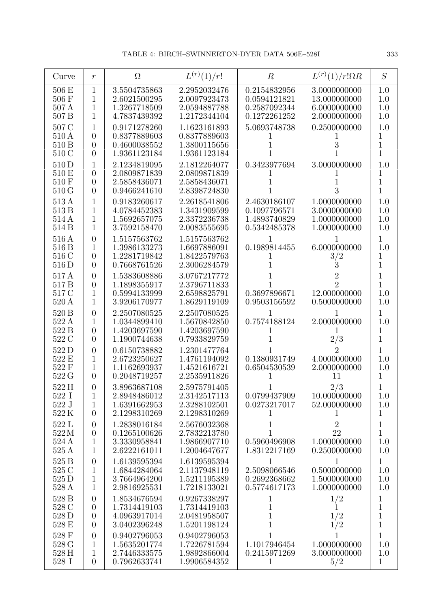| Curve                            | $\boldsymbol{r}$                                                           | $\Omega$                                                     | $L^{(r)}(1)/r!$                                              | $\boldsymbol{R}$                                             | $L^{(r)}(1)/r!\Omega R$                                      | S                                                               |
|----------------------------------|----------------------------------------------------------------------------|--------------------------------------------------------------|--------------------------------------------------------------|--------------------------------------------------------------|--------------------------------------------------------------|-----------------------------------------------------------------|
| 506 E<br>506 F<br>507 A          | 1<br>1<br>1                                                                | 3.5504735863<br>2.6021500295<br>1.3267718509                 | 2.2952032476<br>2.0097923473<br>2.0594887788                 | 0.2154832956<br>0.0594121821<br>0.2587092344                 | 3.0000000000<br>13.000000000<br>6.0000000000                 | 1.0<br>1.0<br>1.0                                               |
| 507 <sub>B</sub>                 | 1                                                                          | 4.7837439392                                                 | 1.2172344104                                                 | 0.1272261252                                                 | 2.0000000000                                                 | 1.0                                                             |
| 507 C<br>510 A<br>510 B<br>510 C | 1<br>$\overline{0}$<br>$\boldsymbol{0}$<br>$\overline{0}$                  | 0.9171278260<br>0.8377889603<br>0.4600038552<br>1.9361123184 | 1.1623161893<br>0.8377889603<br>1.3800115656<br>1.9361123184 | 5.0693748738                                                 | 0.2500000000<br>3                                            | 1.0<br>1<br>1<br>1                                              |
| 510 D<br>510 E<br>510 F<br>510 G | 1<br>$\overline{0}$<br>$\overline{0}$<br>$\overline{0}$                    | 2.1234819095<br>2.0809871839<br>2.5858436071<br>0.9466241610 | 2.1812264077<br>2.0809871839<br>2.5858436071<br>2.8398724830 | 0.3423977694                                                 | 3.0000000000<br>3                                            | 1.0<br>1<br>1<br>1                                              |
| 513 A<br>513 B<br>514 A<br>514 B | 1<br>1<br>1<br>1                                                           | 0.9183260617<br>4.0784452383<br>1.5692657075<br>3.7592158470 | 2.2618541806<br>1.3431909599<br>2.3372236738<br>2.0083555695 | 2.4630186107<br>0.1097796571<br>1.4893740829<br>0.5342485378 | 1.0000000000<br>3.0000000000<br>1.0000000000<br>1.0000000000 | 1.0<br>1.0<br>1.0<br>1.0                                        |
| 516 A<br>516 B<br>516 C<br>516 D | $\overline{0}$<br>1<br>$\boldsymbol{0}$<br>$\overline{0}$                  | 1.5157563762<br>1.3986133273<br>1.2281719842<br>0.7668761526 | 1.5157563762<br>1.6697886091<br>1.8422579763<br>2.3006284579 | 1<br>0.1989814455<br>1                                       | 6.0000000000<br>3/2<br>3                                     | 1<br>1.0<br>1<br>1                                              |
| 517 A<br>517 B<br>517 C<br>520 A | $\overline{0}$<br>$\overline{0}$<br>1<br>1                                 | 1.5383608886<br>1.1898355917<br>0.5994133999<br>3.9206170977 | 3.0767217772<br>2.3796711833<br>2.6598825791<br>1.8629119109 | 0.3697896671<br>0.9503156592                                 | 2<br>$\mathfrak{D}$<br>12.000000000<br>0.5000000000          | 1<br>1<br>1.0<br>1.0                                            |
| 520 B<br>522 A<br>522 B<br>522 C | $\overline{0}$<br>1<br>$\overline{0}$<br>$\overline{0}$                    | 2.2507080525<br>1.0344899410<br>1.4203697590<br>1.1900744638 | 2.2507080525<br>1.5670842850<br>1.4203697590<br>0.7933829759 | 1<br>0.7574188124                                            | 1<br>2.0000000000<br>1<br>2/3                                | $\overline{1}$<br>1.0<br>1<br>$\overline{1}$                    |
| 522D<br>522 E<br>522 F<br>522 G  | $\overline{0}$<br>1<br>1<br>$\overline{0}$                                 | 0.6150738882<br>2.6723250627<br>1.1162693937<br>0.2048719257 | 1.2301477764<br>1.4761194092<br>1.4521616721<br>2.2535911826 | 0.1380931749<br>0.6504530539                                 | 2<br>4.0000000000<br>2.0000000000<br>11                      | 1<br>1.0<br>1.0<br>1                                            |
| 522 H<br>522 I<br>522 J<br>522K  | $\theta$<br>1<br>$\mathbf 1$<br>$\overline{0}$                             | 3.8963687108<br>2.8948486012<br>1.6391662953<br>2.1298310269 | 2.5975791405<br>2.3142517113<br>2.3288102501<br>2.1298310269 | 0.0799437909<br>0.0273217017<br>1                            | 2/3<br>10.000000000<br>52.000000000                          | 1.0<br>1.0<br>1                                                 |
| 522 L<br>522M<br>524 A<br>525A   | $\theta$<br>$\boldsymbol{0}$<br>1<br>$\mathbf 1$                           | 1.2838016184<br>0.1265100626<br>3.3330958841<br>2.6222161011 | 2.5676032368<br>2.7832213780<br>1.9866907710<br>1.2004647677 | 1<br>1<br>0.5960496908<br>1.8312217169                       | $\overline{2}$<br>22<br>1.0000000000<br>0.2500000000         | 1<br>$\mathbf 1$<br>1.0<br>1.0                                  |
| 525 B<br>525 C<br>525 D<br>528 A | $\boldsymbol{0}$<br>$\mathbf 1$<br>$\mathbf 1$<br>$\mathbf 1$              | 1.6139595394<br>1.6844284064<br>3.7664964200<br>2.9816925531 | 1.6139595394<br>2.1137948119<br>1.5211195389<br>1.7218133021 | $\mathbf 1$<br>2.5098066546<br>0.2692368662<br>0.5774617173  | $\mathbf{1}$<br>0.5000000000<br>1.5000000000<br>1.0000000000 | $\mathbf{1}$<br>1.0<br>1.0<br>1.0                               |
| 528 B<br>528 C<br>528D<br>528 E  | $\boldsymbol{0}$<br>$\boldsymbol{0}$<br>$\boldsymbol{0}$<br>$\overline{0}$ | 1.8534676594<br>1.7314419103<br>4.0963917014<br>3.0402396248 | 0.9267338297<br>1.7314419103<br>2.0481958507<br>1.5201198124 | 1<br>1<br>$\mathbf 1$<br>$\mathbf 1$                         | 1/2<br>1<br>1/2<br>1/2                                       | $\mathbf 1$<br>$\overline{1}$<br>$\mathbf{1}$<br>$\overline{1}$ |
| 528 F<br>528 G<br>528 H<br>528 I | $\boldsymbol{0}$<br>$\mathbf 1$<br>$\mathbf 1$<br>$\overline{0}$           | 0.9402796053<br>1.5635201774<br>2.7446333575<br>0.7962633741 | 0.9402796053<br>1.7226781594<br>1.9892866004<br>1.9906584352 | 1<br>1.1017946454<br>0.2415971269<br>$\mathbf 1$             | 1.0000000000<br>3.0000000000<br>5/2                          | 1<br>1.0<br>1.0<br>$\mathbf{1}$                                 |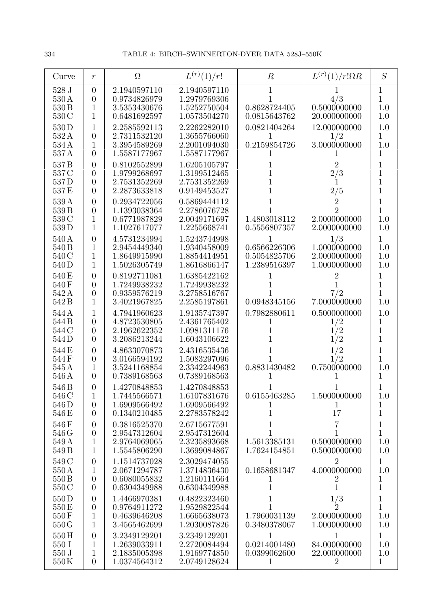| Curve                                      | $\mathfrak{r}$                                                       | $\Omega$                                                     | $L^{(r)}(1)/r!$                                              | $\boldsymbol{R}$                                  | $L^{(r)}(1)/r!\Omega R$                                          | S                                                 |
|--------------------------------------------|----------------------------------------------------------------------|--------------------------------------------------------------|--------------------------------------------------------------|---------------------------------------------------|------------------------------------------------------------------|---------------------------------------------------|
| 528 J<br>530 A<br>530 B<br>530 C           | $\overline{0}$<br>$\theta$<br>1<br>1                                 | 2.1940597110<br>0.9734826979<br>3.5353430676<br>0.6481692597 | 2.1940597110<br>1.2979769306<br>1.5252750504<br>1.0573504270 | 1<br>0.8628724405<br>0.0815643762                 | 4/3<br>0.5000000000<br>20.000000000                              | $\mathbf 1$<br>$\overline{1}$<br>1.0<br>1.0       |
| 530D<br>532A<br>534 A<br>537A              | 1<br>$\boldsymbol{0}$<br>$\mathbf{1}$<br>$\overline{0}$              | 2.2585592113<br>2.7311532120<br>3.3954589269<br>1.5587177967 | 2.2262282010<br>1.3655766060<br>2.2001094030<br>1.5587177967 | 0.0821404264<br>1<br>0.2159854726                 | 12.000000000<br>1/2<br>3.0000000000                              | 1.0<br>1<br>1.0<br>1                              |
| 537 <sub>B</sub><br>537 C<br>537D<br>537E  | $\theta$<br>$\overline{0}$<br>$\theta$<br>$\overline{0}$             | 0.8102552899<br>1.9799268697<br>2.7531352269<br>2.2873633818 | 1.6205105797<br>1.3199512465<br>2.7531352269<br>0.9149453527 | 1<br>1<br>1                                       | $\overline{2}$<br>$2\underset{1}{/3}$<br>2/5                     | 1<br>$\mathbf{1}$<br>1<br>1                       |
| 539A<br>539 B<br>539 C<br>539D             | $\overline{0}$<br>$\theta$<br>$\mathbf{1}$<br>$\mathbf{1}$           | 0.2934722056<br>1.1393038364<br>0.6771987829<br>1.1027617077 | 0.5869444112<br>2.2786076728<br>2.0049171697<br>1.2255668741 | 1.4803018112<br>0.5556807357                      | $\overline{2}$<br>$\overline{2}$<br>2.0000000000<br>2.0000000000 | 1<br>$\mathbf{1}$<br>$1.0\,$<br>1.0               |
| 540 A<br>540 B<br>540 C<br>540D            | $\overline{0}$<br>$\mathbf{1}$<br>$\mathbf{1}$<br>$\mathbf{1}$       | 4.5731234994<br>2.9454449340<br>1.8649915990<br>1.5026305749 | 1.5243744998<br>1.9340458009<br>1.8854414951<br>1.8616866147 | 1<br>0.6566226306<br>0.5054825706<br>1.2389516397 | 1/3<br>1.0000000000<br>2.0000000000<br>1.0000000000              | $\mathbf{1}$<br>1.0<br>1.0<br>1.0                 |
| 540 E<br>540F<br>542 A<br>542B             | $\theta$<br>$\overline{0}$<br>$\overline{0}$<br>$\mathbf{1}$         | 0.8192711081<br>1.7249938232<br>0.9359576219<br>3.4021967825 | 1.6385422162<br>1.7249938232<br>3.2758516767<br>2.2585197861 | 1<br>0.0948345156                                 | $\rm{2}$<br>7/2<br>7.0000000000                                  | 1<br>$\overline{1}$<br>$\overline{1}$<br>1.0      |
| 544 A<br>544B<br>544 C<br>544D             | $\mathbf{1}$<br>$\overline{0}$<br>$\boldsymbol{0}$<br>$\overline{0}$ | 4.7941960623<br>4.8723530805<br>2.1962622352<br>3.2086213244 | 1.9135747397<br>2.4361765402<br>1.0981311176<br>1.6043106622 | 0.7982880611<br>1                                 | 0.5000000000<br>$\frac{1}{2}$<br>1/2                             | 1.0<br>$\mathbf 1$<br>$\mathbf{1}$<br>$\mathbf 1$ |
| 544 E<br>544F<br>545 A<br>546 A            | $\overline{0}$<br>$\overline{0}$<br>1<br>$\overline{0}$              | 4.8633070873<br>3.0166594192<br>3.5241168854<br>0.7389168563 | 2.4316535436<br>1.5083297096<br>2.3342244963<br>0.7389168563 | 0.8831430482<br>1                                 | 1/2<br>1/2<br>0.7500000000                                       | 1<br>1<br>1.0<br>1                                |
| 546 <sub>B</sub><br>546 C<br>546D<br>546 E | $\overline{0}$<br>$\mathbf{1}$<br>$\overline{0}$<br>$\theta$         | 1.4270848853<br>1.7445566571<br>1.6909566492<br>0.1340210485 | 1.4270848853<br>1.6107831676<br>1.6909566492<br>2.2783578242 | 0.6155463285<br>$\mathbf 1$                       | 1.5000000000<br>17                                               | 1.0<br>1<br>$\mathbf 1$                           |
| 546F<br>546 G<br>549 A<br>549 B            | $\theta$<br>$\theta$<br>$\mathbf{1}$<br>$\mathbf{1}$                 | 0.3816525370<br>2.9547312604<br>2.9764069065<br>1.5545806290 | 2.6715677591<br>2.9547312604<br>2.3235893668<br>1.3699084867 | 1.5613385131<br>1.7624154851                      | 7<br>0.5000000000<br>0.5000000000                                | 1<br>$\mathbf 1$<br>1.0<br>1.0                    |
| 549 C<br>550 A<br>550 <sub>B</sub><br>550C | $\overline{0}$<br>$\mathbf{1}$<br>$\boldsymbol{0}$<br>$\overline{0}$ | 1.1514737028<br>2.0671294787<br>0.6080055832<br>0.6304349988 | 2.3029474055<br>1.3714836430<br>1.2160111664<br>0.6304349988 | 1<br>0.1658681347                                 | $\overline{2}$<br>4.0000000000<br>1                              | 1<br>1.0<br>1<br>$\mathbf{1}$                     |
| 550D<br>550 E<br>550F<br>550G              | $\theta$<br>$\boldsymbol{0}$<br>$\mathbf{1}$<br>$\mathbf{1}$         | 1.4466970381<br>0.9764911272<br>0.4639646208<br>3.4565462699 | 0.4822323460<br>1.9529822544<br>1.6665638073<br>1.2030087826 | 1<br>1.7960031139<br>0.3480378067                 | $\frac{1/3}{2}$<br>2.0000000000<br>1.0000000000                  | 1<br>$\mathbf 1$<br>1.0<br>1.0                    |
| 550H<br>550 I<br>550 J<br>550K             | $\overline{0}$<br>1<br>$\mathbf{1}$<br>$\overline{0}$                | 3.2349129201<br>1.2639033911<br>2.1835005398<br>1.0374564312 | 3.2349129201<br>2.2720084494<br>1.9169774850<br>2.0749128624 | 1<br>0.0214001480<br>0.0399062600<br>1            | 1<br>84.000000000<br>22.000000000<br>2                           | $\mathbf{1}$<br>$1.0\,$<br>1.0<br>$\mathbf{1}$    |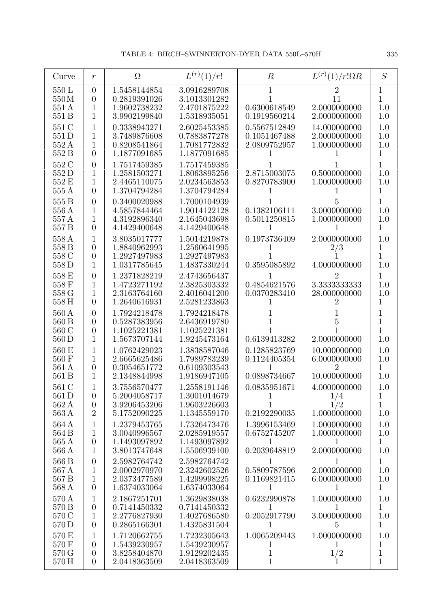| Curve                                       | $\boldsymbol{r}$                                                     | $\Omega$                                                     | $L^{(r)}(1)/r!$                                              | $\boldsymbol{R}$                                       | $L^{(r)}(1)/r!\Omega R$                            | S                                          |
|---------------------------------------------|----------------------------------------------------------------------|--------------------------------------------------------------|--------------------------------------------------------------|--------------------------------------------------------|----------------------------------------------------|--------------------------------------------|
| 550 L<br>550M<br>551 A<br>551 B             | $\theta$<br>$\overline{0}$<br>1<br>1                                 | 1.5458144854<br>0.2819391026<br>1.9602738232<br>3.9902199840 | 3.0916289708<br>3.1013301282<br>2.4701875222<br>1.5318935051 | 1<br>0.6300618549<br>0.1919560214                      | 2<br>11<br>2.0000000000<br>2.0000000000            | 1<br>1<br>1.0<br>1.0                       |
| 551 C<br>551 D<br>552 A<br>552 B            | 1<br>1<br>1<br>$\overline{0}$                                        | 0.3338943271<br>3.7489876608<br>0.8208541864<br>1.1877091685 | 2.6025453385<br>0.7883877278<br>1.7081772832<br>1.1877091685 | 0.5567512849<br>0.1051467488<br>2.0809752957           | 14.000000000<br>2.0000000000<br>1.0000000000       | 1.0<br>1.0<br>1.0<br>1                     |
| 552 C<br>552D<br>552 E<br>555 A             | $\overline{0}$<br>1<br>1<br>$\overline{0}$                           | 1.7517459385<br>1.2581503271<br>2.4465110075<br>1.3704794284 | 1.7517459385<br>1.8063895256<br>2.0234563853<br>1.3704794284 | 2.8715003075<br>0.8270783900                           | 0.5000000000<br>1.0000000000                       | 1<br>1.0<br>1.0<br>1                       |
| 555 B<br>556 A<br>557 A<br>557 <sub>B</sub> | $\overline{0}$<br>1<br>1<br>$\overline{0}$                           | 0.3400020988<br>4.5857844464<br>4.3192896340<br>4.1429400648 | 1.7000104939<br>1.9014122128<br>2.1645043698<br>4.1429400648 | 0.1382106111<br>0.5011250815                           | 5<br>3.0000000000<br>1.0000000000                  | 1<br>1.0<br>1.0<br>1                       |
| 558 A<br>558 B<br>558 C<br>558D             | 1<br>$\overline{0}$<br>$\boldsymbol{0}$<br>$\mathbf{1}$              | 3.8035017777<br>1.8840962993<br>1.2927497983<br>1.0317785645 | 1.5014219878<br>1.2560641995<br>1.2927497983<br>1.4837330244 | 0.1973736409<br>0.3595085892                           | 2.0000000000<br>2/3<br>4.0000000000                | 1.0<br>1<br>$\mathbf 1$<br>1.0             |
| 558 E<br>558 F<br>558 G<br>558 H            | $\overline{0}$<br>1<br>1<br>$\overline{0}$                           | 1.2371828219<br>1.4723271192<br>2.3163764160<br>1.2640616931 | 2.4743656437<br>2.3825303332<br>2.4016041200<br>2.5281233863 | 0.4854621576<br>0.0370283410                           | 2<br>3.3333333333<br>28.000000000<br>2             | 1<br>1.0<br>1.0<br>1                       |
| 560 A<br>560 B<br>560 C<br>560 D            | $\overline{0}$<br>$\overline{0}$<br>$\boldsymbol{0}$<br>$\mathbf{1}$ | 1.7924218478<br>0.5287383956<br>1.1025221381<br>1.5673707144 | 1.7924218478<br>2.6436919780<br>1.1025221381<br>1.9245473164 | 0.6139413282                                           | 5<br>2.0000000000                                  | 1<br>$\mathbf 1$<br>$\mathbf 1$<br>1.0     |
| 560 E<br>560 F<br>561 A<br>561 B            | 1<br>1<br>$\boldsymbol{0}$<br>1                                      | 1.0762429023<br>2.6665625486<br>0.3054651772<br>2.1348844998 | 1.3838587046<br>1.7989783239<br>0.6109303543<br>1.9186947105 | 0.1285823769<br>0.1124405354<br>0.0898734667           | 10.000000000<br>6.0000000000<br>2<br>10.000000000  | 1.0<br>1.0<br>1<br>1.0                     |
| 561 C<br>561 D<br>562 A<br>563 A            | 1<br>$\overline{0}$<br>$\overline{0}$<br>$\overline{2}$              | 3.7556570477<br>5.2004058717<br>3.9206453206<br>5.1752090225 | 1.2558191146<br>1.3001014679<br>1.9603226603<br>1.1345559170 | 0.0835951671<br>$\mathbf{1}$<br>0.2192290035           | 4.0000000000<br>1/4<br>1/2<br>1.0000000000         | 1.0<br>$\mathbf{1}$<br>$\mathbf{1}$<br>1.0 |
| 564 A<br>564 B<br>565 A<br>566 A            | $\mathbf{1}$<br>$\mathbf{1}$<br>$\boldsymbol{0}$<br>$\mathbf{1}$     | 1.2379453765<br>3.0040996567<br>1.1493097892<br>3.8013747648 | 1.7326473476<br>2.0285919557<br>1.1493097892<br>1.5506939100 | 1.3996153469<br>0.6752745207<br>0.2039648819           | 1.0000000000<br>1.0000000000<br>1<br>2.0000000000  | 1.0<br>1.0<br>$\mathbf{1}$<br>1.0          |
| 566 B<br>567 A<br>567 B<br>568 A            | $\overline{0}$<br>1<br>$\mathbf{1}$<br>$\overline{0}$                | 2.5982764742<br>2.0002970970<br>2.0373477589<br>1.6374033064 | 2.5982764742<br>2.3242602526<br>1.4299998225<br>1.6374033064 | 1<br>0.5809787596<br>0.1169821415<br>1                 | 1<br>2.0000000000<br>6.0000000000<br>1             | $\mathbf{1}$<br>1.0<br>1.0<br>$\mathbf{1}$ |
| 570 A<br>570 B<br>570 C<br>570 D            | 1<br>$\boldsymbol{0}$<br>$\mathbf{1}$<br>$\overline{0}$              | 2.1867251701<br>0.7141450332<br>2.2776827930<br>0.2865166301 | 1.3629838038<br>0.7141450332<br>1.4027686580<br>1.4325831504 | 0.6232990878<br>1<br>0.2052917790<br>1                 | 1.0000000000<br>1<br>3.0000000000<br>5.            | 1.0<br>$\mathbf{1}$<br>1.0<br>$\mathbf{1}$ |
| 570 E<br>570 F<br>570 G<br>570 H            | 1<br>$\overline{0}$<br>$\boldsymbol{0}$<br>$\overline{0}$            | 1.7120662755<br>1.5439230957<br>3.8258404870<br>2.0418363509 | 1.7232305643<br>1.5439230957<br>1.9129202435<br>2.0418363509 | 1.0065209443<br>$\perp$<br>$\mathbf 1$<br>$\mathbf{1}$ | 1.0000000000<br>$\perp$<br>$1/2\,$<br>$\mathbf{1}$ | 1.0<br>1<br>$\mathbf{1}$<br>$\mathbf{1}$   |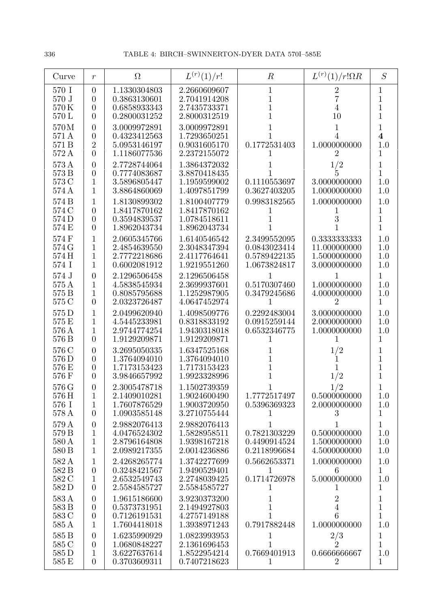| Curve                            | $\mathfrak{r}$                                               | $\Omega$                                                     | $L^{(r)}(1)/r!$                                              | $\boldsymbol{R}$                                             | $L^{(r)}(1)/r!\Omega R$                                      | S                                                  |
|----------------------------------|--------------------------------------------------------------|--------------------------------------------------------------|--------------------------------------------------------------|--------------------------------------------------------------|--------------------------------------------------------------|----------------------------------------------------|
| 570 I<br>570 J<br>570K<br>570 L  | $\overline{0}$<br>$\theta$<br>$\theta$<br>$\theta$           | 1.1330304803<br>0.3863130601<br>0.6858933343<br>0.2800031252 | 2.2660609607<br>2.7041914208<br>2.7435733371<br>2.8000312519 | 1<br>1<br>1<br>1                                             | 2<br>$\overline{7}$<br>4<br>10                               | 1<br>$\mathbf{1}$<br>1<br>1                        |
| 570M<br>571 A<br>571 B<br>572 A  | $\theta$<br>$\theta$<br>$\overline{2}$<br>$\overline{0}$     | 3.0009972891<br>0.4323412563<br>5.0953146197<br>1.1186077536 | 3.0009972891<br>1.7293650251<br>0.9031605170<br>2.2372155072 | 1<br>0.1772531403                                            | 1<br>4<br>1.0000000000                                       | 1<br>$\overline{\mathbf{4}}$<br>1.0<br>1           |
| 573 A<br>573 B<br>573 C<br>574 A | $\overline{0}$<br>$\overline{0}$<br>1<br>1                   | 2.7728744064<br>0.7774083687<br>3.5896805447<br>3.8864860069 | 1.3864372032<br>3.8870418435<br>1.1959599002<br>1.4097851799 | 0.1110553697<br>0.3627403205                                 | 1/2<br>3.0000000000<br>1.0000000000                          | $\mathbf 1$<br>$\mathbf{1}$<br>1.0<br>1.0          |
| 574 B<br>574 C<br>574 D<br>574 E | 1<br>$\theta$<br>$\overline{0}$<br>$\theta$                  | 1.8130899302<br>1.8417870162<br>0.3594839537<br>1.8962043734 | 1.8100407779<br>1.8417870162<br>1.0784518611<br>1.8962043734 | 0.9983182565                                                 | 1.0000000000<br>3                                            | 1.0<br>1<br>$\overline{1}$<br>$\mathbf 1$          |
| 574 F<br>574 G<br>574 H<br>574 I | 1<br>1<br>1<br>1                                             | 2.0605345766<br>2.4854639550<br>2.7772218686<br>0.6002081912 | 1.6140546542<br>2.3048347394<br>2.4117764641<br>1.9219551260 | 2.3499552095<br>0.0843023414<br>0.5789422135<br>1.0673824817 | 0.3333333333<br>11.000000000<br>1.5000000000<br>3.0000000000 | 1.0<br>1.0<br>1.0<br>1.0                           |
| 574 J<br>575 A<br>575 B<br>575 C | $\theta$<br>1<br>1<br>$\theta$                               | 2.1296506458<br>4.5838545934<br>0.8085795688<br>2.0323726487 | 2.1296506458<br>2.3699937601<br>1.1252987905<br>4.0647452974 | 0.5170307460<br>0.3479245686<br>1                            | 1.0000000000<br>4.0000000000<br>$\overline{2}$               | 1<br>1.0<br>1.0<br>$\mathbf 1$                     |
| 575 D<br>575 E<br>576 A<br>576 B | 1<br>1<br>1<br>$\overline{0}$                                | 2.0499620940<br>4.5445233981<br>2.9744774254<br>1.9129209871 | 1.4098509776<br>0.8318833192<br>1.9430318018<br>1.9129209871 | 0.2292483004<br>0.0915259144<br>0.6532346775                 | 3.0000000000<br>2.0000000000<br>1.0000000000                 | 1.0<br>1.0<br>1.0<br>$\mathbf 1$                   |
| 576 C<br>576 D<br>576 E<br>576 F | $\theta$<br>$\theta$<br>$\theta$<br>$\theta$                 | 3.2695050335<br>1.3764094010<br>1.7173153423<br>3.9846657992 | 1.6347525168<br>1.3764094010<br>1.7173153423<br>1.9923328996 | 1<br>1<br>1                                                  | 1/2<br>1/2                                                   | 1<br>$\mathbf 1$<br>$\mathbf 1$<br>$\mathbf 1$     |
| 576 G<br>576 H<br>576 I<br>578 A | $\overline{0}$<br>1<br>$\mathbf{1}$<br>$\overline{0}$        | 2.3005478718<br>2.1409010281<br>1.7607876529<br>1.0903585148 | 1.1502739359<br>1.9024600490<br>1.9003720950<br>3.2710755444 | 1.7772517497<br>0.5396369323                                 | 1/2<br>0.5000000000<br>2.0000000000                          | 1.0<br>1.0<br>1                                    |
| 579 A<br>579 B<br>580 A<br>580 B | $\boldsymbol{0}$<br>1<br>1<br>1                              | 2.9882076413<br>4.0476524302<br>2.8796164808<br>2.0989217355 | 2.9882076413<br>1.5828958511<br>1.9398167218<br>2.0014236886 | 1<br>0.7821303229<br>0.4490914524<br>0.2118996684            | 0.5000000000<br>1.5000000000<br>4.5000000000                 | $\mathbf{1}$<br>1.0<br>1.0<br>1.0                  |
| 582 A<br>582 B<br>582 C<br>582D  | 1<br>$\theta$<br>1<br>$\overline{0}$                         | 2.4268265774<br>0.3248421567<br>2.6532549743<br>2.5584585727 | 1.3742277699<br>1.9490529401<br>2.2748039425<br>2.5584585727 | 0.5662653371<br>1<br>0.1714726978<br>$\mathbf{I}$            | 1.0000000000<br>6<br>5.0000000000                            | 1.0<br>1<br>1.0<br>$\mathbf{1}$                    |
| 583 A<br>583 B<br>583 C<br>585 A | $\overline{0}$<br>$\overline{0}$<br>$\theta$<br>$\mathbf{1}$ | 1.9615186600<br>0.5373731951<br>0.7126191531<br>1.7604418018 | 3.9230373200<br>2.1494927803<br>4.2757149188<br>1.3938971243 | 1<br>1<br>1<br>0.7917882448                                  | $\sqrt{2}$<br>4<br>6<br>1.0000000000                         | $\mathbf 1$<br>$\mathbf{1}$<br>$\mathbf{1}$<br>1.0 |
| 585 B<br>585 C<br>585 D<br>585 E | $\overline{0}$<br>$\theta$<br>1<br>$\overline{0}$            | 1.6235990929<br>1.0680848227<br>3.6227637614<br>0.3703609311 | 1.0823993953<br>2.1361696453<br>1.8522954214<br>0.7407218623 | 1<br>0.7669401913<br>$\mathbf 1$                             | 2/3<br>$\overline{2}$<br>0.6666666667<br>$\overline{2}$      | 1<br>$\mathbf{1}$<br>1.0<br>$\mathbf{1}$           |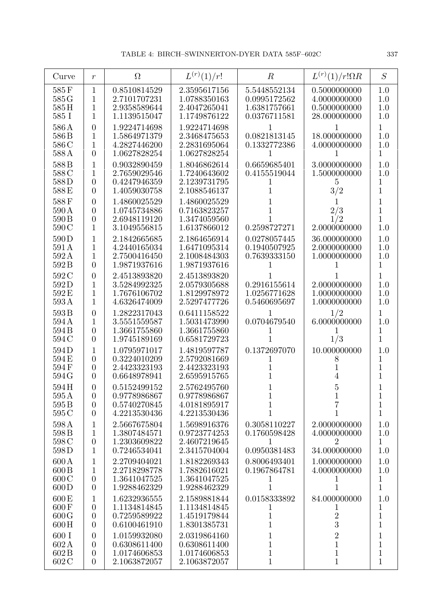| Curve                                      | $\boldsymbol{r}$                                                       | $\Omega$                                                     | $L^{(r)}(1)/r!$                                              | $\boldsymbol{R}$                                             | $L^{(r)}(1)/r!\Omega R$                                                     | S                                                          |
|--------------------------------------------|------------------------------------------------------------------------|--------------------------------------------------------------|--------------------------------------------------------------|--------------------------------------------------------------|-----------------------------------------------------------------------------|------------------------------------------------------------|
| 585F<br>585 G<br>585H<br>585 I             | $\mathbf{1}$<br>1<br>1<br>1                                            | 0.8510814529<br>2.7101707231<br>2.9358589644<br>1.1139515047 | 2.3595617156<br>1.0788350163<br>2.4047265041<br>1.1749876122 | 5.5448552134<br>0.0995172562<br>1.6381757661<br>0.0376711581 | 0.5000000000<br>4.0000000000<br>0.5000000000<br>28.000000000                | 1.0<br>1.0<br>1.0<br>1.0                                   |
| 586A<br>586 <sub>B</sub><br>586 C<br>588 A | $\overline{0}$<br>1<br>1<br>$\overline{0}$                             | 1.9224714698<br>1.5864971379<br>4.2827446200<br>1.0627828254 | 1.9224714698<br>2.3468475653<br>2.2831695064<br>1.0627828254 | 1<br>0.0821813145<br>0.1332772386<br>1                       | 1<br>18.000000000<br>4.0000000000                                           | $\mathbf{1}$<br>1.0<br>1.0<br>$\mathbf{1}$                 |
| 588B<br>588C<br>588D<br>588E               | 1<br>1<br>$\overline{0}$<br>$\overline{0}$                             | 0.9032890459<br>2.7659029546<br>0.4247946359<br>1.4059030758 | 1.8046862614<br>1.7240643602<br>2.1239731795<br>2.1088546137 | 0.6659685401<br>0.4155519044<br>T                            | 3.0000000000<br>1.5000000000<br>5<br>3/2                                    | 1.0<br>1.0<br>1<br>$\overline{1}$                          |
| 588F<br>590 A<br>590 B<br>590 C            | $\overline{0}$<br>$\overline{0}$<br>$\boldsymbol{0}$<br>1              | 1.4860025529<br>1.0745734886<br>2.6948119120<br>3.1049556815 | 1.4860025529<br>0.7163823257<br>1.3474059560<br>1.6137866012 | 1<br>1<br>0.2598727271                                       | 2/3<br>1/2<br>2.0000000000                                                  | 1<br>$\mathbf 1$<br>$\mathbf 1$<br>$1.0\,$                 |
| 590D<br>591 A<br>592A<br>592B              | 1<br>1<br>1<br>$\overline{0}$                                          | 2.1842665685<br>4.2440165034<br>2.7500416450<br>1.9871937616 | 2.1864656914<br>1.6471095314<br>2.1008484303<br>1.9871937616 | 0.0278057445<br>0.1940507925<br>0.7639333150                 | 36.000000000<br>2.0000000000<br>1.0000000000                                | 1.0<br>1.0<br>1.0<br>$\mathbf{1}$                          |
| 592 C<br>592D<br>592E<br>593A              | $\overline{0}$<br>1<br>1<br>1                                          | 2.4513893820<br>3.5284992325<br>1.7676106702<br>4.6326474009 | 2.4513893820<br>2.0579305688<br>1.8129978972<br>2.5297477726 | 0.2916155614<br>1.0256771628<br>0.5460695697                 | 2.0000000000<br>1.0000000000<br>1.0000000000                                | 1<br>1.0<br>1.0<br>1.0                                     |
| 593B<br>594A<br>594 B<br>594 C             | $\overline{0}$<br>1<br>$\overline{0}$<br>$\overline{0}$                | 1.2822317043<br>3.5551559587<br>1.3661755860<br>1.9745189169 | 0.6411158522<br>1.5031473990<br>1.3661755860<br>0.6581729723 | 1<br>0.0704679540<br>T                                       | 1/2<br>6.0000000000<br>1<br>1/3                                             | $\mathbf 1$<br>1.0<br>$\mathbf 1$<br>1                     |
| 594D<br>594E<br>594F<br>594 G              | 1<br>$\overline{0}$<br>$\overline{0}$<br>$\overline{0}$                | 1.0795971017<br>0.3224010209<br>2.4423323193<br>0.6648978941 | 1.4819597787<br>2.5792081669<br>2.4423323193<br>2.6595915765 | 0.1372697070<br>1<br>1<br>1                                  | 10.000000000<br>8                                                           | 1.0<br>1<br>$\mathbf{1}$<br>$\overline{1}$                 |
| 594H<br>595 A<br>595 <sub>B</sub><br>595 C | $\overline{0}$<br>$\boldsymbol{0}$<br>$\overline{0}$<br>$\overline{0}$ | 0.5152499152<br>0.9778986867<br>0.5740270845<br>4.2213530436 | 2.5762495760<br>0.9778986867<br>4.0181895917<br>4.2213530436 | $\mathbf{1}$<br>$\mathbf 1$<br>$\mathbf 1$                   | 5<br>$\mathbf 1$<br>7<br>1                                                  | 1<br>$\mathbf{1}$<br>$\mathbf 1$<br>$\mathbf{1}$           |
| 598 A<br>598 B<br>598 <sub>C</sub><br>598D | 1<br>1<br>$\boldsymbol{0}$<br>1                                        | 2.5667675804<br>1.3807484571<br>1.2303609822<br>0.7246534041 | 1.5698916376<br>0.9723774253<br>2.4607219645<br>2.3415704004 | 0.3058110227<br>0.1760598428<br>1<br>0.0950381483            | 2.0000000000<br>4.0000000000<br>2<br>34.000000000                           | 1.0<br>1.0<br>$\mathbf{1}$<br>1.0                          |
| $600\,\mathrm{A}$<br>600B<br>600C<br>600D  | $\mathbf 1$<br>$\mathbf 1$<br>$\boldsymbol{0}$<br>$\overline{0}$       | 2.2709404021<br>2.2718298778<br>1.3641047525<br>1.9288462329 | 1.8182269343<br>1.7882616021<br>1.3641047525<br>1.9288462329 | 0.8006493401<br>0.1967864781<br>T<br>$\mathbf{1}$            | 1.0000000000<br>4.0000000000<br>T<br>1                                      | 1.0<br>1.0<br>$\mathbf{1}$<br>$\mathbf{1}$                 |
| 600 E<br>600F<br>600G<br>600H              | $\mathbf 1$<br>$\boldsymbol{0}$<br>$\boldsymbol{0}$<br>$\overline{0}$  | 1.6232936555<br>1.1134814845<br>0.7259589922<br>0.6100461910 | 2.1589881844<br>1.1134814845<br>1.4519179844<br>1.8301385731 | 0.0158333892<br>1<br>$\mathbf 1$<br>$\mathbf{1}$             | 84.000000000<br>1<br>$\frac{2}{3}$                                          | 1.0<br>$\mathbf 1$<br>$\mathbf{1}$<br>$\mathbf 1$          |
| 600 I<br>602A<br>602B<br>602 C             | $\overline{0}$<br>$\overline{0}$<br>$\boldsymbol{0}$<br>$\overline{0}$ | 1.0159932080<br>0.6308611400<br>1.0174606853<br>2.1063872057 | 2.0319864160<br>0.6308611400<br>1.0174606853<br>2.1063872057 | $\mathbf 1$<br>$\mathbf{1}$<br>$\mathbf{1}$<br>$1\,$         | $\begin{smallmatrix} 2\\1 \end{smallmatrix}$<br>$\mathbf 1$<br>$\mathbf{1}$ | $\mathbf 1$<br>$\mathbf{1}$<br>$\mathbf 1$<br>$\mathbf{1}$ |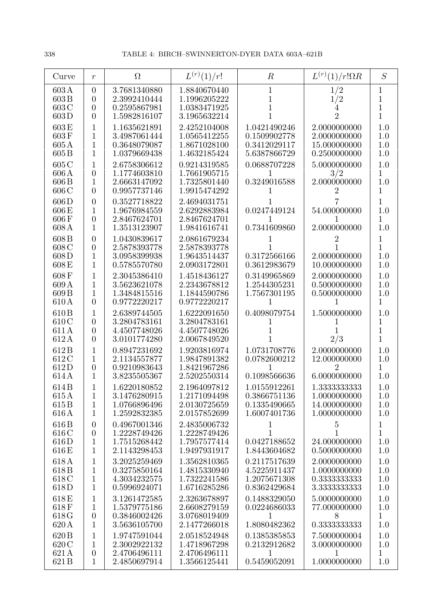| Curve                                     | $\mathfrak{r}$                                                  | $\Omega$                                                     | $L^{(r)}(1)/r!$                                              | $\boldsymbol{R}$                                             | $L^{(r)}(1)/r!\Omega R$                                      | S                                          |
|-------------------------------------------|-----------------------------------------------------------------|--------------------------------------------------------------|--------------------------------------------------------------|--------------------------------------------------------------|--------------------------------------------------------------|--------------------------------------------|
| 603A<br>603B<br>603 C<br>603D             | $\overline{0}$<br>$\theta$<br>$\theta$<br>$\theta$              | 3.7681340880<br>2.3992410444<br>0.2595867981<br>1.5982816107 | 1.8840670440<br>1.1996205222<br>1.0383471925<br>3.1965632214 | 1<br>1<br>1                                                  | 1/2<br>1/2<br>$\overline{2}$                                 | 1<br>1<br>1<br>1                           |
| 603E<br>603F<br>605A<br>605B              | 1<br>1<br>$\mathbf{1}$<br>$\mathbf{1}$                          | 1.1635621891<br>3.4987061444<br>0.3648079087<br>1.0379669438 | 2.4252104008<br>1.0565412255<br>1.8671028100<br>1.4632185424 | 1.0421490246<br>0.1509902778<br>0.3412029117<br>5.6387866729 | 2.0000000000<br>2.0000000000<br>15.000000000<br>0.2500000000 | 1.0<br>1.0<br>1.0<br>1.0                   |
| 605 C<br>606A<br>606 B<br>606C            | $\mathbf{1}$<br>$\theta$<br>$\mathbf{1}$<br>$\theta$            | 2.6758306612<br>1.1774603810<br>2.6663147092<br>0.9957737146 | 0.9214319585<br>1.7661905715<br>1.7325801440<br>1.9915474292 | 0.0688707228<br>0.3249016588                                 | 5.0000000000<br>3/2<br>2.0000000000                          | 1.0<br>1<br>1.0<br>1                       |
| 606D<br>$606\,\mathrm{E}$<br>606F<br>608A | $\overline{0}$<br>1<br>$\overline{0}$<br>$\mathbf{1}$           | 0.3527718822<br>1.9676984559<br>2.8467624701<br>1.3513123907 | 2.4694031751<br>2.6292883984<br>2.8467624701<br>1.9841616741 | 0.0247449124<br>1<br>0.7341609860                            | 54.000000000<br>2.0000000000                                 | 1<br>1.0<br>1<br>1.0                       |
| 608B<br>608 C<br>608D<br>608E             | $\theta$<br>$\theta$<br>$\mathbf{1}$<br>$\mathbf{1}$            | 1.0430839617<br>2.5878393778<br>3.0958399938<br>0.5785570780 | 2.0861679234<br>2.5878393778<br>1.9643514437<br>2.0903172801 | 0.3172566166<br>0.3612983679                                 | 2.0000000000<br>10.000000000                                 | 1<br>1<br>1.0<br>1.0                       |
| 608F<br>609A<br>609B<br>610 A             | 1<br>1<br>1<br>$\theta$                                         | 2.3045386410<br>3.5623621078<br>1.3484815516<br>0.9772220217 | 1.4518436127<br>2.2343678812<br>1.1844590786<br>0.9772220217 | 0.3149965869<br>1.2544305231<br>1.7567301195                 | 2.0000000000<br>0.5000000000<br>0.5000000000                 | 1.0<br>1.0<br>1.0<br>1                     |
| 610 <sub>B</sub><br>610C<br>611A<br>612A  | 1<br>$\overline{0}$<br>$\overline{0}$<br>$\theta$               | 2.6389744505<br>3.2804783161<br>4.4507748026<br>3.0101774280 | 1.6222091650<br>3.2804783161<br>4.4507748026<br>2.0067849520 | 0.4098079754<br>1                                            | 1.5000000000<br>2/3                                          | 1.0<br>1<br>$\overline{1}$<br>$\mathbf{1}$ |
| 612B<br>612C<br>612D<br>614 A             | 1<br>1<br>$\theta$<br>1                                         | 0.8947231692<br>2.1134557877<br>0.9210983643<br>3.8235505367 | 1.9203816974<br>1.9847891382<br>1.8421967286<br>2.5202550314 | 1.0731708776<br>0.0782600212<br>0.1098566636                 | 2.0000000000<br>12.000000000<br>2<br>6.0000000000            | 1.0<br>1.0<br>1<br>1.0                     |
| 614B<br>615A<br>615B<br>616 A             | 1<br>$\mathbf{1}$<br>$\mathbf{1}$<br>$\mathbf{1}$               | 1.6220180852<br>3.1476280915<br>1.0766896496<br>1.2592832385 | 2.1964097812<br>1.2171094498<br>2.0130725659<br>2.0157852699 | 1.0155912261<br>0.3866751136<br>0.1335490665<br>1.6007401736 | 1.3333333333<br>1.0000000000<br>14.000000000<br>1.0000000000 | 1.0<br>1.0<br>1.0<br>1.0                   |
| 616B<br>616 C<br>616D<br>616 E            | $\theta$<br>$\overline{0}$<br>1<br>$\mathbf{1}$                 | 0.4967001346<br>1.2228749426<br>1.7515268442<br>2.1143298453 | 2.4835006732<br>1.2228749426<br>1.7957577414<br>1.9497931917 | 1<br>1<br>0.0427188652<br>1.8443604682                       | $\overline{5}$<br>1<br>24.000000000<br>0.5000000000          | 1<br>$\overline{1}$<br>1.0<br>1.0          |
| 618A<br>618B<br>618 C<br>618D             | 1<br>$\mathbf{1}$<br>$\mathbf{1}$<br>$\mathbf{1}$               | 3.2025259469<br>0.3275850164<br>4.3034232575<br>0.5996924071 | 1.3562810365<br>1.4815330940<br>1.7322241586<br>1.6716285286 | 0.2117517639<br>4.5225911437<br>1.2075671308<br>0.8362429684 | 2.0000000000<br>1.0000000000<br>0.3333333333<br>3.3333333333 | 1.0<br>1.0<br>1.0<br>1.0                   |
| 618E<br>618F<br>618G<br>620 A             | $\mathbf 1$<br>$\mathbf{1}$<br>$\boldsymbol{0}$<br>$\mathbf{1}$ | 3.1261472585<br>1.5379775186<br>0.3846002426<br>3.5636105700 | 2.3263678897<br>2.6608279159<br>3.0768019409<br>2.1477266018 | 0.1488329050<br>0.0224686033<br>1<br>1.8080482362            | 5.0000000000<br>77.000000000<br>8<br>0.3333333333            | 1.0<br>1.0<br>$\mathbf{1}$<br>1.0          |
| 620 B<br>620 C<br>621A<br>621B            | 1<br>1<br>$\boldsymbol{0}$<br>$\mathbf{1}$                      | 1.9747591044<br>2.3002922132<br>2.4706496111<br>2.4850697914 | 2.0518524948<br>1.4718967298<br>2.4706496111<br>1.3566125441 | 0.1385385853<br>0.2132912682<br>1<br>0.5459052091            | 7.5000000004<br>3.0000000000<br>1<br>1.0000000000            | 1.0<br>1.0<br>1<br>1.0                     |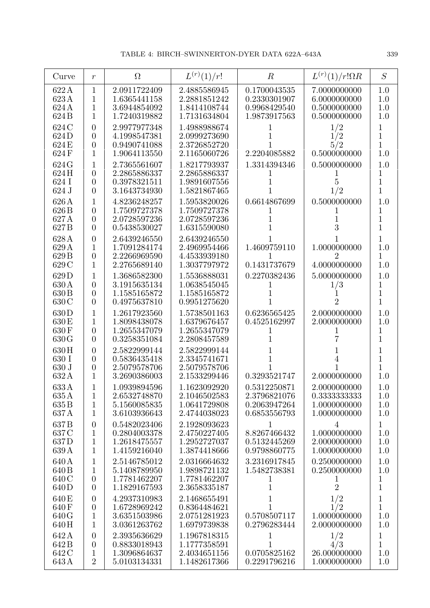| Curve                                                  | $\boldsymbol{r}$                                                     | $\Omega$                                                     | $L^{(r)}(1)/r!$                                              | $\boldsymbol{R}$                                             | $L^{(r)}(1)/r!\Omega R$                                        | S                                            |
|--------------------------------------------------------|----------------------------------------------------------------------|--------------------------------------------------------------|--------------------------------------------------------------|--------------------------------------------------------------|----------------------------------------------------------------|----------------------------------------------|
| 622A<br>623A<br>624 A<br>624 B                         | 1<br>1<br>1<br>1                                                     | 2.0911722409<br>1.6365441158<br>3.6944854092<br>1.7240319882 | 2.4885586945<br>2.2881851242<br>1.8414108744<br>1.7131634804 | 0.1700043535<br>0.2330301907<br>0.9968429540<br>1.9873917563 | 7.0000000000<br>6.0000000000<br>0.5000000000<br>0.5000000000   | 1.0<br>1.0<br>1.0<br>1.0                     |
| 624 C<br>624D<br>624 E<br>624F                         | $\overline{0}$<br>$\overline{0}$<br>$\overline{0}$<br>$\overline{1}$ | 2.9977977348<br>4.1998547381<br>0.9490741088<br>1.9064113550 | 1.4988988674<br>2.0999273690<br>2.3726852720<br>2.1165060726 | 2.2204085882                                                 | 1/2<br>1/2<br>5/2<br>0.5000000000                              | 1<br>$\mathbf{1}$<br>1<br>1.0                |
| 624 G<br>624H<br>624 I<br>624 J                        | 1<br>$\overline{0}$<br>$\overline{0}$<br>$\overline{0}$              | 2.7365561607<br>2.2865886337<br>0.3978321511<br>3.1643734930 | 1.8217793937<br>2.2865886337<br>1.9891607556<br>1.5821867465 | 1.3314394346<br>1                                            | 0.5000000000<br>1/2                                            | 1.0<br>1<br>$\overline{1}$<br>$\overline{1}$ |
| 626 A<br>626 <sub>B</sub><br>627 A<br>627 <sub>B</sub> | 1<br>$\overline{0}$<br>$\overline{0}$<br>$\overline{0}$              | 4.8236248257<br>1.7509727378<br>2.0728597236<br>0.5438530027 | 1.5953820026<br>1.7509727378<br>2.0728597236<br>1.6315590080 | 0.6614867699                                                 | 0.5000000000<br>3                                              | 1.0<br>1<br>$\overline{1}$<br>$\mathbf{1}$   |
| 628 A<br>629 A<br>629B<br>629 C                        | $\overline{0}$<br>1<br>$\overline{0}$<br>1                           | 2.6439246550<br>1.7091284174<br>2.2266969590<br>2.2765689140 | 2.6439246550<br>2.4969954466<br>4.4533939180<br>1.3037797972 | 1.4609759110<br>0.1431737679                                 | 1.0000000000<br>$\overline{2}$<br>4.0000000000                 | $\mathbf 1$<br>1.0<br>1<br>1.0               |
| 629D<br>630 A<br>630 B<br>630 C                        | 1<br>$\overline{0}$<br>$\overline{0}$<br>$\overline{0}$              | 1.3686582300<br>3.1915635134<br>1.1585165872<br>0.4975637810 | 1.5536888031<br>1.0638545045<br>1.1585165872<br>0.9951275620 | 0.2270382436                                                 | 5.0000000000<br>1/3<br>2                                       | 1.0<br>1<br>$\overline{1}$<br>$\mathbf{1}$   |
| 630D<br>630 E<br>630 F<br>630G                         | $\mathbf 1$<br>1<br>$\overline{0}$<br>$\overline{0}$                 | 1.2617923560<br>1.8098438078<br>1.2655347079<br>0.3258351084 | 1.5738501163<br>1.6379676457<br>1.2655347079<br>2.2808457589 | 0.6236565425<br>0.4525162997                                 | 2.0000000000<br>2.0000000000                                   | 1.0<br>1.0<br>1<br>$\mathbf 1$               |
| 630H<br>630 I<br>630 J<br>632A                         | $\theta$<br>$\overline{0}$<br>$\boldsymbol{0}$<br>1                  | 2.5822999144<br>0.5836435418<br>2.5079578706<br>3.2690386003 | 2.5822999144<br>2.3345741671<br>2.5079578706<br>2.1533299446 | 0.3293521747                                                 | 2.0000000000                                                   | 1<br>$\mathbf 1$<br>1<br>1.0                 |
| 633A<br>635 A<br>635B<br>637A                          | 1<br>$\mathbf 1$<br>$\mathbf 1$                                      | 1.0939894596<br>2.6532748870<br>5.1560085835<br>3.6103936643 | 1.1623092920<br>2.1046502583<br>1.0641729808<br>2.4744038023 | 0.5312250871<br>2.3796821076<br>0.2063947264<br>0.6853556793 | 2.0000000000<br>0.3333333333<br>1.0000000000<br>1.0000000000   | 1.0<br>1.0<br>1.0<br>1.0                     |
| 637B<br>637 C<br>637D<br>639 A                         | $\overline{0}$<br>1<br>1<br>1                                        | 0.5482023406<br>0.2804003378<br>1.2618475557<br>1.4159216040 | 2.1928093623<br>2.4750227405<br>1.2952727037<br>1.3874418666 | 1<br>8.8267466432<br>0.5132445269<br>0.9798860775            | $\overline{4}$<br>1.0000000000<br>2.0000000000<br>1.0000000000 | $\mathbf{1}$<br>1.0<br>1.0<br>1.0            |
| 640 A<br>640 B<br>640 C<br>640 D                       | $\mathbf 1$<br>1<br>$\overline{0}$<br>$\overline{0}$                 | 2.5146785012<br>5.1408789950<br>1.7781462207<br>1.1829167593 | 2.0316664632<br>1.9898721132<br>1.7781462207<br>2.3658335187 | 3.2316917845<br>1.5482738381<br>1                            | 0.2500000000<br>0.2500000000<br>$\perp$<br>$\overline{2}$      | 1.0<br>1.0<br>1<br>$\overline{1}$            |
| 640 E<br>640F<br>640 G<br>640H                         | $\boldsymbol{0}$<br>$\boldsymbol{0}$<br>$\mathbf{1}$<br>$\mathbf{1}$ | 4.2937310983<br>1.6728969242<br>3.6351503986<br>3.0361263762 | 2.1468655491<br>0.8364484621<br>2.0751281923<br>1.6979739838 | 0.5708507117<br>0.2796283444                                 | 1/2<br>1/2<br>1.0000000000<br>2.0000000000                     | $\mathbf 1$<br>$\mathbf 1$<br>1.0<br>1.0     |
| 642A<br>642B<br>642 C<br>643 A                         | $\overline{0}$<br>$\overline{0}$<br>1<br>$\overline{2}$              | 2.3935636629<br>0.8833018943<br>1.3096864637<br>5.0103134331 | 1.1967818315<br>1.1777358591<br>2.4034651156<br>1.1482617366 | 1<br>1<br>0.0705825162<br>0.2291796216                       | 1/2<br>4/3<br>26.000000000<br>1.0000000000                     | 1<br>$\mathbf 1$<br>1.0<br>1.0               |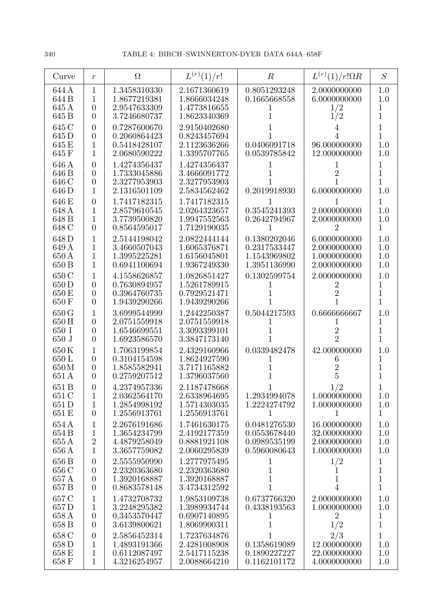| Curve                            | $\boldsymbol{r}$                                                     | $\Omega$                                                     | $L^{(r)}(1)/r!$                                              | $\boldsymbol{R}$                                             | $L^{(r)}(1)/r!\Omega R$                                      | S                                            |
|----------------------------------|----------------------------------------------------------------------|--------------------------------------------------------------|--------------------------------------------------------------|--------------------------------------------------------------|--------------------------------------------------------------|----------------------------------------------|
| 644 A<br>644 B<br>645 A<br>645 B | $\mathbf{1}$<br>1<br>$\overline{0}$<br>$\overline{0}$                | 1.3458310330<br>1.8677219381<br>2.9547633309<br>3.7246680737 | 2.1671360619<br>1.8666034248<br>1.4773816655<br>1.8623340369 | 0.8051293248<br>0.1665668558<br>T                            | 2.0000000000<br>6.0000000000<br>1/2<br>1/2                   | 1.0<br>1.0<br>1<br>$\overline{1}$            |
| 645 C<br>645 D<br>645 E<br>645 F | $\overline{0}$<br>$\overline{0}$<br>1<br>1                           | 0.7287600670<br>0.2060864423<br>0.5418428107<br>2.0680590222 | 2.9150402680<br>0.8243457694<br>2.1123636266<br>1.3395707765 | 0.0406091718<br>0.0539785842                                 | 96.000000000<br>12.000000000                                 | 1<br>1<br>1.0<br>1.0                         |
| 646 A<br>646 B<br>646 C<br>646 D | $\overline{0}$<br>$\overline{0}$<br>$\boldsymbol{0}$<br>$\mathbf{1}$ | 1.4274356437<br>1.7333045886<br>2.3277953903<br>2.1316501109 | 1.4274356437<br>3.4666091772<br>2.3277953903<br>2.5834562462 | 0.2019918930                                                 | 2<br>6.0000000000                                            | 1<br>$\overline{1}$<br>1<br>1.0              |
| 646 E<br>648 A<br>648 B<br>648 C | $\overline{0}$<br>1<br>1<br>$\overline{0}$                           | 1.7417182315<br>2.8579610545<br>3.7739500820<br>0.8564595017 | 1.7417182315<br>2.0264323657<br>1.9947552563<br>1.7129190035 | 0.3545241393<br>0.2642794967<br>T                            | 2.0000000000<br>2.0000000000<br>2                            | 1<br>1.0<br>1.0<br>1                         |
| 648 D<br>649 A<br>650 A<br>650 B | 1<br>1<br>1<br>1                                                     | 2.5144198042<br>3.4660507043<br>1.3995225281<br>0.6941100694 | 2.0822444144<br>1.6065376871<br>1.6156045801<br>1.9367249330 | 0.1380202046<br>0.2317533447<br>1.1543969802<br>1.3951136990 | 6.0000000000<br>2.0000000000<br>1.0000000000<br>2.0000000000 | 1.0<br>1.0<br>1.0<br>1.0                     |
| 650 C<br>650 D<br>650 E<br>650 F | 1<br>$\overline{0}$<br>$\boldsymbol{0}$<br>$\overline{0}$            | 4.1558626857<br>0.7630894957<br>0.3964760735<br>1.9439290266 | 1.0826851427<br>1.5261789915<br>0.7929521471<br>1.9439290266 | 0.1302599754<br>1                                            | 2.0000000000                                                 | 1.0<br>1<br>1<br>1                           |
| 650 G<br>650 H<br>650 I<br>650 J | 1<br>$\overline{0}$<br>$\overline{0}$<br>$\overline{0}$              | 3.6999544999<br>2.0751559918<br>1.6546699551<br>1.6923586570 | 1.2442250387<br>2.0751559918<br>3.3093399101<br>3.3847173140 | 0.5044217593<br>1                                            | 0.6666666667<br>$\overline{2}$<br>$\overline{2}$             | 1.0<br>1<br>$\mathbf 1$<br>1                 |
| 650K<br>650L<br>650M<br>651 A    | 1<br>$\boldsymbol{0}$<br>$\boldsymbol{0}$<br>$\overline{0}$          | 1.7063199854<br>0.3104154598<br>1.8585582941<br>0.2759207512 | 2.4329160966<br>1.8624927590<br>3.7171165882<br>1.3796037560 | 0.0339482478<br>1<br>1                                       | 42.000000000<br>6<br>$\overline{2}$<br>5                     | 1.0<br>1<br>$\overline{1}$<br>$\overline{1}$ |
| 651 B<br>651 C<br>651 D<br>651 E | $\boldsymbol{0}$<br>$\mathbf{1}$<br>$\mathbf{1}$<br>$\overline{0}$   | 4.2374957336<br>2.0362564170<br>1.2854998192<br>1.2556913761 | 2.1187478668<br>2.6338964695<br>1.5714303035<br>1.2556913761 | 1.2934994078<br>1.2224274792<br>1                            | 1/2<br>1.0000000000<br>1.0000000000                          | 1.0<br>1.0<br>1                              |
| 654 A<br>654 B<br>655 A<br>656 A | $\mathbf{1}$<br>$\mathbf{1}$<br>$\sqrt{2}$<br>$\mathbf{1}$           | 2.2676191686<br>1.3654234799<br>4.4879258049<br>3.3657759082 | 1.7461630175<br>2.4192177359<br>0.8881921108<br>2.0060295839 | 0.0481276530<br>0.0553678440<br>0.0989535199<br>0.5960080643 | 16.000000000<br>32.000000000<br>2.0000000000<br>1.0000000000 | 1.0<br>1.0<br>1.0<br>1.0                     |
| 656 B<br>656 C<br>657 A<br>657 B | $\theta$<br>$\overline{0}$<br>$\boldsymbol{0}$<br>$\overline{0}$     | 2.5555950990<br>2.2320363680<br>1.3920168887<br>0.8683578148 | 1.2777975495<br>2.2320363680<br>1.3920168887<br>3.4734312592 | 1<br>$\mathbf 1$<br>$\mathbf 1$<br>$\mathbf 1$               | 1/2<br>1<br>$\overline{4}$                                   | 1<br>1<br>$\overline{1}$<br>$\overline{1}$   |
| 657 C<br>657D<br>658 A<br>658 B  | $\mathbf 1$<br>$\mathbf{1}$<br>$\boldsymbol{0}$<br>$\overline{0}$    | 1.4732708732<br>3.2248295382<br>0.3453570447<br>3.6139800621 | 1.9853109738<br>1.3989934744<br>0.6907140895<br>1.8069900311 | 0.6737766320<br>0.4338193563<br>1<br>1                       | 2.0000000000<br>1.0000000000<br>$\overline{2}$<br>1/2        | 1.0<br>1.0<br>1<br>$\mathbf 1$               |
| 658 C<br>658D<br>658 E<br>658 F  | $\boldsymbol{0}$<br>1<br>1<br>$\mathbf{1}$                           | 2.5856452314<br>1.4893191366<br>0.6112087497<br>4.3216254957 | 1.7237634876<br>2.4281008908<br>2.5417115238<br>2.0088664210 | 1<br>0.1358619089<br>0.1890227227<br>0.1162101172            | 2/3<br>12.000000000<br>22.000000000<br>4.0000000000          | 1<br>1.0<br>1.0<br>1.0                       |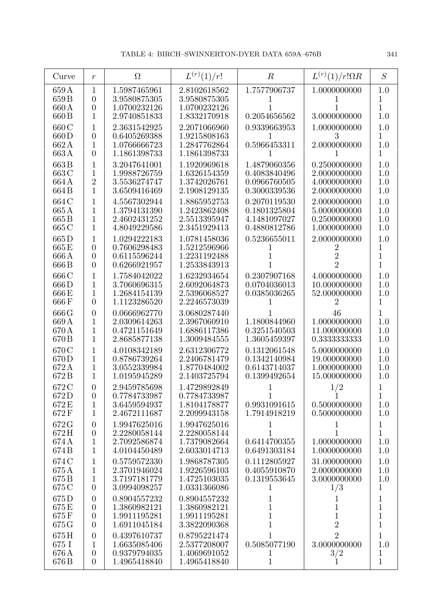| Curve                           | $\boldsymbol{r}$                                                           | $\Omega$                                                     | $L^{(r)}(1)/r!$                                              | $\boldsymbol{R}$                                             | $L^{(r)}(1)/r!\Omega R$                                      | S                                                            |
|---------------------------------|----------------------------------------------------------------------------|--------------------------------------------------------------|--------------------------------------------------------------|--------------------------------------------------------------|--------------------------------------------------------------|--------------------------------------------------------------|
| 659 A<br>659 B                  | 1<br>$\overline{0}$                                                        | 1.5987465961<br>3.9580875305                                 | 2.8102618562<br>3.9580875305                                 | 1.7577906737                                                 | 1.0000000000                                                 | 1.0<br>1                                                     |
| 660A<br>660 <sub>B</sub>        | $\overline{0}$<br>1                                                        | 1.0700232126<br>2.9740851833                                 | 1.0700232126<br>1.8332170918                                 | 0.2054656562                                                 | 3.0000000000                                                 | $\overline{1}$<br>1.0                                        |
| 660 C<br>660D                   | 1<br>$\overline{0}$                                                        | 2.3631542925<br>0.6405269388                                 | 2.2071066960                                                 | 0.9339663953                                                 | 1.0000000000<br>3                                            | 1.0<br>$\mathbf{1}$                                          |
| 662 A<br>663A                   | 1<br>$\overline{0}$                                                        | 1.0766666723<br>1.1861398733                                 | 1.9215808163<br>1.2847762864<br>1.1861398733                 | 0.5966453311                                                 | 2.0000000000                                                 | 1.0<br>$\mathbf{1}$                                          |
| 663B                            | 1                                                                          | 3.2047641001                                                 | 1.1920969618                                                 | 1.4879060356                                                 | 0.2500000000                                                 | 1.0                                                          |
| 663 C<br>664 A<br>664 B         | 1<br>$\overline{2}$<br>1                                                   | 1.9988726759<br>3.5536274747<br>3.6509416469                 | 1.6326154359<br>1.3742026761<br>2.1908129135                 | 0.4083840496<br>0.0966760505<br>0.3000339536                 | 2.0000000000<br>4.0000000000<br>2.0000000000                 | 1.0<br>1.0<br>1.0                                            |
| 664 C<br>665 A<br>665B<br>665 C | 1<br>1<br>1<br>1                                                           | 4.5567302944<br>1.3794131390<br>2.4602431252                 | 1.8865952753<br>1.2423862408<br>2.5513395947<br>2.3451929413 | 0.2070119530<br>0.1801325804<br>4.1481097027<br>0.4880812786 | 2.0000000000<br>5.0000000000<br>0.2500000000<br>1.0000000000 | 1.0<br>1.0<br>1.0<br>1.0                                     |
| 665D                            | 1                                                                          | 4.8049229586<br>1.0294222183                                 | 1.0781458036                                                 | 0.5236655011                                                 | 2.0000000000                                                 | 1.0                                                          |
| 665E<br>666A<br>666B            | $\overline{0}$<br>$\overline{0}$<br>$\overline{0}$                         | 0.7606298483<br>0.6115596244<br>0.6266921957                 | 1.5212596966<br>1.2231192488<br>1.2533843913                 | T                                                            | 2<br>$\overline{2}$<br>$\overline{2}$                        | 1<br>$\mathbf 1$<br>1                                        |
| 666 C<br>666D<br>666 E<br>666F  | 1<br>1<br>1<br>$\overline{0}$                                              | 1.7584042022<br>3.7060696315<br>1.2684154139<br>1.1123286520 | 1.6232934654<br>2.6092064873<br>2.5396068527<br>2.2246573039 | 0.2307907168<br>0.0704036013<br>0.0385036265                 | 4.0000000000<br>10.000000000<br>52.000000000<br>2            | 1.0<br>1.0<br>1.0<br>$\mathbf{1}$                            |
| 666 G                           | $\overline{0}$                                                             | 0.0666962770                                                 | 3.0680287440                                                 |                                                              | 46                                                           | $\mathbf{1}$                                                 |
| 669A<br>670A<br>670 B           | 1<br>1<br>1                                                                | 2.0309614263<br>0.4721151649<br>2.8685877138                 | 2.3967060910<br>1.6886117386<br>1.3009484555                 | 1.1800844960<br>0.3251540503<br>1.3605459397                 | 1.0000000000<br>11.000000000<br>0.3333333333                 | 1.0<br>1.0<br>1.0                                            |
| 670 C<br>670 D<br>672A<br>672B  | 1<br>1<br>1<br>1                                                           | 4.0108342189<br>0.8786739264<br>3.0552339984<br>1.0195945289 | 2.6312306772<br>2.2406781479<br>1.8770484002<br>2.1403725794 | 0.1312061548<br>0.1342140984<br>0.6143714037<br>0.1399492654 | 5.0000000000<br>19.000000000<br>1.0000000000<br>15.000000000 | 1.0<br>1.0<br>1.0<br>1.0                                     |
| 672 C<br>672D<br>672 E<br>672F  | $\overline{0}$<br>$\boldsymbol{0}$<br>$\mathbf{1}$<br>$\mathbf{1}$         | 2.9459785698<br>0.7784733987<br>3.6459594937<br>2.4672111687 | 1.4729892849<br>0.7784733987<br>1.8104178877<br>2.2099943158 | 1<br>0.9931091615<br>1.7914918219                            | 1/2<br>1<br>0.5000000000<br>0.5000000000                     | 1<br>$\mathbf{1}$<br>1.0<br>1.0                              |
| 672G<br>672H<br>674A<br>674B    | $\boldsymbol{0}$<br>$\boldsymbol{0}$<br>$\mathbf{1}$<br>1                  | 1.9947625016<br>2.2280058144<br>2.7092586874<br>4.0104450489 | 1.9947625016<br>2.2280058144<br>1.7379082664<br>2.6033014713 | 1<br>$\mathbf 1$<br>0.6414700355<br>0.6491303184             | 1<br>$\mathbf{1}$<br>1.0000000000<br>1.0000000000            | $\mathbf{1}$<br>$\mathbf{1}$<br>1.0<br>1.0                   |
| 674 C<br>675 A<br>675B<br>675 C | 1<br>1<br>$\mathbf{1}$<br>$\overline{0}$                                   | 0.5759572330<br>2.3701946024<br>3.7197181779<br>3.0994098257 | 1.9868787305<br>1.9226596103<br>1.4725103035<br>1.0331366086 | 0.1112805927<br>0.4055910870<br>0.1319553645<br>1            | 31.000000000<br>2.0000000000<br>3.0000000000<br>1/3          | 1.0<br>1.0<br>1.0<br>$\mathbf 1$                             |
| 675D<br>675E<br>675F<br>675 G   | $\boldsymbol{0}$<br>$\boldsymbol{0}$<br>$\boldsymbol{0}$<br>$\overline{0}$ | 0.8904557232<br>1.3860982121<br>1.9911195281<br>1.6911045184 | 0.8904557232<br>1.3860982121<br>1.9911195281<br>3.3822090368 | 1<br>$\mathbf 1$<br>$\mathbf 1$<br>$\mathbf 1$               | 1<br>$\mathbf 1$<br>$\mathbf{1}$<br>$\overline{2}$           | $\mathbf{1}$<br>$\mathbf{1}$<br>$\mathbf{1}$<br>$\mathbf{1}$ |
| 675H<br>675 I<br>676 A<br>676 B | $\overline{0}$<br>1<br>$\boldsymbol{0}$<br>$\overline{0}$                  | 0.4397610737<br>1.6635085406<br>0.9379794035<br>1.4965418840 | 0.8795221474<br>2.5377208007<br>1.4069691052<br>1.4965418840 | 1<br>0.5085077190<br>1<br>$\,1$                              | $\overline{2}$<br>3.0000000000<br>3/2<br>$\mathbf 1$         | $\mathbf{1}$<br>1.0<br>1<br>$\mathbf{1}$                     |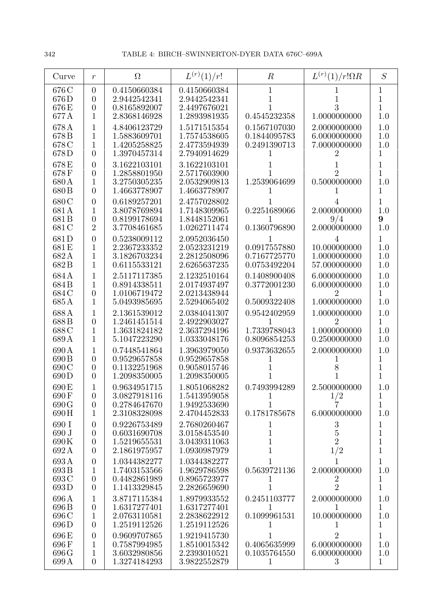| Curve                                      | $\mathfrak{r}$                                                   | $\Omega$                                                     | $L^{(r)}(1)/r!$                                              | $\boldsymbol{R}$                             | $L^{(r)}(1)/r!\Omega R$                                        | S                                           |
|--------------------------------------------|------------------------------------------------------------------|--------------------------------------------------------------|--------------------------------------------------------------|----------------------------------------------|----------------------------------------------------------------|---------------------------------------------|
| 676 C<br>676D<br>676 E<br>677 A            | $\overline{0}$<br>$\overline{0}$<br>$\theta$<br>1                | 0.4150660384<br>2.9442542341<br>0.8165892007<br>2.8368146928 | 0.4150660384<br>2.9442542341<br>2.4497676021<br>1.2893981935 | 1<br>0.4545232358                            | 3<br>1.0000000000                                              | 1<br>1<br>1<br>1.0                          |
| 678 A<br>678B<br>678 C<br>678D             | 1<br>$\mathbf 1$<br>$\mathbf{1}$<br>$\overline{0}$               | 4.8406123729<br>1.5883609701<br>1.4205258825<br>1.3970457314 | 1.5171515354<br>1.7574538605<br>2.4773594939<br>2.7940914629 | 0.1567107030<br>0.1844095783<br>0.2491390713 | 2.0000000000<br>6.0000000000<br>7.0000000000                   | 1.0<br>1.0<br>1.0<br>1                      |
| 678E<br>678F<br>680 A<br>680 B             | $\overline{0}$<br>$\overline{0}$<br>1<br>$\theta$                | 3.1622103101<br>1.2858801950<br>3.2750305235<br>1.4663778907 | 3.1622103101<br>2.5717603900<br>2.0532909813<br>1.4663778907 | 1.2539064699                                 | 2<br>0.5000000000                                              | 1<br>1<br>1.0<br>1                          |
| 680 C<br>681A<br>681 <sub>B</sub><br>681 C | $\overline{0}$<br>1<br>$\theta$<br>$\overline{2}$                | 0.6189257201<br>3.8078769894<br>0.8199178694<br>3.7708461685 | 2.4757028802<br>1.7148309965<br>1.8448152061<br>1.0262711474 | 0.2251689066<br>0.1360796890                 | 2.0000000000<br>9/4<br>2.0000000000                            | 1<br>1.0<br>9<br>1.0                        |
| 681D<br>681E<br>682A<br>682B               | $\overline{0}$<br>$\mathbf{1}$<br>$\mathbf{1}$<br>1              | 0.5238009112<br>2.2367233352<br>3.1826703234<br>0.6115533121 | 2.0952036450<br>2.0523231219<br>2.2812508096<br>2.6265637235 | 0.0917557880<br>0.7167725770<br>0.0753492204 | 4<br>10.000000000<br>1.0000000000<br>57.000000000              | $\mathbf{1}$<br>1.0<br>1.0<br>1.0           |
| 684A<br>684B<br>684 C<br>685A              | 1<br>1<br>$\theta$<br>1                                          | 2.5117117385<br>0.8914338511<br>1.0106719472<br>5.0493985695 | 2.1232510164<br>2.0174937497<br>2.0213438944<br>2.5294065402 | 0.1408900408<br>0.3772001230<br>0.5009322408 | 6.0000000000<br>6.0000000000<br>2<br>1.0000000000              | 1.0<br>1.0<br>1<br>1.0                      |
| 688A<br>688B<br>688 C<br>689A              | $\mathbf{1}$<br>$\overline{0}$<br>$\mathbf{1}$<br>$\mathbf{1}$   | 2.1361539012<br>1.2461451514<br>1.3631824182<br>5.1047223290 | 2.0384041307<br>2.4922903027<br>2.3637294196<br>1.0333048176 | 0.9542402959<br>1.7339788043<br>0.8096854253 | 1.0000000000<br>$\overline{2}$<br>1.0000000000<br>0.2500000000 | 1.0<br>$\mathbf 1$<br>1.0<br>1.0            |
| 690 A<br>690 B<br>690 C<br>690D            | 1<br>$\theta$<br>$\theta$<br>$\theta$                            | 0.7448541864<br>0.9529657858<br>0.1132251968<br>1.2098350005 | 1.3963979050<br>0.9529657858<br>0.9058015746<br>1.2098350005 | 0.9373632655                                 | 2.0000000000                                                   | 1.0<br>1                                    |
| 690 E<br>690 F<br>690 G<br>690H            | $\overline{0}$<br>$\overline{0}$<br>$\mathbf{1}$                 | 0.9634951715<br>3.0827918116<br>0.2784647670<br>2.3108328098 | 1.8051068282<br>1.5413959058<br>1.9492533690<br>2.4704452833 | 0.7493994289<br>1<br>0.1781785678            | 2.5000000000<br>$\frac{1}{2}$<br>6.0000000000                  | 1.0<br>$\mathbf 1$<br>$\overline{1}$<br>1.0 |
| 690 I<br>690 J<br>690K<br>692A             | $\boldsymbol{0}$<br>$\overline{0}$<br>$\theta$<br>$\overline{0}$ | 0.9226753489<br>0.6031690708<br>1.5219655531<br>2.1861975957 | 2.7680260467<br>3.0158453540<br>3.0439311063<br>1.0930987979 | 1<br>1<br>1                                  | $\sqrt{3}$<br>$\overline{5}$<br>$\overline{2}$<br>1/2          | 1<br>$\mathbf 1$<br>$\mathbf 1$<br>1        |
| 693A<br>693B<br>693 C<br>693D              | $\theta$<br>1<br>$\overline{0}$<br>$\overline{0}$                | 1.0344382277<br>1.7403153566<br>0.4482861989<br>1.1413329845 | 1.0344382277<br>1.9629786598<br>0.8965723977<br>2.2826659690 | 0.5639721136<br>T                            | 2.0000000000<br>$\dot{2}$<br>$\overline{2}$                    | 1<br>1.0<br>1<br>$\mathbf{1}$               |
| 696 A<br>696 B<br>696 C<br>696D            | $\mathbf{1}$<br>$\overline{0}$<br>$\mathbf{1}$<br>$\overline{0}$ | 3.8717115384<br>1.6317277401<br>2.0763110581<br>1.2519112526 | 1.8979933552<br>1.6317277401<br>2.2838622912<br>1.2519112526 | 0.2451103777<br>1<br>0.1099961531            | 2.0000000000<br>1<br>10.000000000                              | 1.0<br>$\mathbf{1}$<br>1.0<br>1             |
| 696E<br>696F<br>696 G<br>699A              | $\overline{0}$<br>1<br>$\mathbf 1$<br>$\overline{0}$             | 0.9609707865<br>0.7587994985<br>3.6032980856<br>1.3274184293 | 1.9219415730<br>1.8510015342<br>2.2393010521<br>3.9822552879 | 0.4065635999<br>0.1035764550<br>1            | 2<br>6.0000000000<br>6.0000000000<br>3                         | 1<br>1.0<br>1.0<br>$\mathbf{1}$             |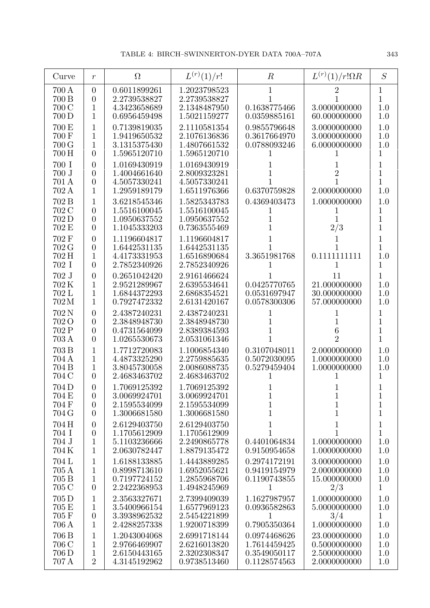| Curve                                        | $\boldsymbol{r}$                                                     | $\Omega$                                                     | $L^{(r)}(1)/r!$                                              | $\boldsymbol{R}$                                             | $L^{(r)}(1)/r!\Omega R$                                      | S                                                  |
|----------------------------------------------|----------------------------------------------------------------------|--------------------------------------------------------------|--------------------------------------------------------------|--------------------------------------------------------------|--------------------------------------------------------------|----------------------------------------------------|
| 700 A<br>700 B<br>700 C<br>700 D             | $\theta$<br>$\overline{0}$<br>1<br>1                                 | 0.6011899261<br>2.2739538827<br>4.3423658689<br>0.6956459498 | 1.2023798523<br>2.2739538827<br>2.1348487950<br>1.5021159277 | 0.1638775466<br>0.0359885161                                 | 3.0000000000<br>60.000000000                                 | 1<br>1<br>1.0<br>1.0                               |
| $700\,\mathrm{E}$<br>700 F<br>700 G<br>700 H | $\mathbf 1$<br>1<br>$\mathbf{1}$<br>$\theta$                         | 0.7139819035<br>1.9419650532<br>3.1315375430<br>1.5965120710 | 2.1110581354<br>2.1076136836<br>1.4807661532<br>1.5965120710 | 0.9855796648<br>0.3617664970<br>0.0788093246                 | 3.0000000000<br>3.0000000000<br>6.0000000000                 | 1.0<br>1.0<br>1.0<br>1                             |
| 700 I<br>700 J<br>701 A<br>702 A             | $\overline{0}$<br>$\overline{0}$<br>$\theta$<br>1                    | 1.0169430919<br>1.4004661640<br>4.5057330241<br>1.2959189179 | 1.0169430919<br>2.8009323281<br>4.5057330241<br>1.6511976366 | 0.6370759828                                                 | $\overline{2}$<br>2.0000000000                               | 1<br>$\overline{1}$<br>$\mathbf{1}$<br>1.0         |
| 702 B<br>702 C<br>702 D<br>702 E             | 1<br>$\theta$<br>$\overline{0}$<br>$\theta$                          | 3.6218545346<br>1.5516100045<br>1.0950637552<br>1.1045333203 | 1.5825343783<br>1.5516100045<br>1.0950637552<br>0.7363555469 | 0.4369403473<br>1                                            | 1.0000000000<br>2/3                                          | 1.0<br>1<br>1<br>1                                 |
| 702 F<br>702 G<br>702 H<br>702 I             | $\overline{0}$<br>$\overline{0}$<br>$\mathbf{1}$<br>$\overline{0}$   | 1.1196604817<br>1.6442531135<br>4.4173331953<br>2.7852340926 | 1.1196604817<br>1.6442531135<br>1.6516890684<br>2.7852340926 | 3.3651981768<br>1                                            | 0.1111111111<br>1                                            | 1<br>1<br>1.0<br>1                                 |
| $702$ J<br>702K<br>702 L<br>702M             | $\overline{0}$<br>1<br>1<br>1                                        | 0.2651042420<br>2.9521289967<br>1.6844372293<br>0.7927472332 | 2.9161466624<br>2.6395534641<br>2.6868354521<br>2.6131420167 | 0.0425770765<br>0.0531697947<br>0.0578300306                 | 11<br>21.000000000<br>30.000000000<br>57.000000000           | 1<br>1.0<br>1.0<br>1.0                             |
| 702 N<br>702 O<br>702 P<br>703 A             | $\theta$<br>$\overline{0}$<br>$\overline{0}$<br>$\theta$             | 2.4387240231<br>2.3848948730<br>0.4731564099<br>1.0265530673 | 2.4387240231<br>2.3848948730<br>2.8389384593<br>2.0531061346 | 1<br>1                                                       | 6<br>$\overline{2}$                                          | 1<br>$\mathbf 1$<br>$\overline{1}$<br>$\mathbf{1}$ |
| 703 B<br>704 A<br>704 B<br>704 C             | 1<br>1<br>1<br>$\overline{0}$                                        | 1.7712720083<br>4.4873325290<br>3.8045730058<br>2.4683463702 | 1.1006854340<br>2.2759885635<br>2.0086088735<br>2.4683463702 | 0.3107048011<br>0.5072030095<br>0.5279459404                 | 2.0000000000<br>1.0000000000<br>1.0000000000                 | 1.0<br>1.0<br>1.0<br>1                             |
| 704D<br>704 E<br>704 F<br>704 G              | $\theta$<br>$\theta$<br>$\theta$<br>$\overline{0}$                   | 1.7069125392<br>3.0069924701<br>2.1595534099<br>1.3006681580 | 1.7069125392<br>3.0069924701<br>2.1595534099<br>1.3006681580 | $\mathbf{1}$<br>$\mathbf 1$<br>$\mathbf 1$                   | $\mathbf 1$<br>$\mathbf 1$<br>$\mathbf 1$                    | $\mathbf{1}$<br>$\mathbf 1$<br>$\mathbf{1}$        |
| 704 H<br>704 I<br>704 J<br>704K              | $\boldsymbol{0}$<br>$\boldsymbol{0}$<br>$\mathbf{1}$<br>$\mathbf{1}$ | 2.6129403750<br>1.1705612909<br>5.1103236666<br>2.0630782447 | 2.6129403750<br>1.1705612909<br>2.2490865778<br>1.8879135472 | $\mathbf 1$<br>1<br>0.4401064834<br>0.9150954658             | $\mathbf 1$<br>1<br>1.0000000000<br>1.0000000000             | 1<br>$\overline{1}$<br>1.0<br>1.0                  |
| 704 L<br>705 A<br>705 B<br>705 C             | $\mathbf 1$<br>$\mathbf{1}$<br>$\mathbf{1}$<br>$\overline{0}$        | 1.6188133885<br>0.8998713610<br>0.7197724152<br>2.2422368953 | 1.4443889285<br>1.6952055621<br>1.2855968706<br>1.4948245969 | 0.2974172191<br>0.9419154979<br>0.1190743855<br>1            | 3.0000000000<br>2.0000000000<br>15.000000000<br>2/3          | 1.0<br>1.0<br>1.0<br>$\mathbf{1}$                  |
| 705 D<br>$705\,\mathrm{E}$<br>705 F<br>706 A | $\mathbf{1}$<br>$\mathbf{1}$<br>$\boldsymbol{0}$<br>$\mathbf{1}$     | 2.3563327671<br>3.5400966154<br>3.3938962532<br>2.4288257338 | 2.7399409039<br>1.6577969123<br>2.5454221899<br>1.9200718399 | 1.1627987957<br>0.0936582863<br>1<br>0.7905350364            | 1.0000000000<br>5.0000000000<br>3/4<br>1.0000000000          | 1.0<br>1.0<br>$\mathbf{1}$<br>1.0                  |
| 706 B<br>706 C<br>706 D<br>707 A             | 1<br>1<br>1<br>$\overline{2}$                                        | 1.2043004068<br>2.9766469907<br>2.6150443165<br>4.3145192962 | 2.6991718144<br>2.6216013820<br>2.3202308347<br>0.9738513460 | 0.0974468626<br>1.7614459425<br>0.3549050117<br>0.1128574563 | 23.000000000<br>0.5000000000<br>2.5000000000<br>2.0000000000 | 1.0<br>1.0<br>1.0<br>1.0                           |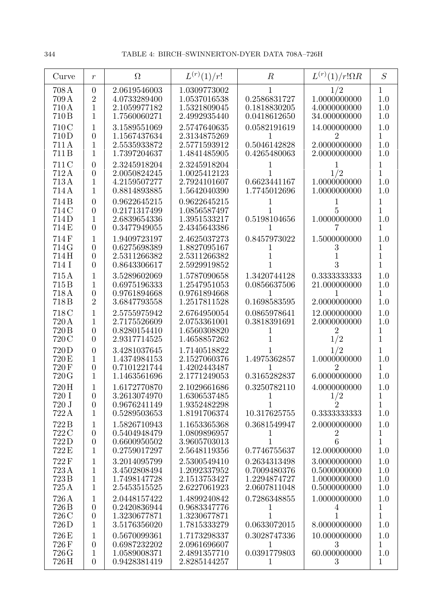| Curve                           | $\,r$                                                                | $\Omega$                                                     | $L^{(r)}(1)/r!$                                              | $\boldsymbol{R}$                                             | $L^{(r)}(1)/r!\Omega R$                                      | S                                          |
|---------------------------------|----------------------------------------------------------------------|--------------------------------------------------------------|--------------------------------------------------------------|--------------------------------------------------------------|--------------------------------------------------------------|--------------------------------------------|
| 708A<br>709 A<br>710A<br>710B   | $\boldsymbol{0}$<br>$\overline{2}$<br>$\mathbf{1}$<br>1              | 2.0619546003<br>4.0733289400<br>2.1059977182<br>1.7560060271 | 1.0309773002<br>1.0537016538<br>1.5321809045<br>2.4992935440 | 0.2586831727<br>0.1818830205<br>0.0418612650                 | 1/2<br>1.0000000000<br>4.0000000000<br>34.000000000          | 1<br>$1.0\,$<br>1.0<br>1.0                 |
| 710C<br>710D<br>711A<br>711B    | 1<br>$\overline{0}$<br>1<br>1                                        | 3.1589551069<br>1.1567437634<br>2.5535933872<br>1.7397204637 | 2.5747640635<br>2.3134875269<br>2.5771593912<br>1.4841485905 | 0.0582191619<br>0.5046142828<br>0.4265480063                 | 14.000000000<br>2<br>2.0000000000<br>2.0000000000            | 1.0<br>1<br>$1.0\,$<br>1.0                 |
| 711 C<br>712A<br>713A<br>714 A  | $\overline{0}$<br>$\overline{0}$<br>1<br>1                           | 2.3245918204<br>2.0050824245<br>4.2159507277<br>0.8814893885 | 2.3245918204<br>1.0025412123<br>2.7924101607<br>1.5642040390 | 0.6623441167<br>1.7745012696                                 | 1/2<br>1.0000000000<br>1.0000000000                          | 1<br>1<br>1.0<br>1.0                       |
| 714B<br>714C<br>714D<br>714 E   | $\overline{0}$<br>$\overline{0}$<br>1<br>$\overline{0}$              | 0.9622645215<br>0.2171317499<br>2.6839654336<br>0.3477949055 | 0.9622645215<br>1.0856587497<br>1.3951533217<br>2.4345643386 | 0.5198104656                                                 | 5<br>1.0000000000                                            | 1<br>$\overline{1}$<br>1.0<br>1            |
| 714F<br>714 G<br>714H<br>714 I  | 1<br>$\overline{0}$<br>$\overline{0}$<br>$\overline{0}$              | 1.9409723197<br>0.6275698389<br>2.5311266382<br>0.8643306617 | 2.4625037273<br>1.8827095167<br>2.5311266382<br>2.5929919852 | 0.8457973022                                                 | 1.5000000000<br>3                                            | 1.0<br>1<br>1<br>$\overline{1}$            |
| 715A<br>715B<br>718A<br>718 B   | 1<br>1<br>$\overline{0}$<br>$\overline{2}$                           | 3.5289602069<br>0.6975196333<br>0.9761894668<br>3.6847793558 | 1.5787090658<br>1.2547951053<br>0.9761894668<br>1.2517811528 | 1.3420744128<br>0.0856637506<br>0.1698583595                 | 0.3333333333<br>21.000000000<br>2.0000000000                 | 1.0<br>1.0<br>1<br>1.0                     |
| 718C<br>720 A<br>720 B<br>720 C | 1<br>1<br>$\overline{0}$<br>$\overline{0}$                           | 2.5755975942<br>2.7175526609<br>0.8280154410<br>2.9317714525 | 2.6764950054<br>2.0753361001<br>1.6560308820<br>1.4658857262 | 0.0865978641<br>0.3818391691                                 | 12.000000000<br>2.0000000000<br>$\overline{2}$<br>1/2        | 1.0<br>1.0<br>1<br>1                       |
| 720D<br>720 E<br>720F<br>720 G  | $\overline{0}$<br>1<br>$\boldsymbol{0}$<br>1                         | 3.4281037645<br>1.4374984153<br>0.7101221744<br>1.1463561696 | 1.7140518822<br>2.1527060376<br>1.4202443487<br>2.1771249053 | 1.4975362857<br>0.3165282837                                 | 1/2<br>1.0000000000<br>$\overline{2}$<br>6.0000000000        | 1<br>1.0<br>1<br>$1.0\,$                   |
| 720H<br>720 I<br>720 J<br>722A  | $\overline{0}$<br>$\overline{0}$<br>$\mathbf{1}$                     | 1.6172770870<br>3.2613074970<br>0.9676241149<br>0.5289503653 | 2.1029661686<br>1.6306537485<br>1.9352482298<br>1.8191706374 | 0.3250782110<br>10.317625755                                 | 4.0000000000<br>$\frac{1}{2}$<br>0.3333333333                | 1.0<br>1<br>$\overline{1}$<br>1.0          |
| 722B<br>722 C<br>722D<br>722 E  | $\mathbf 1$<br>$\boldsymbol{0}$<br>$\boldsymbol{0}$<br>$\mathbf{1}$  | 1.5826710943<br>0.5404948479<br>0.6600950502<br>0.2759017297 | 1.1653365368<br>1.0809896957<br>3.9605703013<br>2.5648119356 | 0.3681549947<br>T<br>0.7746755637                            | 2.0000000000<br>$\overline{2}$<br>6<br>12.000000000          | 1.0<br>1<br>$\mathbf{1}$<br>1.0            |
| 722F<br>723A<br>723B<br>725A    | $\mathbf 1$<br>1<br>1<br>$\mathbf{1}$                                | 3.2014095799<br>3.4502808494<br>1.7498147728<br>2.5453515525 | 2.5300549410<br>1.2092337952<br>2.1513753427<br>2.6227061923 | 0.2634313498<br>0.7009480376<br>1.2294874727<br>2.0607811048 | 3.0000000000<br>0.5000000000<br>1.0000000000<br>0.5000000000 | 1.0<br>1.0<br>1.0<br>1.0                   |
| 726A<br>726 B<br>726 C<br>726D  | $\mathbf{1}$<br>$\boldsymbol{0}$<br>$\boldsymbol{0}$<br>$\mathbf{1}$ | 2.0448157422<br>0.2420836944<br>1.3230677871<br>3.5176356020 | 1.4899240842<br>0.9683347776<br>1.3230677871<br>1.7815333279 | 0.7286348855<br>1<br>0.0633072015                            | 1.0000000000<br>4<br>8.0000000000                            | 1.0<br>$\mathbf 1$<br>$\mathbf{1}$<br>1.0  |
| 726E<br>726F<br>726 G<br>726H   | 1<br>$\overline{0}$<br>1<br>$\overline{0}$                           | 0.5670099361<br>0.6987232202<br>1.0589008371<br>0.9428381419 | 1.7173298337<br>2.0961696607<br>2.4891357710<br>2.8285144257 | 0.3028747336<br>1<br>0.0391779803<br>1                       | 10.000000000<br>3<br>60.000000000<br>3                       | 1.0<br>$\mathbf{1}$<br>1.0<br>$\mathbf{1}$ |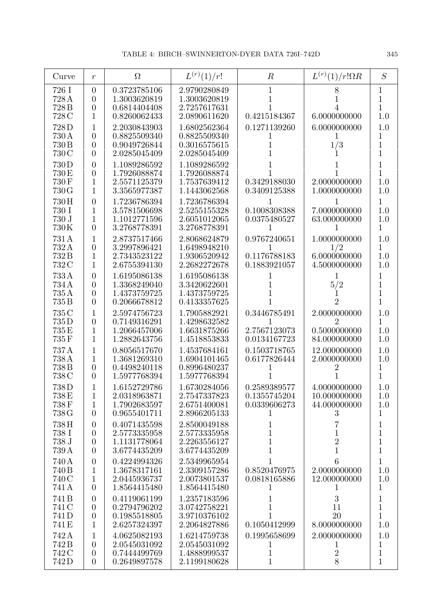| Curve                                   | $\mathfrak{r}$                                                          | $\Omega$                                                                     | $L^{(r)}(1)/r!$                                                              | $\boldsymbol{R}$                                             | $L^{(r)}(1)/r!\Omega R$                                        | S                                                         |
|-----------------------------------------|-------------------------------------------------------------------------|------------------------------------------------------------------------------|------------------------------------------------------------------------------|--------------------------------------------------------------|----------------------------------------------------------------|-----------------------------------------------------------|
| 726 I<br>728 A<br>728 <sub>B</sub>      | $\overline{0}$<br>$\theta$<br>$\theta$                                  | 0.3723785106<br>1.3003620819<br>0.6814404408                                 | 2.9790280849<br>1.3003620819<br>2.7257617631                                 | 1                                                            |                                                                | 1<br>$\mathbf 1$<br>1                                     |
| 728 C<br>728D<br>730 A<br>730 B         | $\mathbf{1}$<br>1<br>$\theta$<br>$\theta$                               | 0.8260062433<br>2.2030843903<br>0.8825509340<br>0.9049726844                 | 2.0890611620<br>1.6802562364<br>0.8825509340<br>0.3016575615                 | 0.4215184367<br>0.1271139260<br>1                            | 6.0000000000<br>6.0000000000<br>1/3                            | 1.0<br>1.0<br>1<br>$\mathbf 1$                            |
| 730 C<br>730D<br>730 E<br>730F<br>730 G | $\overline{0}$<br>$\overline{0}$<br>$\overline{0}$<br>$\mathbf{1}$<br>1 | 2.0285045409<br>1.1089286592<br>1.7926088874<br>2.5571125379<br>3.3565977387 | 2.0285045409<br>1.1089286592<br>1.7926088874<br>1.7537639412<br>1.1443062568 | 1<br>0.3429188030<br>0.3409125388                            | 2.0000000000<br>1.0000000000                                   | $\overline{1}$<br>1<br>$\mathbf 1$<br>1.0<br>1.0          |
| 730H<br>730 I<br>730 J<br>730K          | $\overline{0}$<br>1<br>1<br>$\theta$                                    | 1.7236786394<br>3.5781506698<br>1.1012771596<br>3.2768778391                 | 1.7236786394<br>2.5255155328<br>2.6051012065<br>3.2768778391                 | 0.1008308388<br>0.0375480527                                 | 7.0000000000<br>63.000000000                                   | 1<br>1.0<br>1.0<br>1                                      |
| 731 A<br>732A<br>732B<br>732 C          | 1<br>$\overline{0}$<br>$\mathbf{1}$<br>$\mathbf{1}$                     | 2.8737517466<br>3.2997896421<br>2.7343523122<br>2.6755394130                 | 2.8068624879<br>1.6498948210<br>1.9306520942<br>2.2682272678                 | 0.9767240651<br>1<br>0.1176788183<br>0.1883921057            | 1.0000000000<br>1/2<br>6.0000000000<br>4.5000000000            | 1.0<br>1<br>1.0<br>1.0                                    |
| 733A<br>734A<br>735A<br>735 B           | $\theta$<br>$\overline{0}$<br>$\overline{0}$<br>$\theta$                | 1.6195086138<br>1.3368249040<br>1.4373759725<br>0.2066678812                 | 1.6195086138<br>3.3420622601<br>1.4373759725<br>0.4133357625                 |                                                              | 1<br>5/2<br>2                                                  | 1<br>1<br>$\mathbf 1$<br>$\mathbf{1}$                     |
| 735 C<br>735D<br>735E<br>735F           | $\mathbf{1}$<br>$\overline{0}$<br>$\mathbf{1}$<br>$\mathbf{1}$          | 2.5974756723<br>0.7149316291<br>1.2066457006<br>1.2882643756                 | 1.7905882921<br>1.4298632582<br>1.6631875266<br>1.4518853833                 | 0.3446785491<br>2.7567123073<br>0.0134167723                 | 2.0000000000<br>$\overline{2}$<br>0.5000000000<br>84.000000000 | 1.0<br>$\mathbf 1$<br>1.0<br>1.0                          |
| 737A<br>738 A<br>738B<br>738 C          | 1<br>1<br>$\theta$<br>$\theta$                                          | 0.8056517670<br>1.3681269310<br>0.4498240118<br>1.5977768394                 | 1.4537684161<br>1.6904101465<br>0.8996480237<br>1.5977768394                 | 0.1503718765<br>0.6177826444                                 | 12.000000000<br>2.0000000000                                   | 1.0<br>1.0<br>1<br>1                                      |
| 738D<br>738 E<br>738F<br>738 G          | $\mathbf{1}$<br>$\mathbf{1}$<br>$\overline{0}$                          | 1.6152729786<br>2.0318963871<br>1.7902683597<br>0.9655401711                 | 1.6730284056<br>2.7547337823<br>2.6751400081<br>2.8966205133                 | 0.2589389577<br>0.1355745204<br>0.0339606273<br>$\mathbf{I}$ | 4.0000000000<br>10.000000000<br>44.000000000<br>3              | 1.0<br>1.0<br>1.0<br>$\mathbf{1}$                         |
| 738H<br>738 I<br>738 J<br>739 A         | $\theta$<br>$\boldsymbol{0}$<br>$\boldsymbol{0}$<br>$\theta$            | 0.4071435598<br>2.5773335958<br>1.1131778064<br>3.6774435209                 | 2.8500049188<br>2.5773335958<br>2.2263556127<br>3.6774435209                 | 1<br>$\mathbf 1$<br>$\mathbf{1}$<br>1                        | 1<br>$\overline{2}$<br>$\mathbf{1}$                            | $\mathbf 1$<br>$\mathbf 1$<br>$\mathbf{1}$<br>$\mathbf 1$ |
| 740 A<br>740 B<br>740 C<br>741 A        | $\theta$<br>1<br>$\mathbf{1}$<br>$\overline{0}$                         | 0.4224994326<br>1.3678317161<br>2.0445936737<br>1.8564415480                 | 2.5349965954<br>2.3309157286<br>2.0073801537<br>1.8564415480                 | 1<br>0.8520476975<br>0.0818165886<br>1                       | 6<br>2.0000000000<br>12.000000000<br>$\mathbf{I}$              | 1<br>1.0<br>1.0<br>$\mathbf 1$                            |
| 741B<br>741 C<br>741D<br>741 E          | $\theta$<br>$\theta$<br>$\boldsymbol{0}$<br>$\mathbf{1}$                | 0.4119061199<br>0.2794796202<br>0.1985518805<br>2.6257324397                 | 1.2357183596<br>3.0742758221<br>3.9710376102<br>2.2064827886                 | 1<br>1<br>1<br>0.1050412999                                  | 3<br>11<br>20<br>8.0000000000                                  | 1<br>$\mathbf 1$<br>$\mathbf{1}$<br>1.0                   |
| 742 A<br>742 B<br>742 C<br>742D         | 1<br>$\overline{0}$<br>$\theta$<br>$\overline{0}$                       | 4.0625082193<br>2.0545031092<br>0.7444499769<br>0.2649897578                 | 1.6214759738<br>2.0545031092<br>1.4888999537<br>2.1199180628                 | 0.1995658699<br>1<br>$\mathbf 1$<br>$\mathbf{1}$             | 2.0000000000<br>$\perp$<br>$\sqrt{2}$<br>8                     | 1.0<br>1<br>$\mathbf{1}$<br>$\mathbf{1}$                  |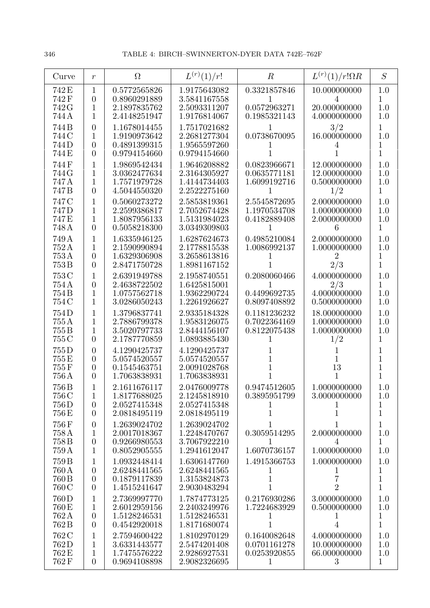| Curve                                       | $\boldsymbol{r}$                                                     | $\Omega$                                                     | $L^{(r)}(1)/r!$                                              | $\boldsymbol{R}$                                  | $L^{(r)}(1)/r!\Omega R$                               | S                                          |
|---------------------------------------------|----------------------------------------------------------------------|--------------------------------------------------------------|--------------------------------------------------------------|---------------------------------------------------|-------------------------------------------------------|--------------------------------------------|
| 742 E<br>742F<br>742 G<br>744 A             | $\mathbf{1}$<br>$\overline{0}$<br>1<br>1                             | 0.5772565826<br>0.8960291889<br>2.1897835762<br>2.4148251947 | 1.9175643082<br>3.5841167558<br>2.5093311207<br>1.9176814067 | 0.3321857846<br>0.0572963271<br>0.1985321143      | 10.000000000<br>4<br>20.000000000<br>4.0000000000     | 1.0<br>1<br>1.0<br>1.0                     |
| 744B<br>744 C<br>744D<br>744 E              | $\overline{0}$<br>$\mathbf{1}$<br>$\overline{0}$<br>$\overline{0}$   | 1.1678014455<br>1.9190973642<br>0.4891399315<br>0.9794154660 | 1.7517021682<br>2.2681277304<br>1.9565597260<br>0.9794154660 | 0.0738670095                                      | 3/2<br>16.000000000                                   | 1<br>1.0<br>1<br>$\overline{1}$            |
| 744F<br>744 G<br>747 A<br>747B              | $\mathbf{1}$<br>1<br>1<br>$\overline{0}$                             | 1.9869542434<br>3.0362477634<br>1.7571979728<br>4.5044550320 | 1.9646208882<br>2.3164305927<br>1.4144734403<br>2.2522275160 | 0.0823966671<br>0.0635771181<br>1.6099192716<br>1 | 12.000000000<br>12.000000000<br>0.5000000000<br>1/2   | 1.0<br>1.0<br>1.0<br>$\mathbf{1}$          |
| 747 C<br>747 <sub>D</sub><br>747 E<br>748 A | 1<br>1<br>1<br>$\overline{0}$                                        | 0.5060273272<br>2.2599386817<br>1.8087956133<br>0.5058218300 | 2.5853819361<br>2.7052674428<br>1.5131984023<br>3.0349309803 | 2.5545872695<br>1.1970534708<br>0.4182889408      | 2.0000000000<br>1.0000000000<br>2.0000000000<br>6     | 1.0<br>1.0<br>1.0<br>1                     |
| 749 A<br>752A<br>753A<br>753B               | 1<br>1<br>$\boldsymbol{0}$<br>$\overline{0}$                         | 1.6335946125<br>2.1590990894<br>1.6329306908<br>2.8471750728 | 1.6287624673<br>2.1778815538<br>3.2658613816<br>1.8981167152 | 0.4985210084<br>1.0086992137                      | 2.0000000000<br>1.0000000000<br>$\overline{2}$<br>2/3 | 1.0<br>1.0<br>1<br>$\mathbf{1}$            |
| 753 C<br>754A<br>754 B<br>754 C             | 1<br>$\overline{0}$<br>1<br>1                                        | 2.6391949788<br>2.4638722502<br>1.0757562718<br>3.0286050243 | 2.1958740551<br>1.6425815001<br>1.9362290724<br>1.2261926627 | 0.2080060466<br>0.4499692735<br>0.8097408892      | 4.0000000000<br>2/3<br>4.0000000000<br>0.5000000000   | 1.0<br>1<br>1.0<br>1.0                     |
| 754D<br>755 A<br>755B<br>755 C              | 1<br>1<br>1<br>$\overline{0}$                                        | 1.3796837741<br>2.7886799378<br>3.5020797733<br>2.1787770859 | 2.9335184328<br>1.9583126075<br>2.8444156107<br>1.0893885430 | 0.1181236232<br>0.7022364169<br>0.8122075438      | 18.000000000<br>1.0000000000<br>1.0000000000<br>1/2   | 1.0<br>1.0<br>1.0<br>1                     |
| 755D<br>755E<br>755F<br>756 A               | $\overline{0}$<br>$\overline{0}$<br>$\overline{0}$<br>$\overline{0}$ | 4.1290425737<br>5.0574520557<br>0.1545463751<br>1.7063838931 | 4.1290425737<br>5.0574520557<br>2.0091028768<br>1.7063838931 |                                                   | 13                                                    | 1<br>1<br>1<br>1                           |
| 756B<br>756 C<br>756D<br>756 E              | $\mathbf{1}$<br>$\overline{0}$<br>$\overline{0}$                     | 2.1611676117<br>1.8177688025<br>2.0527415348<br>2.0818495119 | 2.0476009778<br>2.1245818910<br>2.0527415348<br>2.0818495119 | 0.9474512605<br>0.3895951799<br>1                 | 1.0000000000<br>3.0000000000                          | 1.0<br>1.0<br>1<br>1                       |
| 756F<br>758 A<br>758B<br>759 A              | $\boldsymbol{0}$<br>1<br>$\boldsymbol{0}$<br>$\mathbf{1}$            | 1.2639024702<br>2.0017018367<br>0.9266980553<br>0.8052905555 | 1.2639024702<br>1.2248470767<br>3.7067922210<br>1.2941612047 | 0.3059514295<br>$\mathbf{I}$<br>1.6070736157      | 2.0000000000<br>4<br>1.0000000000                     | 1<br>1.0<br>$\mathbf{1}$<br>1.0            |
| 759B<br>760 A<br>760 B<br>760 C             | 1<br>$\overline{0}$<br>$\overline{0}$<br>$\overline{0}$              | 1.0932448414<br>2.6248441565<br>0.1879117839<br>1.4515241647 | 1.6306147760<br>2.6248441565<br>1.3153824873<br>2.9030483294 | 1.4915366753<br>T<br>1                            | 1.0000000000<br>$\overline{2}$                        | 1.0<br>1<br>$\mathbf{1}$<br>$\overline{1}$ |
| 760 D<br>760 E<br>762A<br>762B              | 1<br>$\mathbf{1}$<br>$\boldsymbol{0}$<br>$\overline{0}$              | 2.7369997770<br>2.6012959156<br>1.5128246531<br>0.4542920018 | 1.7874773125<br>2.2403249976<br>1.5128246531<br>1.8171680074 | 0.2176930286<br>1.7224683929                      | 3.0000000000<br>0.5000000000                          | 1.0<br>1.0<br>$\mathbf 1$<br>$\mathbf{1}$  |
| 762 C<br>762D<br>762 E<br>762F              | 1<br>1<br>1<br>$\overline{0}$                                        | 2.7594600422<br>3.6331443577<br>1.7475576222<br>0.9694108898 | 1.8102970129<br>2.5474201408<br>2.9286927531<br>2.9082326695 | 0.1640082648<br>0.0701161278<br>0.0253920855<br>1 | 4.0000000000<br>10.000000000<br>66.000000000<br>3     | 1.0<br>1.0<br>1.0<br>$\mathbf{1}$          |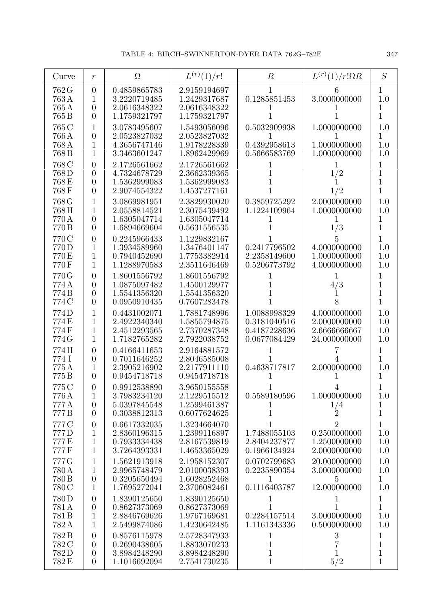| Curve                            | $\boldsymbol{r}$                                                         | $\Omega$                                                     | $L^{(r)}(1)/r!$                                              | $\boldsymbol{R}$                                             | $L^{(r)}(1)/r!\Omega R$                                        | S                                         |
|----------------------------------|--------------------------------------------------------------------------|--------------------------------------------------------------|--------------------------------------------------------------|--------------------------------------------------------------|----------------------------------------------------------------|-------------------------------------------|
| 762 G<br>763A<br>765A            | $\overline{0}$<br>1<br>$\overline{0}$                                    | 0.4859865783<br>3.2220719485<br>2.0616348322                 | 2.9159194697<br>1.2429317687<br>2.0616348322                 | 0.1285851453                                                 | 6<br>3.0000000000                                              | 1<br>1.0<br>1                             |
| 765B<br>765 C                    | $\overline{0}$<br>1                                                      | 1.1759321797<br>3.0783495607                                 | 1.1759321797<br>1.5493056096                                 | 0.5032909938                                                 | 1.0000000000                                                   | 1<br>1.0                                  |
| 766 A<br>768A<br>768B            | $\overline{0}$<br>1<br>1                                                 | 2.0523827032<br>4.3656747146<br>3.3463601247                 | 2.0523827032<br>1.9178228339<br>1.8962429969                 | 0.4392958613<br>0.5666583769                                 | 1.0000000000<br>1.0000000000                                   | 1<br>$1.0\,$<br>1.0                       |
| 768 C<br>768D<br>768E<br>768F    | $\overline{0}$<br>$\overline{0}$<br>$\overline{0}$<br>$\overline{0}$     | 2.1726561662<br>4.7324678729<br>1.5362999083<br>2.9074554322 | 2.1726561662<br>2.3662339365<br>1.5362999083<br>1.4537277161 |                                                              | 1<br>1/2<br>1/2                                                | $\mathbf 1$<br>1<br>$\mathbf 1$<br>1      |
| 768 G<br>768H<br>770 A<br>770 B  | 1<br>1<br>$\overline{0}$<br>$\overline{0}$                               | 3.0869981951<br>2.0558814521<br>1.6305047714<br>1.6894669604 | 2.3829930020<br>2.3075439492<br>1.6305047714<br>0.5631556535 | 0.3859725292<br>1.1224109964                                 | 2.0000000000<br>1.0000000000<br>1<br>1/3                       | 1.0<br>1.0<br>1<br>$\mathbf 1$            |
| 770 C<br>770D<br>770 E<br>770F   | $\overline{0}$<br>1<br>1<br>1                                            | 0.2245966433<br>1.3934589960<br>0.7940452690<br>1.1288970583 | 1.1229832167<br>1.3476401147<br>1.7753382914<br>2.3511646469 | 0.2417796502<br>2.2358149600<br>0.5206773792                 | 5<br>4.0000000000<br>1.0000000000<br>4.0000000000              | 1<br>1.0<br>$1.0\,$<br>$1.0\,$            |
| 770G<br>774A<br>774B<br>774 C    | $\overline{0}$<br>$\overline{0}$<br>$\overline{0}$<br>$\overline{0}$     | 1.8601556792<br>1.0875097482<br>1.5541356320<br>0.0950910435 | 1.8601556792<br>1.4500129977<br>1.5541356320<br>0.7607283478 |                                                              | 1<br>4/3<br>8                                                  | 1<br>1<br>$\overline{1}$<br>$\mathbf{1}$  |
| 774D<br>774E<br>774F<br>774 G    | 1<br>1<br>1<br>1                                                         | 0.4431002071<br>2.4922340340<br>2.4512293565<br>1.7182765282 | 1.7881748996<br>1.5855794875<br>2.7370287348<br>2.7922038752 | 1.0088998329<br>0.3181040516<br>0.4187228636<br>0.0677084429 | 4.0000000000<br>2.0000000000<br>2.6666666667<br>24.000000000   | 1.0<br>1.0<br>1.0<br>1.0                  |
| 774H<br>774 I<br>775A<br>775B    | $\overline{0}$<br>$\overline{0}$<br>1<br>$\overline{0}$                  | 0.4166411653<br>0.7011646252<br>2.3905216902<br>0.9454718718 | 2.9164881572<br>2.8046585008<br>2.2177911110<br>0.9454718718 | 0.4638717817                                                 | 2.0000000000                                                   | 1<br>1<br>1.0<br>1                        |
| 775 C<br>776 A<br>777 A<br>777B  | $\overline{0}$<br>$\mathbf{1}$<br>$\overline{0}$<br>$\overline{0}$       | 0.9912538890<br>3.7983234120<br>5.0397845548<br>0.3038812313 | 3.9650155558<br>2.1229515512<br>1.2599461387<br>0.6077624625 | 0.5589180596<br>1                                            | 1.0000000000<br>1/4<br>$\overline{2}$                          | 1.0<br>1<br>1                             |
| 777C<br>777D<br>777E<br>777F     | $\boldsymbol{0}$<br>1<br>$\mathbf 1$<br>$\mathbf{1}$                     | 0.6617332035<br>2.8360196315<br>0.7933334438<br>3.7264393331 | 1.3234664070<br>1.2399116897<br>2.8167539819<br>1.4653365029 | 1.7488055103<br>2.8404237877<br>0.1966134924                 | $\overline{2}$<br>0.2500000000<br>1.2500000000<br>2.0000000000 | $\mathbf 1$<br>1.0<br>1.0<br>1.0          |
| 777 G<br>780 A<br>780 B<br>780 C | 1<br>1<br>$\boldsymbol{0}$<br>$\mathbf{1}$                               | 1.5621913918<br>2.9965748479<br>0.3205650494<br>1.7695272041 | 2.1958152307<br>2.0100038393<br>1.6028252468<br>2.3706082461 | 0.0702799683<br>0.2235890354<br>1<br>0.1116403787            | 20.000000000<br>3.0000000000<br>5<br>12.000000000              | 1.0<br>1.0<br>1<br>1.0                    |
| 780D<br>781A<br>781 B<br>782A    | $\boldsymbol{0}$<br>$\boldsymbol{0}$<br>$\mathbf{1}$<br>$\mathbf{1}$     | 1.8390125650<br>0.8627373069<br>2.8846769626<br>2.5499874086 | 1.8390125650<br>0.8627373069<br>1.9767169681<br>1.4230642485 | 1<br>1<br>0.2284157514<br>1.1161343336                       | 1<br>1<br>3.0000000000<br>0.5000000000                         | $\mathbf 1$<br>$\mathbf{1}$<br>1.0<br>1.0 |
| 782B<br>782 C<br>782D<br>782 E   | $\boldsymbol{0}$<br>$\overline{0}$<br>$\boldsymbol{0}$<br>$\overline{0}$ | 0.8576115978<br>0.2690438605<br>3.8984248290<br>1.1016692094 | 2.5728347933<br>1.8833070233<br>3.8984248290<br>2.7541730235 | 1<br>1<br>$\mathbf 1$<br>$\mathbf 1$                         | $\boldsymbol{3}$<br>7<br>5/2                                   | 1<br>1<br>$\mathbf 1$<br>$\mathbf{1}$     |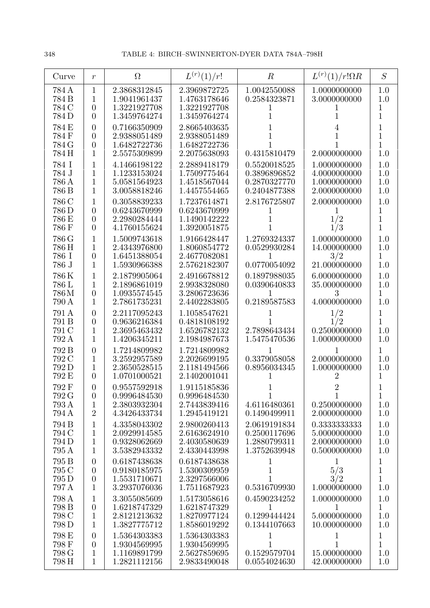| Curve                            | $\boldsymbol{r}$                                                   | $\Omega$                                                     | $L^{(r)}(1)/r!$                                              | $\boldsymbol{R}$                                             | $L^{(r)}(1)/r!\Omega R$                                      | S                                            |
|----------------------------------|--------------------------------------------------------------------|--------------------------------------------------------------|--------------------------------------------------------------|--------------------------------------------------------------|--------------------------------------------------------------|----------------------------------------------|
| 784 A<br>784 B<br>784 C<br>784D  | $\mathbf{1}$<br>1<br>$\theta$<br>$\overline{0}$                    | 2.3868312845<br>1.9041961437<br>1.3221927708<br>1.3459764274 | 2.3969872725<br>1.4763178646<br>1.3221927708<br>1.3459764274 | 1.0042550088<br>0.2584323871                                 | 1.0000000000<br>3.0000000000                                 | 1.0<br>1.0<br>1<br>1                         |
| 784 E<br>784 F<br>784 G<br>784 H | $\overline{0}$<br>$\overline{0}$<br>$\overline{0}$<br>$\mathbf{1}$ | 0.7166350909<br>2.9388051489<br>1.6482722736<br>2.5575309899 | 2.8665403635<br>2.9388051489<br>1.6482722736<br>2.2075638093 | 0.4315810479                                                 | 2.0000000000                                                 | 1<br>$\overline{1}$<br>$\overline{1}$<br>1.0 |
| 784 I<br>784 J<br>786 A<br>786 B | 1<br>1<br>$\mathbf{1}$<br>$\mathbf{1}$                             | 4.1466198122<br>1.1233153024<br>5.0581564923<br>3.0058818246 | 2.2889418179<br>1.7509775464<br>1.4518567044<br>1.4457554465 | 0.5520018525<br>0.3896896852<br>0.2870327770<br>0.2404877388 | 1.0000000000<br>4.0000000000<br>1.0000000000<br>2.0000000000 | 1.0<br>1.0<br>1.0<br>1.0                     |
| 786 C<br>786 D<br>786 E<br>786 F | 1<br>$\theta$<br>$\boldsymbol{0}$<br>$\overline{0}$                | 0.3058839233<br>0.6243670999<br>2.2980284444<br>4.1760155624 | 1.7237614871<br>0.6243670999<br>1.1490142222<br>1.3920051875 | 2.8176725807                                                 | 2.0000000000<br>1/2<br>1/3                                   | 1.0<br>1<br>$\mathbf 1$<br>1                 |
| 786 G<br>786 H<br>786 I<br>786 J | 1<br>1<br>$\overline{0}$<br>$\mathbf{1}$                           | 1.5009743618<br>2.4343976800<br>1.6451388054<br>1.5930966388 | 1.9166428447<br>1.8060854772<br>2.4677082081<br>2.5762182307 | 1.2769324337<br>0.0529930284<br>0.0770054092                 | 1.0000000000<br>14.000000000<br>3/2<br>21.000000000          | 1.0<br>1.0<br>1<br>1.0                       |
| 786K<br>786 L<br>786M<br>790 A   | 1<br>1<br>$\theta$<br>1                                            | 2.1879905064<br>2.1896861019<br>1.0935574545<br>2.7861735231 | 2.4916678812<br>2.9938328080<br>3.2806723636<br>2.4402283805 | 0.1897988035<br>0.0390640833<br>0.2189587583                 | 6.0000000000<br>35.000000000<br>3<br>4.0000000000            | 1.0<br>1.0<br>1<br>1.0                       |
| 791 A<br>791 B<br>791 C<br>792 A | $\overline{0}$<br>$\overline{0}$<br>$\mathbf{1}$<br>1              | 2.2117095243<br>0.9636216384<br>2.3695463432<br>1.4206345211 | 1.1058547621<br>0.4818108192<br>1.6526782132<br>2.1984987673 | 2.7898643434<br>1.5475470536                                 | 1/2<br>1/2<br>0.2500000000<br>1.0000000000                   | 1<br>$\mathbf 1$<br>1.0<br>1.0               |
| 792 B<br>792 C<br>792D<br>792 E  | $\overline{0}$<br>1<br>1<br>$\overline{0}$                         | 1.7214809982<br>3.2592957589<br>2.3650528515<br>1.0701000521 | 1.7214809982<br>2.2026699195<br>2.1181494566<br>2.1402001041 | T<br>0.3379058058<br>0.8956034345                            | 1<br>2.0000000000<br>1.0000000000<br>2                       | $\mathbf{1}$<br>1.0<br>1.0<br>1              |
| 792 F<br>792 G<br>793 A<br>794 A | $\theta$<br>$\overline{0}$<br>$\mathbf{1}$<br>$\overline{2}$       | 0.9557592918<br>0.9996484530<br>2.3803932304<br>4.3426433734 | 1.9115185836<br>0.9996484530<br>2.7443839416<br>1.2945419121 | 1<br>4.6116480361<br>0.1490499911                            | 1<br>0.2500000000<br>2.0000000000                            | $\mathbf{1}$<br>1.0<br>1.0                   |
| 794 B<br>794 C<br>794 D<br>795 A | 1<br>$\mathbf{1}$<br>$\mathbf{1}$<br>$\mathbf{1}$                  | 4.3358043302<br>2.0929914585<br>0.9328062669<br>3.5382943332 | 2.9800260413<br>2.6163624910<br>2.4030580639<br>2.4330443998 | 2.0619191834<br>0.2500117696<br>1.2880799311<br>1.3752639948 | 0.3333333333<br>5.0000000000<br>2.0000000000<br>0.5000000000 | 1.0<br>1.0<br>1.0<br>1.0                     |
| 795 B<br>795 C<br>795 D<br>797 A | $\theta$<br>$\boldsymbol{0}$<br>$\boldsymbol{0}$<br>1              | 0.6187438638<br>0.9180185975<br>1.5531710671<br>3.2937076036 | 0.6187438638<br>1.5300309959<br>2.3297566006<br>1.7511687923 | 1<br>1<br>1<br>0.5316709930                                  | $\mathbf{1}$<br>5/3<br>3/2<br>1.0000000000                   | 1<br>$\overline{1}$<br>1<br>1.0              |
| 798 A<br>798 B<br>798 C<br>798 D | $\mathbf{1}$<br>$\overline{0}$<br>$\mathbf{1}$<br>$\mathbf 1$      | 3.3055085609<br>1.6218747329<br>2.8121213632<br>1.3827775712 | 1.5173058616<br>1.6218747329<br>1.8270977124<br>1.8586019292 | 0.4590234252<br>1<br>0.1299444424<br>0.1344107663            | 1.0000000000<br>1<br>5.0000000000<br>10.000000000            | 1.0<br>1<br>1.0<br>1.0                       |
| 798 E<br>798 F<br>798 G<br>798 H | $\theta$<br>$\boldsymbol{0}$<br>1<br>$\mathbf{1}$                  | 1.5364303383<br>1.9304569995<br>1.1169891799<br>1.2821112156 | 1.5364303383<br>1.9304569995<br>2.5627859695<br>2.9833490048 | $\mathbf 1$<br>1<br>0.1529579704<br>0.0554024630             | 1<br>1<br>15.000000000<br>42.000000000                       | 1<br>$\mathbf{1}$<br>1.0<br>1.0              |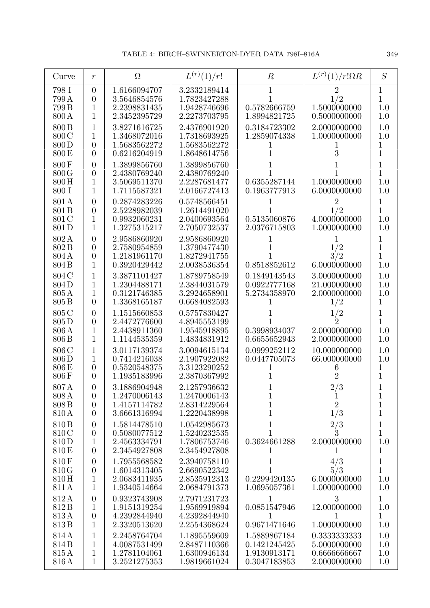| Curve                                     | $\boldsymbol{r}$                                                   | $\Omega$                                                     | $L^{(r)}(1)/r!$                                              | $\boldsymbol{R}$                                             | $L^{(r)}(1)/r!\Omega R$                                      | S                                                 |
|-------------------------------------------|--------------------------------------------------------------------|--------------------------------------------------------------|--------------------------------------------------------------|--------------------------------------------------------------|--------------------------------------------------------------|---------------------------------------------------|
| 798 I<br>799 A<br>799B<br>800 A           | $\theta$<br>$\overline{0}$<br>1<br>1                               | 1.6166094707<br>3.5646854576<br>2.2398831435<br>2.3452395729 | 3.2332189414<br>1.7823427288<br>1.9428746696<br>2.2273703795 | 1<br>0.5782666759<br>1.8994821725                            | $\overline{2}$<br>1/2<br>1.5000000000<br>0.5000000000        | 1<br>$\overline{1}$<br>1.0<br>1.0                 |
| 800 B<br>800 C<br>800D<br>800 E           | 1<br>1<br>$\overline{0}$<br>$\theta$                               | 3.8271616725<br>1.3468072016<br>1.5683562272<br>0.6216204919 | 2.4376901920<br>1.7318693925<br>1.5683562272<br>1.8648614756 | 0.3184723302<br>1.2859074338<br>1                            | 2.0000000000<br>1.0000000000<br>3                            | 1.0<br>1.0<br>1<br>$\overline{1}$                 |
| 800F<br>800G<br>800H<br>800 I             | $\theta$<br>$\overline{0}$<br>1<br>1                               | 1.3899856760<br>2.4380769240<br>3.5069511370<br>1.7115587321 | 1.3899856760<br>2.4380769240<br>2.2287681477<br>2.0166727413 | 0.6355287144<br>0.1963777913                                 | 1.0000000000<br>6.0000000000                                 | 1<br>1<br>1.0<br>1.0                              |
| 801A<br>801 <sub>B</sub><br>801 C<br>801D | $\theta$<br>$\overline{0}$<br>$\mathbf{1}$<br>1                    | 0.2874283226<br>2.5228982039<br>0.9932060231<br>1.3275315217 | 0.5748566451<br>1.2614491020<br>2.0400693564<br>2.7050732537 | 0.5135060876<br>2.0376715803                                 | $\overline{2}$<br>1/2<br>4.0000000000<br>1.0000000000        | 1<br>$\overline{1}$<br>1.0<br>1.0                 |
| 802A<br>802B<br>804A<br>804 <sub>B</sub>  | $\overline{0}$<br>$\overline{0}$<br>$\overline{0}$<br>$\mathbf{1}$ | 2.9586860920<br>2.7580954859<br>1.2181961170<br>0.3920429442 | 2.9586860920<br>1.3790477430<br>1.8272941755<br>2.0038536354 | 0.8518852612                                                 | 1<br>1/2<br>3/2<br>6.0000000000                              | 1<br>$\overline{1}$<br>1<br>1.0                   |
| 804 C<br>804D<br>805A<br>805 <sub>B</sub> | 1<br>1<br>1<br>$\theta$                                            | 3.3871101427<br>1.2304488171<br>0.3121746385<br>1.3368165187 | 1.8789758549<br>2.3844031579<br>3.2924658901<br>0.6684082593 | 0.1849143543<br>0.0922777168<br>5.2734358970                 | 3.0000000000<br>21.000000000<br>2.0000000000<br>1/2          | 1.0<br>1.0<br>1.0<br>1                            |
| 805 C<br>805D<br>806 A<br>806 B           | $\overline{0}$<br>$\overline{0}$<br>$\mathbf{1}$<br>$\mathbf{1}$   | 1.1515660853<br>2.4472776600<br>2.4438911360<br>1.1144535359 | 0.5757830427<br>4.8945553199<br>1.9545918895<br>1.4834831912 | 0.3998934037<br>0.6655652943                                 | $\frac{1}{2}$<br>2.0000000000<br>2.0000000000                | 1<br>1<br>1.0<br>1.0                              |
| 806 C<br>806D<br>806 E<br>806F            | 1<br>1<br>$\overline{0}$<br>$\theta$                               | 3.0117139374<br>0.7414216038<br>0.5520548375<br>1.1935183996 | 3.0094615134<br>2.1907922082<br>3.3123290252<br>2.3870367992 | 0.0999252112<br>0.0447705073                                 | 10.000000000<br>66.000000000<br>6<br>$\overline{2}$          | 1.0<br>1.0<br>1<br>1                              |
| 807A<br>808 A<br>808 B<br>810 A           | $\theta$<br>$\overline{0}$<br>$\theta$<br>$\overline{0}$           | 3.1886904948<br>1.2470006143<br>1.4157114782<br>3.6661316994 | 2.1257936632<br>1.2470006143<br>2.8314229564<br>1.2220438998 | $\mathbf{1}$<br>$\mathbf{1}$<br>$\mathbf 1$                  | 2/3<br>$\overline{1}$<br>$\overline{2}$<br>1/3               | 1<br>$\mathbf{1}$<br>$\mathbf{1}$<br>$\mathbf{1}$ |
| 810 <sub>B</sub><br>810C<br>810D<br>810 E | $\theta$<br>$\theta$<br>1<br>$\theta$                              | 1.5814478510<br>0.5080077512<br>2.4563334791<br>2.3454927808 | 1.0542985673<br>1.5240232535<br>1.7806753746<br>2.3454927808 | $\mathbf 1$<br>$\mathbf{1}$<br>0.3624661288<br>1             | 2/3<br>$\overline{3}$<br>2.0000000000                        | 1<br>1<br>1.0<br>1                                |
| 810F<br>810G<br>810H<br>811 A             | $\theta$<br>$\theta$<br>$\mathbf{1}$<br>$\mathbf{1}$               | 1.7955568582<br>1.6014313405<br>2.0683411935<br>1.9340514664 | 2.3940758110<br>2.6690522342<br>2.8535912313<br>2.0684791373 | 1<br>$\mathbf 1$<br>0.2299420135<br>1.0695057361             | 4/3<br>5/3<br>6.0000000000<br>1.0000000000                   | 1<br>1<br>1.0<br>1.0                              |
| 812A<br>812B<br>813A<br>813B              | $\theta$<br>$\mathbf{1}$<br>$\boldsymbol{0}$<br>$\mathbf{1}$       | 0.9323743908<br>1.9151319254<br>4.2392844940<br>2.3320513620 | 2.7971231723<br>1.9569919894<br>4.2392844940<br>2.2554368624 | 1<br>0.0851547946<br>1<br>0.9671471646                       | 3<br>12.000000000<br>1<br>1.0000000000                       | $\mathbf{1}$<br>1.0<br>$\mathbf{1}$<br>1.0        |
| 814A<br>814B<br>815A<br>816 A             | 1<br>$\mathbf{1}$<br>$\mathbf{1}$<br>$\mathbf{1}$                  | 2.2458764704<br>4.0087531499<br>1.2781104061<br>3.2521275353 | 1.1895559609<br>2.8487110366<br>1.6300946134<br>1.9819661024 | 1.5889867184<br>0.1421245425<br>1.9130913171<br>0.3047183853 | 0.3333333333<br>5.0000000000<br>0.6666666667<br>2.0000000000 | 1.0<br>1.0<br>1.0<br>1.0                          |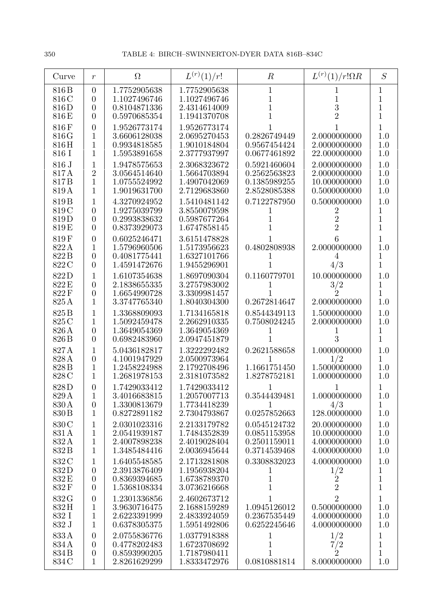| Curve                                       | $\mathfrak{r}$                                                       | $\Omega$                                                     | $L^{(r)}(1)/r!$                                              | $\boldsymbol{R}$                                             | $L^{(r)}(1)/r!\Omega R$                                        | S                                           |
|---------------------------------------------|----------------------------------------------------------------------|--------------------------------------------------------------|--------------------------------------------------------------|--------------------------------------------------------------|----------------------------------------------------------------|---------------------------------------------|
| 816 B<br>816 C<br>816D<br>816 E             | $\overline{0}$<br>$\overline{0}$<br>$\theta$<br>$\overline{0}$       | 1.7752905638<br>1.1027496746<br>0.8104871336<br>0.5970685354 | 1.7752905638<br>1.1027496746<br>2.4314614009<br>1.1941370708 | 1<br>1<br>1                                                  | 3<br>$\overline{2}$                                            | 1<br>1<br>1<br>$\mathbf{1}$                 |
| 816F<br>816G<br>816H<br>816 I               | $\theta$<br>$\mathbf{1}$<br>1<br>1                                   | 1.9526773174<br>3.6606128038<br>0.9934818585<br>1.5953891658 | 1.9526773174<br>2.0695270453<br>1.9010184804<br>2.3777937997 | 0.2826749449<br>0.9567454424<br>0.0677461892                 | 2.0000000000<br>2.0000000000<br>22.000000000                   | 1<br>$1.0\,$<br>1.0<br>1.0                  |
| 816 J<br>817A<br>817B<br>819A               | 1<br>$\overline{2}$<br>$\mathbf{1}$<br>$\mathbf{1}$                  | 1.9478575653<br>3.0564514640<br>1.0755524992<br>1.9019631700 | 2.3068323672<br>1.5664703894<br>1.4907042069<br>2.7129683860 | 0.5921460604<br>0.2562563823<br>0.1385989255<br>2.8528085388 | 2.0000000000<br>2.0000000000<br>10.000000000<br>0.5000000000   | 1.0<br>1.0<br>1.0<br>1.0                    |
| 819 <sub>B</sub><br>819 C<br>819D<br>819E   | 1<br>$\theta$<br>$\overline{0}$<br>$\theta$                          | 4.3270924952<br>1.9275039799<br>0.2993838632<br>0.8373929073 | 1.5410481142<br>3.8550079598<br>0.5987677264<br>1.6747858145 | 0.7122787950                                                 | 0.5000000000<br>2<br>$\overline{2}$<br>$\overline{2}$          | 1.0<br>1<br>$\mathbf 1$<br>1                |
| 819F<br>822A<br>822B<br>822 C               | $\overline{0}$<br>$\mathbf{1}$<br>$\boldsymbol{0}$<br>$\overline{0}$ | 0.6025246471<br>1.5796960506<br>0.4081775441<br>1.4591472676 | 3.6151478828<br>1.5173956623<br>1.6327101766<br>1.9455296901 | 0.4802808938<br>1                                            | 6<br>2.0000000000<br>4<br>4/3                                  | 1<br>1.0<br>1<br>$\overline{1}$             |
| 822D<br>822 E<br>822F<br>825A               | 1<br>$\overline{0}$<br>$\overline{0}$<br>$\mathbf{1}$                | 1.6107354638<br>2.1838655335<br>1.6654990728<br>3.3747765340 | 1.8697090304<br>3.2757983002<br>3.3309981457<br>1.8040304300 | 0.1160779701<br>0.2672814647                                 | 10.000000000<br>$\frac{3}{2}$<br>2.0000000000                  | 1.0<br>1<br>$\overline{1}$<br>1.0           |
| 825 <sub>B</sub><br>825 C<br>826 A<br>826 B | $\mathbf{1}$<br>1<br>$\overline{0}$<br>$\theta$                      | 1.3368809093<br>1.5092459478<br>1.3649054369<br>0.6982483960 | 1.7134165818<br>2.2662910335<br>1.3649054369<br>2.0947451879 | 0.8544349113<br>0.7508024245                                 | 1.5000000000<br>2.0000000000<br>3                              | 1.0<br>1.0<br>$\mathbf 1$<br>$\overline{1}$ |
| 827A<br>828 A<br>828 B<br>828 C             | 1<br>$\boldsymbol{0}$<br>1<br>1                                      | 5.0436182817<br>4.1001947929<br>1.2458224988<br>1.2681978153 | 1.3222292482<br>2.0500973964<br>2.1792708496<br>2.3181073582 | 0.2621588658<br>1.1661751450<br>1.8278752181                 | 1.0000000000<br>1/2<br>1.5000000000<br>1.0000000000            | 1.0<br>$\mathbf 1$<br>$1.0\,$<br>1.0        |
| 828D<br>829 A<br>830 A<br>830 B             | $\theta$<br>$\mathbf{1}$<br>$\theta$<br>$\mathbf{1}$                 | 1.7429033412<br>3.4016683815<br>1.3300813679<br>0.8272891182 | 1.7429033412<br>1.2057007713<br>1.7734418239<br>2.7304793867 | 0.3544439481<br>1<br>0.0257852663                            | 1.0000000000<br>4/3<br>128.00000000                            | 1.0<br>$\mathbf{1}$<br>1.0                  |
| 830 C<br>831A<br>832A<br>832B               | $\mathbf 1$<br>$\mathbf{1}$<br>$\,1$<br>$\mathbf{1}$                 | 2.0301023316<br>2.0541939187<br>2.4007898238<br>1.3485484416 | 2.2133179782<br>1.7484352839<br>2.4019028404<br>2.0036945644 | 0.0545124732<br>0.0851153958<br>0.2501159011<br>0.3714539468 | 20.000000000<br>10.000000000<br>4.0000000000<br>4.0000000000   | 1.0<br>1.0<br>$1.0\,$<br>1.0                |
| 832 C<br>832D<br>832E<br>832F               | 1<br>$\theta$<br>$\theta$<br>$\overline{0}$                          | 1.6405548585<br>2.3913876409<br>0.8369394685<br>1.5368108334 | 2.1713281808<br>1.1956938204<br>1.6738789370<br>3.0736216668 | 0.3308832023<br>$\perp$<br>$\mathbf 1$<br>$\overline{1}$     | 4.0000000000<br>$\frac{1/2}{2}$                                | 1.0<br>1<br>$\mathbf{1}$<br>$\mathbf{1}$    |
| 832 G<br>832H<br>832 I<br>832 J             | $\boldsymbol{0}$<br>$\mathbf{1}$<br>$\mathbf{1}$<br>$\mathbf{1}$     | 1.2301336856<br>3.9630716475<br>2.6223391999<br>0.6378305375 | 2.4602673712<br>2.1688159289<br>2.4833924059<br>1.5951492806 | 1<br>1.0945126012<br>0.2367535449<br>0.6252245646            | $\overline{2}$<br>0.5000000000<br>4.0000000000<br>4.0000000000 | $\mathbf{1}$<br>1.0<br>1.0<br>1.0           |
| 833A<br>834 A<br>834B<br>834 C              | $\theta$<br>$\overline{0}$<br>$\theta$<br>$\mathbf{1}$               | 2.0755836776<br>0.4778202483<br>0.8593990205<br>2.8261629299 | 1.0377918388<br>1.6723708692<br>1.7187980411<br>1.8333472976 | 1<br>$\mathbf 1$<br>1<br>0.0810881814                        | 1/2<br>$\frac{7}{2}$<br>8.0000000000                           | 1<br>$\mathbf 1$<br>$\overline{1}$<br>1.0   |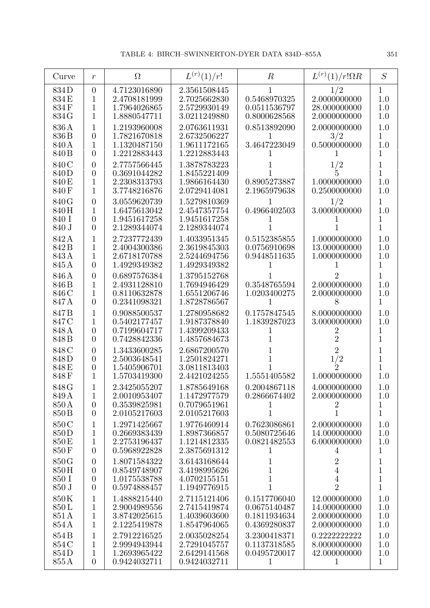| Curve                                       | $\boldsymbol{r}$                                                         | $\Omega$                                                     | $L^{(r)}(1)/r!$                                              | $\boldsymbol{R}$                                             | $L^{(r)}(1)/r!\Omega R$                                              | S                                        |
|---------------------------------------------|--------------------------------------------------------------------------|--------------------------------------------------------------|--------------------------------------------------------------|--------------------------------------------------------------|----------------------------------------------------------------------|------------------------------------------|
| 834D<br>834E<br>834F<br>834 G               | $\overline{0}$<br>1<br>1<br>1                                            | 4.7123016890<br>2.4708181999<br>1.7964026865<br>1.8880547711 | 2.3561508445<br>2.7025662830<br>2.5729930149<br>3.0211249880 | 0.5468970325<br>0.0511536797<br>0.8000628568                 | 1/2<br>2.0000000000<br>28.000000000<br>2.0000000000                  | 1<br>1.0<br>1.0<br>1.0                   |
| 836A<br>836 B<br>840 A<br>840 B             | 1<br>$\overline{0}$<br>$\mathbf 1$<br>$\overline{0}$                     | 1.2193960008<br>1.7821670818<br>1.1320487150<br>1.2212883443 | 2.0763611931<br>2.6732506227<br>1.9611172165<br>1.2212883443 | 0.8513892090<br>3.4647223049                                 | 2.0000000000<br>3/2<br>0.5000000000                                  | 1.0<br>1<br>1.0<br>1                     |
| 840 C<br>840D<br>840 E<br>840F              | $\overline{0}$<br>$\overline{0}$<br>1<br>1                               | 2.7757566445<br>0.3691044282<br>2.2308313793<br>3.7748216876 | 1.3878783223<br>1.8455221409<br>1.9866164430<br>2.0729414081 | 0.8905273887<br>2.1965979638                                 | 1/2<br>1.0000000000<br>0.2500000000                                  | 1<br>1<br>1.0<br>1.0                     |
| 840 G<br>840H<br>840 I<br>840 J             | $\overline{0}$<br>1<br>$\overline{0}$<br>$\overline{0}$                  | 3.0559620739<br>1.6475613042<br>1.9451617258<br>2.1289344074 | 1.5279810369<br>2.4547357754<br>1.9451617258<br>2.1289344074 | 0.4966402503                                                 | 1/2<br>3.0000000000                                                  | 1<br>1.0<br>1                            |
| 842A<br>842B<br>843A<br>845 A               | 1<br>1<br>1<br>$\overline{0}$                                            | 2.7237772439<br>2.4004300386<br>2.6718170788<br>1.4929349382 | 1.4033951345<br>2.3619845303<br>2.5244694756<br>1.4929349382 | 0.5152385855<br>0.0756910698<br>0.9448511635                 | 1.0000000000<br>13.000000000<br>1.0000000000                         | 1.0<br>1.0<br>1.0<br>1                   |
| 846A<br>846 B<br>846 C<br>847 A             | $\overline{0}$<br>1<br>1<br>$\overline{0}$                               | 0.6897576384<br>2.4931128810<br>0.8110632878<br>0.2341098321 | 1.3795152768<br>1.7694946429<br>1.6551206746<br>1.8728786567 | 0.3548765594<br>1.0203400275<br>1                            | 2<br>2.0000000000<br>2.0000000000<br>8                               | 1<br>1.0<br>1.0<br>1                     |
| 847B<br>847 C<br>848 A<br>848 B             | 1<br>1<br>$\overline{0}$<br>$\overline{0}$                               | 0.9088500537<br>0.5402177457<br>0.7199604717<br>0.7428842336 | 1.2780958682<br>1.9187378840<br>1.4399209433<br>1.4857684673 | 0.1757847545<br>1.1839287023<br>ı                            | 8.0000000000<br>3.0000000000<br>2<br>$\overline{2}$                  | 1.0<br>1.0<br>1<br>1                     |
| 848 C<br>848D<br>848 E<br>848F              | $\theta$<br>$\overline{0}$<br>$\theta$<br>1                              | 1.3433600285<br>2.5003648541<br>1.5405906701<br>1.5703419300 | 2.6867200570<br>1.2501824271<br>3.0811813403<br>2.4421024255 | 1.5551405582                                                 | $\overline{2}$<br>1/2<br>$\overline{2}$<br>1.0000000000              | 1<br>1<br>1<br>1.0                       |
| 848 G<br>849 A<br>850 A<br>850 <sub>B</sub> | 1<br>$\boldsymbol{0}$<br>$\overline{0}$                                  | 2.3425055207<br>2.0010953407<br>0.3539825981<br>2.0105217603 | 1.8785649168<br>1.1472977579<br>0.7079651961<br>2.0105217603 | 0.2004867118<br>0.2866674402<br>1                            | 4.0000000000<br>2.0000000000<br>$\mathbf{1}$                         | 1.0<br>1.0<br>1<br>$\mathbf{1}$          |
| 850 C<br>850D<br>850 E<br>850F              | 1<br>1<br>1<br>$\overline{0}$                                            | 1.2971425667<br>0.2669383439<br>2.2753196437<br>0.5968922828 | 1.9776460914<br>1.8987366857<br>1.1214812335<br>2.3875691312 | 0.7623086861<br>0.5080725646<br>0.0821482553<br>1            | 2.0000000000<br>14.000000000<br>6.0000000000<br>4                    | 1.0<br>1.0<br>1.0<br>1                   |
| 850G<br>850H<br>850 I<br>850 J              | $\boldsymbol{0}$<br>$\overline{0}$<br>$\boldsymbol{0}$<br>$\overline{0}$ | 1.8071584322<br>0.8549748907<br>1.0175538788<br>0.5974888457 | 3.6143168644<br>3.4198995626<br>4.0702155151<br>1.1949776915 | 1<br>1<br>1<br>1                                             | $\overline{2}$<br>$\overline{4}$<br>$\overline{4}$<br>$\overline{2}$ | 1<br>1<br>$\mathbf{1}$<br>$\overline{1}$ |
| 850K<br>850L<br>851A<br>854 A               | $\mathbf 1$<br>1<br>$\mathbf 1$<br>1                                     | 1.4888215440<br>2.9004989556<br>3.8742025615<br>2.1225419878 | 2.7115121406<br>2.7415419874<br>1.4039603600<br>1.8547964065 | 0.1517706040<br>0.0675140487<br>0.1811934634<br>0.4369280837 | 12.000000000<br>14.000000000<br>2.0000000000<br>2.0000000000         | 1.0<br>1.0<br>1.0<br>1.0                 |
| 854 B<br>854 C<br>854D<br>855 A             | $\mathbf 1$<br>1<br>1<br>$\overline{0}$                                  | 2.7912216525<br>2.9994943944<br>1.2693965422<br>0.9424032711 | 2.0035028254<br>2.7291045757<br>2.6429141568<br>0.9424032711 | 3.2300418371<br>0.1137318585<br>0.0495720017<br>1            | 0.2222222222<br>8.0000000000<br>42.000000000<br>1                    | 1.0<br>1.0<br>1.0<br>$\mathbf{1}$        |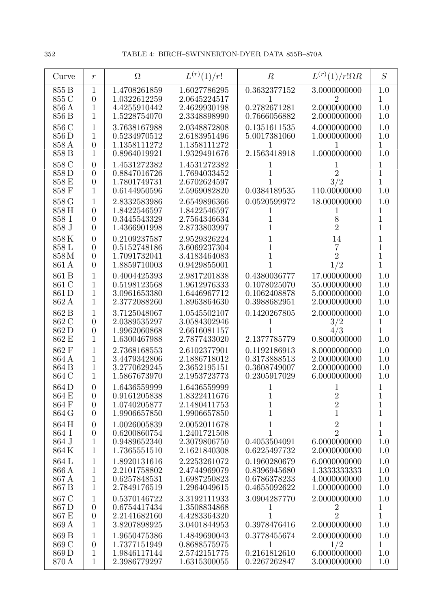| Curve                            | $\,r$                                                                | $\Omega$                                                     | $L^{(r)}(1)/r!$                                              | $\boldsymbol{R}$                             | $L^{(r)}(1)/r!\Omega R$                      | S                                           |
|----------------------------------|----------------------------------------------------------------------|--------------------------------------------------------------|--------------------------------------------------------------|----------------------------------------------|----------------------------------------------|---------------------------------------------|
| 855 B<br>855 C<br>856 A<br>856 B | $\mathbf{1}$<br>$\overline{0}$<br>1<br>1                             | 1.4708261859<br>1.0322612259<br>4.4255910442<br>1.5228754070 | 1.6027786295<br>2.0645224517<br>2.4629930198<br>2.3348898990 | 0.3632377152<br>0.2782671281<br>0.7666056882 | 3.0000000000<br>2.0000000000<br>2.0000000000 | 1.0<br>1<br>1.0<br>1.0                      |
| 856 C<br>856 D<br>858 A<br>858 B | 1<br>1<br>$\overline{0}$<br>$\mathbf{1}$                             | 3.7638167988<br>0.5234970512<br>1.1358111272<br>0.8964019921 | 2.0348872808<br>2.6183951496<br>1.1358111272<br>1.9329491676 | 0.1351611535<br>5.0017381060<br>2.1563418918 | 4.0000000000<br>1.0000000000<br>1.0000000000 | 1.0<br>1.0<br>1<br>1.0                      |
| 858 C<br>858D<br>858 E<br>858 F  | $\overline{0}$<br>$\overline{0}$<br>$\boldsymbol{0}$<br>$\mathbf{1}$ | 1.4531272382<br>0.8847016726<br>1.7801749731<br>0.6144950596 | 1.4531272382<br>1.7694033452<br>2.6702624597<br>2.5969082820 | 0.0384189535                                 | $\overline{2}$<br>3/2<br>110.00000000        | 1<br>$\mathbf{1}$<br>1<br>$1.0\,$           |
| 858 G                            | 1                                                                    | 2.8332583986                                                 | 2.6549896366                                                 | 0.0520599972                                 | 18.000000000                                 | 1.0                                         |
| 858 H                            | $\overline{0}$                                                       | 1.8422546597                                                 | 1.8422546597                                                 | 1                                            | T                                            | 1                                           |
| 858 I                            | $\overline{0}$                                                       | 0.3445543329                                                 | 2.7564346634                                                 | 1                                            | 8                                            | $\mathbf{1}$                                |
| 858 J                            | $\overline{0}$                                                       | 1.4366901998                                                 | 2.8733803997                                                 | 1                                            | $\overline{2}$                               | $\overline{1}$                              |
| $858\,\mathrm{K}$                | $\overline{0}$                                                       | 0.2109237587                                                 | 2.9529326224                                                 |                                              | 14                                           | 1                                           |
| 858 L                            | $\boldsymbol{0}$                                                     | 0.5152748186                                                 | 3.6069237304                                                 |                                              | 7                                            | $\mathbf{1}$                                |
| 858M                             | $\boldsymbol{0}$                                                     | 1.7091732041                                                 | 3.4183464083                                                 |                                              | $\overline{2}$                               | $\mathbf{1}$                                |
| 861 A                            | $\overline{0}$                                                       | 1.8859710003                                                 | 0.9429855001                                                 |                                              | 1/2                                          | $\overline{1}$                              |
| 861 B                            | 1                                                                    | 0.4004425393                                                 | 2.9817201838                                                 | 0.4380036777                                 | 17.000000000                                 | $1.0\,$                                     |
| 861 C                            | 1                                                                    | 0.5198123568                                                 | 1.9612976333                                                 | 0.1078025070                                 | 35.000000000                                 | 1.0                                         |
| 861 D                            | 1                                                                    | 3.0961653380                                                 | 1.6446967712                                                 | 0.1062408878                                 | 5.0000000000                                 | 1.0                                         |
| 862 A                            | 1                                                                    | 2.3772088260                                                 | 1.8963864630                                                 | 0.3988682951                                 | 2.0000000000                                 | 1.0                                         |
| 862 B<br>862 C<br>862D<br>862 E  | 1<br>$\overline{0}$<br>$\overline{0}$<br>1                           | 3.7125048067<br>2.0389535297<br>1.9962060868<br>1.6300467988 | 1.0545502107<br>3.0584302946<br>2.6616081157<br>2.7877433020 | 0.1420267805<br>2.1377785779                 | 2.0000000000<br>3/2<br>4/3<br>0.8000000000   | 1.0<br>$\mathbf 1$<br>$\overline{1}$<br>1.0 |
| 862F                             | 1                                                                    | 2.7368168553                                                 | 2.6102377901                                                 | 0.1192186913                                 | 8.0000000000                                 | 1.0                                         |
| 864 A                            | 1                                                                    | 3.4479342806                                                 | 2.1886718012                                                 | 0.3173888513                                 | 2.0000000000                                 | 1.0                                         |
| 864 B                            | 1                                                                    | 3.2770629245                                                 | 2.3652195151                                                 | 0.3608749007                                 | 2.0000000000                                 | 1.0                                         |
| 864 C                            | 1                                                                    | 1.5867673970                                                 | 2.1953723773                                                 | 0.2305917029                                 | 6.0000000000                                 | 1.0                                         |
| 864D<br>864 E<br>864F<br>864 G   | $\overline{0}$<br>$\overline{0}$<br>$\overline{0}$<br>$\overline{0}$ | 1.6436559999<br>0.9161205838<br>1.0740205877<br>1.9906657850 | 1.6436559999<br>1.8322411676<br>2.1480411753<br>1.9906657850 | 1<br>$\mathbf 1$<br>1                        | $\frac{2}{2}$<br>$\mathbf{1}$                | 1<br>$\mathbf 1$<br>1                       |
| 864H                             | $\boldsymbol{0}$                                                     | 1.0026005839                                                 | 2.0052011678                                                 | $\mathbf 1$                                  | $\overline{2}$                               | $\mathbf 1$                                 |
| 864 I                            | $\boldsymbol{0}$                                                     | 0.6200860754                                                 | 1.2401721508                                                 | 1                                            | $\overline{2}$                               | 1                                           |
| 864 J                            | $\mathbf{1}$                                                         | 0.9489652340                                                 | 2.3079806750                                                 | 0.4053504091                                 | 6.0000000000                                 | 1.0                                         |
| 864 K                            | $\mathbf{1}$                                                         | 1.7365551510                                                 | 2.1621840308                                                 | 0.6225497732                                 | 2.0000000000                                 | 1.0                                         |
| 864 L                            | 1                                                                    | 1.8920131616                                                 | 2.2253261072                                                 | 0.1960280679                                 | 6.0000000000                                 | 1.0                                         |
| 866 A                            | 1                                                                    | 2.2101758802                                                 | 2.4744969079                                                 | 0.8396945680                                 | 1.3333333333                                 | 1.0                                         |
| 867 A                            | 1                                                                    | 0.6257848531                                                 | 1.6987250823                                                 | 0.6786378233                                 | 4.0000000000                                 | 1.0                                         |
| 867 B                            | $\mathbf{1}$                                                         | 2.7849176519                                                 | 1.2964049615                                                 | 0.4655092622                                 | 1.0000000000                                 | 1.0                                         |
| 867 C                            | 1                                                                    | 0.5370146722                                                 | 3.3192111933                                                 | 3.0904287770                                 | 2.0000000000                                 | 1.0                                         |
| 867D                             | $\overline{0}$                                                       | 0.6754417434                                                 | 1.3508834868                                                 | T                                            | $\boldsymbol{2}$                             | 1                                           |
| 867 E                            | $\boldsymbol{0}$                                                     | 2.2141682160                                                 | 4.4283364320                                                 | 1                                            | $\overline{2}$                               | $\mathbf{1}$                                |
| 869 A                            | $\mathbf{1}$                                                         | 3.8207898925                                                 | 3.0401844953                                                 | 0.3978476416                                 | 2.0000000000                                 | $1.0\,$                                     |
| 869 B                            | 1                                                                    | 1.9650475386                                                 | 1.4849690043                                                 | 0.3778455674                                 | 2.0000000000                                 | 1.0                                         |
| 869 C                            | $\boldsymbol{0}$                                                     | 1.7377151949                                                 | 0.8688575975                                                 | 1                                            | 1/2                                          | 1                                           |
| 869 D                            | 1                                                                    | 1.9846117144                                                 | 2.5742151775                                                 | 0.2161812610                                 | 6.0000000000                                 | 1.0                                         |
| 870 A                            | $\mathbf{1}$                                                         | 2.3986779297                                                 | 1.6315300055                                                 | 0.2267262847                                 | 3.0000000000                                 | 1.0                                         |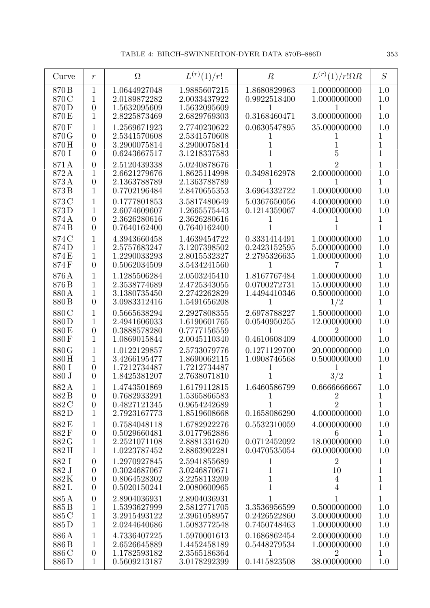| Curve                  | $\boldsymbol{r}$                 | $\Omega$                                     | $L^{(r)}(1)/r!$                              | $\boldsymbol{R}$              | $L^{(r)}(1)/r!\Omega R$      | S                             |
|------------------------|----------------------------------|----------------------------------------------|----------------------------------------------|-------------------------------|------------------------------|-------------------------------|
| 870 B<br>870 C<br>870D | 1<br>1<br>$\overline{0}$         | 1.0644927048<br>2.0189872282<br>1.5632095609 | 1.9885607215<br>2.0033437922<br>1.5632095609 | 1.8680829963<br>0.9922518400  | 1.0000000000<br>1.0000000000 | 1.0<br>1.0<br>$\mathbf{1}$    |
| 870 E                  | 1                                | 2.8225873469                                 | 2.6829769303                                 | 0.3168460471                  | 3.0000000000                 | 1.0                           |
| 870F<br>870G           | 1<br>$\overline{0}$              | 1.2569671923<br>2.5341570608                 | 2.7740230622<br>2.5341570608                 | 0.0630547895                  | 35.000000000                 | 1.0<br>1                      |
| 870H                   | $\overline{0}$                   | 3.2900075814                                 | 3.2900075814                                 |                               |                              | $\mathbf 1$                   |
| 870 I                  | $\theta$                         | 0.6243667517                                 | 3.1218337583                                 |                               | 5                            | $\overline{1}$                |
| 871A                   | $\overline{0}$                   | 2.5120439338                                 | 5.0240878676                                 |                               | 2                            | $\mathbf 1$                   |
| 872A<br>873A           | 1<br>$\overline{0}$              | 2.6621279676<br>2.1363788789                 | 1.8625114998<br>2.1363788789                 | 0.3498162978                  | 2.0000000000                 | 1.0<br>1                      |
| 873B                   | 1                                | 0.7702196484                                 | 2.8470655353                                 | 3.6964332722                  | 1.0000000000                 | 1.0                           |
| 873C                   | 1                                | 0.1777801853                                 | 3.5817480649                                 | 5.0367650056                  | 4.0000000000                 | 1.0                           |
| 873D                   | 1                                | 2.6074609607                                 | 1.2665575443                                 | 0.1214359067                  | 4.0000000000                 | 1.0                           |
| 874 A<br>874B          | $\overline{0}$<br>$\overline{0}$ | 2.3626280616<br>0.7640162400                 | 2.3626280616<br>0.7640162400                 |                               |                              | 1<br>1                        |
| 874 C                  | 1                                | 4.3943660458                                 | 1.4639454722                                 | 0.3331414491                  | 1.0000000000                 | 1.0                           |
| 874D                   | 1                                | 2.5757683247                                 | 3.1207398502                                 | 0.2423152595                  | 5.0000000000                 | 1.0                           |
| 874E<br>874F           | 1<br>$\overline{0}$              | 1.2290033293<br>0.5062034509                 | 2.8015532327<br>3.5434241560                 | 2.2795326635<br>1             | 1.0000000000                 | 1.0<br>$\mathbf{1}$           |
| 876A                   | 1                                | 1.1285506284                                 | 2.0503245410                                 | 1.8167767484                  | 1.0000000000                 | 1.0                           |
| 876B                   | 1                                | 2.3538774689                                 | 2.4725343055                                 | 0.0700272731                  | 15.000000000                 | 1.0                           |
| 880 A                  | 1                                | 3.1380735450                                 | 2.2742262829                                 | 1.4494410346                  | 0.5000000000                 | 1.0                           |
| 880 B<br>880C          | $\overline{0}$<br>1              | 3.0983312416<br>0.5665638294                 | 1.5491656208<br>2.2927808355                 | 1<br>2.6978788227             | 1/2<br>1.5000000000          | $\mathbf 1$<br>1.0            |
| 880D                   | 1                                | 2.4941606033                                 | 1.6190601765                                 | 0.0540950255                  | 12.000000000                 | 1.0                           |
| 880 E                  | $\overline{0}$                   | 0.3888578280                                 | 0.7777156559                                 | 1                             | 2                            | $\mathbf{1}$                  |
| 880F                   | 1                                | 1.0869015844                                 | 2.0045110340                                 | 0.4610608409                  | 4.0000000000                 | 1.0                           |
| 880G<br>880H           | 1<br>1                           | 1.0122129857<br>3.4266195477                 | 2.5733079776<br>1.8690062115                 | 0.1271129700<br>1.0908746568  | 20.000000000<br>0.5000000000 | 1.0<br>1.0                    |
| 880 I                  | $\overline{0}$                   | 1.7212734487                                 | 1.7212734487                                 | 1                             |                              | 1                             |
| 880 J                  | $\overline{0}$                   | 1.8425381207                                 | 2.7638071810                                 |                               | 3/2                          | 1                             |
| 882A                   |                                  | 1.4743501869<br>0.7682933291                 | 1.6179112815                                 | 1.6460586799                  | 0.6666666667                 | 1.0                           |
| 882B<br>882C           | $\overline{0}$<br>$\overline{0}$ | 0.4827121345                                 | 1.5365866583<br>0.9654242689                 | $\mathbf 1$<br>$\overline{1}$ | $\sqrt{2}$<br>$\overline{2}$ | $\mathbf 1$<br>$\overline{1}$ |
| 882D                   | 1                                | 2.7923167773                                 | 1.8519608668                                 | 0.1658086290                  | 4.0000000000                 | 1.0                           |
| 882E                   | 1                                | 0.7584048118                                 | 1.6782922276                                 | 0.5532310059                  | 4.0000000000                 | 1.0                           |
| 882F<br>882G           | $\boldsymbol{0}$<br>1            | 0.5029660481<br>2.2521071108                 | 3.0177962886<br>2.8881331620                 | 1<br>0.0712452092             | 6<br>18.000000000            | $\mathbf{1}$<br>1.0           |
| 882H                   | 1                                | 1.0223787452                                 | 2.8863902281                                 | 0.0470535054                  | 60.000000000                 | 1.0                           |
| 882 I                  | $\theta$                         | 1.2970927845                                 | 2.5941855689                                 | 1                             | $\overline{2}$               | 1                             |
| 882 J<br>882K          | $\theta$<br>$\boldsymbol{0}$     | 0.3024687067<br>0.8064528302                 | 3.0246870671<br>3.2258113209                 | $\mathbf{1}$<br>$\mathbf{1}$  | 10<br>$\overline{4}$         | $\mathbf 1$<br>$\mathbf 1$    |
| 882L                   | $\overline{0}$                   | 0.5020150241                                 | 2.0080600965                                 | $\mathbf{1}$                  | $\overline{4}$               | $\mathbf{1}$                  |
| 885A                   | $\boldsymbol{0}$                 | 2.8904036931                                 | 2.8904036931                                 | 1                             | 1                            | $\mathbf{1}$                  |
| 885B                   | $\mathbf 1$                      | 1.5393627999                                 | 2.5812771705                                 | 3.3536956599                  | 0.5000000000                 | 1.0                           |
| 885 C<br>885D          | $\mathbf 1$<br>1                 | 3.2915493122<br>2.0244640686                 | 2.3961058957<br>1.5083772548                 | 0.2426522860<br>0.7450748463  | 3.0000000000<br>1.0000000000 | 1.0<br>1.0                    |
| 886A                   | 1                                | 4.7336407225                                 | 1.5970001613                                 | 0.1686862454                  | 2.0000000000                 | 1.0                           |
| 886 B                  | 1                                | 2.6526645889                                 | 1.4452458189                                 | 0.5448279534                  | 1.0000000000                 | 1.0                           |
| 886 C<br>886D          | $\boldsymbol{0}$<br>1            | 1.1782593182<br>0.5609213187                 | 2.3565186364<br>3.0178292399                 | 1<br>0.1415823508             | 2<br>38.000000000            | $\mathbf{1}$<br>1.0           |
|                        |                                  |                                              |                                              |                               |                              |                               |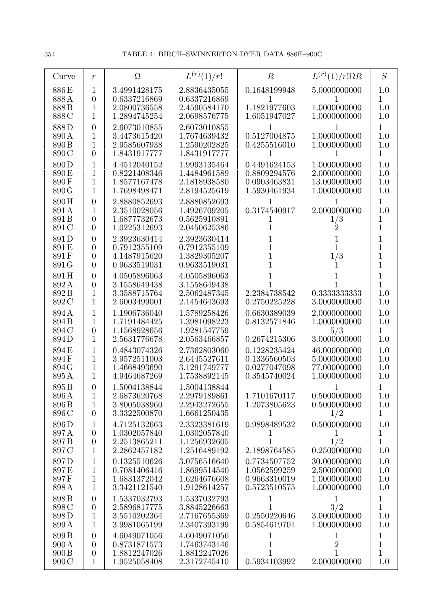| Curve                                                  | $\boldsymbol{r}$                                                       | $\Omega$                                                     | $L^{(r)}(1)/r!$                                              | $\boldsymbol{R}$                                             | $L^{(r)}(1)/r!\Omega R$                                      | S                                                            |
|--------------------------------------------------------|------------------------------------------------------------------------|--------------------------------------------------------------|--------------------------------------------------------------|--------------------------------------------------------------|--------------------------------------------------------------|--------------------------------------------------------------|
| 886E<br>888A<br>888B<br>888C                           | $\mathbf{1}$<br>$\boldsymbol{0}$<br>1<br>1                             | 3.4991428175<br>0.6337216869<br>2.0800736558<br>1.2894745254 | 2.8836435055<br>0.6337216869<br>2.4590584170<br>2.0698576775 | 0.1648199948<br>1<br>1.1821977603<br>1.6051947027            | 5.0000000000<br>1.0000000000<br>1.0000000000                 | 1.0<br>$\mathbf 1$<br>1.0<br>1.0                             |
| 888D<br>890 A<br>890 <sub>B</sub><br>890 C             | $\overline{0}$<br>1<br>1<br>$\overline{0}$                             | 2.6073010855<br>3.4473615420<br>2.9585607938<br>1.8431917777 | 2.6073010855<br>1.7674639432<br>1.2590202825<br>1.8431917777 | 1<br>0.5127004875<br>0.4255516010                            | 1<br>1.0000000000<br>1.0000000000                            | $\mathbf{1}$<br>1.0<br>1.0<br>$\mathbf{1}$                   |
| 890D<br>890E<br>890F<br>890 G                          | 1<br>1<br>1<br>1                                                       | 4.4512040152<br>0.8221408346<br>1.8577167478<br>1.7698498471 | 1.9993135464<br>1.4484961589<br>2.1818938580<br>2.8194525619 | 0.4491624153<br>0.8809294576<br>0.0903463831<br>1.5930461934 | 1.0000000000<br>2.0000000000<br>13.000000000<br>1.0000000000 | 1.0<br>1.0<br>1.0<br>1.0                                     |
| 890H<br>891 A<br>891B<br>891 C                         | $\overline{0}$<br>1<br>$\overline{0}$<br>$\overline{0}$                | 2.8880852693<br>2.3510028056<br>1.6877732673<br>1.0225312693 | 2.8880852693<br>1.4926709205<br>0.5625910891<br>2.0450625386 | 1<br>0.3174540917<br>1<br>1                                  | 2.0000000000<br>1/3<br>$\overline{2}$                        | $\mathbf{1}$<br>1.0<br>1<br>$\overline{1}$                   |
| 891D<br>891 E<br>891F<br>891 G                         | $\overline{0}$<br>$\overline{0}$<br>$\boldsymbol{0}$<br>$\overline{0}$ | 2.3923630414<br>0.7912355109<br>4.1487915620<br>0.9633519031 | 2.3923630414<br>0.7912355109<br>1.3829305207<br>0.9633519031 | 1<br>1<br>1<br>1                                             | 1<br>1<br>1/3                                                | $\mathbf{1}$<br>$\mathbf{1}$<br>$\mathbf{1}$<br>$\mathbf{1}$ |
| 891H<br>892A<br>892B<br>892 C                          | $\overline{0}$<br>$\overline{0}$<br>1<br>1                             | 4.0505896063<br>3.1558649438<br>3.3588715764<br>2.6003499001 | 4.0505896063<br>3.1558649438<br>2.5062487345<br>2.1454643693 | 1<br>2.2384738542<br>0.2750225228                            | 0.3333333333<br>3.0000000000                                 | 1<br>$\overline{1}$<br>1.0<br>1.0                            |
| 894A<br>894 B<br>894 C<br>894D                         | 1<br>1<br>$\boldsymbol{0}$<br>1                                        | 1.1906736040<br>1.7191484425<br>1.1568928656<br>2.5631776678 | 1.5789258426<br>1.3981098223<br>1.9281547759<br>2.0563466857 | 0.6630389039<br>0.8132571846<br>1<br>0.2674215306            | 2.0000000000<br>1.0000000000<br>5/3<br>3.0000000000          | 1.0<br>1.0<br>$\mathbf{1}$<br>1.0                            |
| 894 E<br>894F<br>894 G<br>895A                         | 1<br>1<br>1<br>1                                                       | 0.4843074326<br>3.9572511003<br>1.4668493690<br>4.9464687269 | 2.7362803060<br>2.6445527611<br>3.1291749777<br>1.7538892145 | 0.1228235424<br>0.1336560503<br>0.0277047098<br>0.3545740024 | 46.000000000<br>5.0000000000<br>77.000000000<br>1.0000000000 | 1.0<br>1.0<br>1.0<br>1.0                                     |
| 895 <sub>B</sub><br>896 A<br>896 <sub>B</sub><br>896 C | $\overline{0}$<br>$\mathbf{1}$<br>$\mathbf{1}$<br>$\overline{0}$       | 1.5004138844<br>2.6873620768<br>3.8005038960<br>3.3322500870 | 1.5004138844<br>2.2979189861<br>2.2943272655<br>1.6661250435 | 1.7101670117<br>1.2073805623<br>1                            | 0.5000000000<br>0.5000000000<br>1/2                          | 1<br>1.0<br>1.0<br>$\mathbf{1}$                              |
| 896D<br>897A<br>897B<br>897 C                          | 1<br>$\boldsymbol{0}$<br>$\boldsymbol{0}$<br>$\mathbf{1}$              | 4.7125132663<br>1.0302057840<br>2.2513865211<br>2.2862457182 | 2.3323381619<br>1.0302057840<br>1.1256932605<br>1.2516489192 | 0.9898489532<br>T<br>1<br>2.1898764585                       | 0.5000000000<br>T<br>1/2<br>0.2500000000                     | 1.0<br>1<br>$\mathbf{1}$<br>1.0                              |
| 897D<br>897E<br>897F<br>898 A                          | $\mathbf 1$<br>$\mathbf{1}$<br>$\mathbf 1$<br>$\mathbf{1}$             | 0.1325510626<br>0.7081406416<br>1.6831372042<br>3.3421121540 | 3.0756516640<br>1.8699514540<br>1.6264676608<br>1.9128614257 | 0.7734507752<br>1.0562599259<br>0.9663310019<br>0.5723510575 | 30.000000000<br>2.5000000000<br>1.0000000000<br>1.0000000000 | 1.0<br>1.0<br>1.0<br>1.0                                     |
| 898B<br>898 C<br>898D<br>899 A                         | $\boldsymbol{0}$<br>$\boldsymbol{0}$<br>$\mathbf{1}$<br>$\mathbf{1}$   | 1.5337032793<br>2.5896817775<br>3.5510202364<br>3.9981065199 | 1.5337032793<br>3.8845226663<br>2.7167655369<br>2.3407393199 | 1<br>0.2550220646<br>0.5854619701                            | $\mathbf{1}$<br>3/2<br>3.0000000000<br>1.0000000000          | $\mathbf{1}$<br>$\mathbf{1}$<br>1.0<br>1.0                   |
| 899B<br>900 A<br>900B<br>900C                          | $\overline{0}$<br>$\overline{0}$<br>$\boldsymbol{0}$<br>$\mathbf{1}$   | 4.6049071056<br>0.8731871573<br>1.8812247026<br>1.9525058408 | 4.6049071056<br>1.7463743146<br>1.8812247026<br>2.3172745410 | 1<br>$\,1$<br>1<br>0.5934103992                              | 1<br>$\overline{2}$<br>1<br>2.0000000000                     | 1<br>$\mathbf{1}$<br>$\mathbf 1$<br>1.0                      |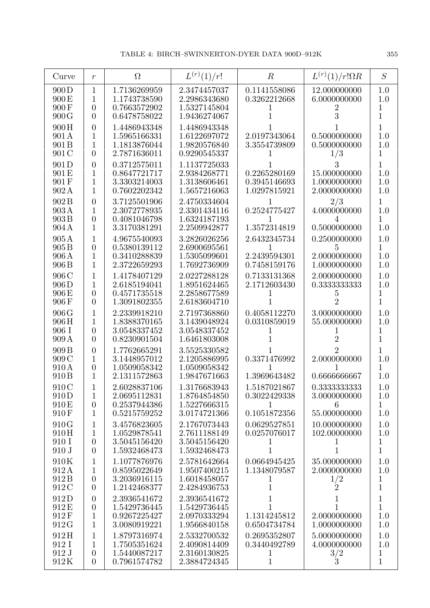| Curve                                                 | $\boldsymbol{r}$                                       | $\Omega$                                                     | $L^{(r)}(1)/r!$                                              | $\boldsymbol{R}$                                        | $L^{(r)}(1)/r!\Omega R$                               | S                                          |
|-------------------------------------------------------|--------------------------------------------------------|--------------------------------------------------------------|--------------------------------------------------------------|---------------------------------------------------------|-------------------------------------------------------|--------------------------------------------|
| 900D<br>900 E<br>900F                                 | 1<br>1<br>$\overline{0}$                               | 1.7136269959<br>1.1743738590<br>0.7663572902                 | 2.3474457037<br>2.2986343680<br>1.5327145804                 | 0.1141558086<br>0.3262212668<br>1                       | 12.000000000<br>6.0000000000<br>2                     | 1.0<br>1.0<br>1                            |
| 900G                                                  | $\theta$                                               | 0.6478758022                                                 | 1.9436274067                                                 |                                                         | 3                                                     | $\overline{1}$                             |
| 900H<br>901 A<br>901 B<br>901 C                       | $\overline{0}$<br>1<br>1<br>$\theta$                   | 1.4486943348<br>1.5965166331<br>1.1813876044<br>2.7871636011 | 1.4486943348<br>1.6122697072<br>1.9820576840<br>0.9290545337 | 2.0197343064<br>3.3554739809                            | 0.5000000000<br>0.5000000000<br>1/3                   | $\mathbf 1$<br>1.0<br>1.0<br>1             |
| 901D<br>901 E<br>901F<br>902A                         | $\overline{0}$<br>1<br>1<br>1                          | 0.3712575011<br>0.8647721717<br>3.3303214003<br>0.7602202342 | 1.1137725033<br>2.9384268771<br>1.3138606461<br>1.5657216063 | 0.2265280169<br>0.3945146693<br>1.0297815921            | 3<br>15.000000000<br>1.0000000000<br>2.0000000000     | $\mathbf{1}$<br>1.0<br>1.0<br>1.0          |
| 902B<br>903A<br>903B<br>904 A                         | $\overline{0}$<br>1<br>$\overline{0}$<br>1             | 3.7125501906<br>2.3072778935<br>0.4081046798<br>3.3170381291 | 2.4750334604<br>2.3301434116<br>1.6324187193<br>2.2509942877 | 0.2524775427<br>1.3572314819                            | 2/3<br>4.0000000000<br>4<br>0.5000000000              | 1<br>1.0<br>1<br>1.0                       |
| 905A<br>905 <sub>B</sub><br>906A<br>906 B             | 1<br>$\overline{0}$<br>1<br>1                          | 4.9675540093<br>0.5380139112<br>0.3410288839<br>2.3722659293 | 3.2826026256<br>2.6900695561<br>1.5305099601<br>1.7692736909 | 2.6432345734<br>1<br>2.2439594301<br>0.7458159176       | 0.2500000000<br>5<br>2.0000000000<br>1.0000000000     | 1.0<br>$\mathbf{1}$<br>1.0<br>1.0          |
| 906C<br>906D<br>906 E<br>906 F                        | 1<br>1<br>$\overline{0}$<br>$\overline{0}$             | 1.4178407129<br>2.6185194041<br>0.4571735518<br>1.3091802355 | 2.0227288128<br>1.8951624465<br>2.2858677589<br>2.6183604710 | 0.7133131368<br>2.1712603430                            | 2.0000000000<br>0.3333333333<br>5<br>$\overline{2}$   | 1.0<br>1.0<br>1<br>$\overline{1}$          |
| 906G<br>906H<br>906 I<br>909A                         | 1<br>1<br>$\overline{0}$<br>$\theta$                   | 2.2339918210<br>1.8388370165<br>3.0548337452<br>0.8230901504 | 2.7197368860<br>3.1439048924<br>3.0548337452<br>1.6461803008 | 0.4058112270<br>0.0310859019                            | 3.0000000000<br>55.000000000<br>$\overline{2}$        | 1.0<br>1.0<br>1<br>$\mathbf{1}$            |
| 909 <sub>B</sub><br>909 C<br>910A<br>910 <sub>B</sub> | $\overline{0}$<br>1<br>$\overline{0}$<br>1             | 1.7762665291<br>3.1448957012<br>1.0509058342<br>2.1311572863 | 3.5525330582<br>2.1205886995<br>1.0509058342<br>1.9847671663 | 0.3371476992<br>1<br>1.3969643482                       | $\overline{2}$<br>2.0000000000<br>0.6666666667        | 1<br>1.0<br>1<br>1.0                       |
| 910C<br>910D<br>910E<br>910F                          | 1<br>$\overline{0}$<br>1                               | 2.6028837106<br>2.0695112831<br>0.2537944386<br>0.5215759252 | 1.3176683943<br>1.8764854850<br>1.5227666315<br>3.0174721366 | 1.5187021867<br>0.3022429338<br>1<br>0.1051872356       | 0.3333333333<br>3.0000000000<br>6<br>55.000000000     | 1.0<br>1.0<br>$\mathbf{1}$<br>1.0          |
| 910G<br>910H<br>910 I<br>910 J                        | 1<br>1<br>$\boldsymbol{0}$<br>$\overline{0}$           | 3.4576823605<br>1.0529878541<br>3.5045156420<br>1.5932468473 | 2.1767073443<br>2.7611188149<br>3.5045156420<br>1.5932468473 | 0.0629527851<br>0.0257076017<br>$\perp$<br>$\mathbf{1}$ | 10.000000000<br>102.00000000<br>T<br>$\mathbf 1$      | 1.0<br>1.0<br>$\mathbf{1}$<br>$\mathbf{1}$ |
| 910K<br>912A<br>912B<br>912C                          | 1<br>1<br>$\boldsymbol{0}$<br>$\overline{0}$           | 1.1077876976<br>0.8595022649<br>3.2036916115<br>1.2142468377 | 2.5781642664<br>1.9507400215<br>1.6018458057<br>2.4284936753 | 0.0664945425<br>1.1348079587<br>$\perp$<br>$\mathbf{1}$ | 35.000000000<br>2.0000000000<br>$\frac{1}{2}$         | 1.0<br>1.0<br>1<br>$\mathbf{1}$            |
| 912D<br>912E<br>912F<br>912G                          | $\overline{0}$<br>$\boldsymbol{0}$<br>$\mathbf 1$<br>1 | 2.3936541672<br>1.5429736445<br>0.9267225427<br>3.0080919221 | 2.3936541672<br>1.5429736445<br>2.0970333294<br>1.9566840158 | 1<br>1<br>1.1314245812<br>0.6504734784                  | 1<br>1<br>2.0000000000<br>1.0000000000                | $\mathbf{1}$<br>$\mathbf{1}$<br>1.0<br>1.0 |
| 912H<br>912 I<br>912 J<br>912K                        | 1<br>1<br>$\theta$<br>$\overline{0}$                   | 1.8797316974<br>1.7505351624<br>1.5440087217<br>0.7961574782 | 2.5332700532<br>2.4090814409<br>2.3160130825<br>2.3884724345 | 0.2695352807<br>0.3440492789<br>1<br>$\,1$              | 5.0000000000<br>4.0000000000<br>3/2<br>$\overline{3}$ | 1.0<br>1.0<br>1<br>$\mathbf{1}$            |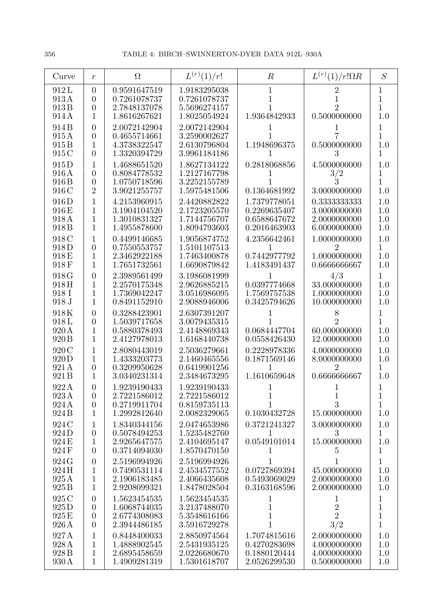| Curve                                        | $\boldsymbol{r}$                                                         | $\Omega$                                                     | $L^{(r)}(1)/r!$                                              | $\boldsymbol{R}$                                             | $L^{(r)}(1)/r!\Omega R$                                      | S                                                           |
|----------------------------------------------|--------------------------------------------------------------------------|--------------------------------------------------------------|--------------------------------------------------------------|--------------------------------------------------------------|--------------------------------------------------------------|-------------------------------------------------------------|
| 912L<br>913A<br>913B<br>914 A                | $\overline{0}$<br>$\theta$<br>$\theta$<br>1                              | 0.9591647519<br>0.7261078737<br>2.7848137078<br>1.8616267621 | 1.9183295038<br>0.7261078737<br>5.5696274157<br>1.8025054924 | 1<br>1<br>1.9364842933                                       | 2<br>2<br>0.5000000000                                       | 1<br>1<br>$\mathbf 1$<br>1.0                                |
| 914B<br>915A<br>915B<br>915 C                | $\theta$<br>$\overline{0}$<br>1<br>$\theta$                              | 2.0072142904<br>0.4655714661<br>4.3738322547<br>1.3320394729 | 2.0072142904<br>3.2590002627<br>2.6130796804<br>3.9961184186 | 1.1948696375                                                 | 0.5000000000<br>3                                            | 1<br>$\mathbf{1}$<br>1.0<br>$\mathbf 1$                     |
| 915D<br>916A<br>916 B<br>916 C               | 1<br>$\theta$<br>$\overline{0}$<br>$\overline{2}$                        | 1.4688651520<br>0.8084778532<br>1.0750718596<br>3.9021255757 | 1.8627134122<br>1.2127167798<br>3.2252155789<br>1.5975481506 | 0.2818068856<br>0.1364681992                                 | 4.5000000000<br>3/2<br>3.0000000000                          | 1.0<br>1<br>$\mathbf 1$<br>1.0                              |
| 916D<br>916E<br>918A<br>918 B                | 1<br>$\mathbf{1}$<br>1<br>1                                              | 4.2153960915<br>3.1904104520<br>1.3010831327<br>1.4955878600 | 2.4420882822<br>2.1723205570<br>1.7144756707<br>1.8094793603 | 1.7379778051<br>0.2269635407<br>0.6588647672<br>0.2016463903 | 0.3333333333<br>3.0000000000<br>2.0000000000<br>6.0000000000 | 1.0<br>1.0<br>1.0<br>1.0                                    |
| 918C<br>918D<br>918E<br>918F                 | 1<br>$\overline{0}$<br>1<br>1                                            | 0.4499146685<br>0.7550553757<br>2.3462922188<br>1.7651732561 | 1.9056874752<br>1.5101107513<br>1.7463400878<br>1.6690879842 | 4.2356642461<br>0.7442977792<br>1.4183491437                 | 1.0000000000<br>2<br>1.0000000000<br>0.6666666667            | 1.0<br>$\mathbf{1}$<br>1.0<br>1.0                           |
| 918G<br>918H<br>918 I<br>918 J               | $\overline{0}$<br>1<br>1<br>1                                            | 2.3989561499<br>2.2570175348<br>1.7369042247<br>0.8491152910 | 3.1986081999<br>2.9626885215<br>3.0516986095<br>2.9088946006 | 0.0397774668<br>1.7569757538<br>0.3425794626                 | 4/3<br>33.000000000<br>1.0000000000<br>10.000000000          | 1<br>1.0<br>1.0<br>1.0                                      |
| 918K<br>918L<br>920 A<br>920 B               | $\overline{0}$<br>$\overline{0}$<br>1<br>1                               | 0.3288423901<br>1.5039717658<br>0.5880378493<br>2.4127978013 | 2.6307391207<br>3.0079435315<br>2.4148869343<br>1.6168440738 | 0.0684447704<br>0.0558426430                                 | 8<br>2<br>60.000000000<br>12.000000000                       | $\mathbf 1$<br>1<br>1.0<br>1.0                              |
| 920 C<br>920 D<br>921 A<br>921 B             | 1<br>1<br>$\theta$<br>1                                                  | 2.8080443019<br>1.4333203773<br>0.3209950628<br>3.0340231314 | 2.5036279661<br>2.1460465556<br>0.6419901256<br>2.3484673295 | 0.2228978336<br>0.1871569146<br>1.1610659648                 | 4.0000000000<br>8.0000000000<br>0.6666666667                 | 1.0<br>1.0<br>$\mathbf{1}$<br>1.0                           |
| 922A<br>923 A<br>924 A<br>924 B              | $\theta$<br>$\overline{0}$<br>$\overline{0}$<br>$\mathbf{1}$             | 1.9239190433<br>2.7221586012<br>0.2719911704<br>1.2992812640 | 1.9239190433<br>2.7221586012<br>0.8159735113<br>2.0082329065 | 1<br>0.1030432728                                            | $\mathbf 1$<br>3<br>15.000000000                             | $\mathbf{1}$<br>$\mathbf{1}$<br>1.0                         |
| 924 C<br>924D<br>924 E<br>924F               | 1<br>$\overline{0}$<br>$\mathbf 1$<br>$\overline{0}$                     | 1.8340344156<br>0.5078494253<br>2.9265647575<br>0.3714094030 | 2.0474653986<br>1.5235482760<br>2.4104695147<br>1.8570470150 | 0.3721241327<br>$\mathbf{I}$<br>0.0549101014<br>T            | 3.0000000000<br>3<br>15.000000000<br>5.                      | 1.0<br>$\mathbf{1}$<br>1.0<br>1                             |
| 924 G<br>924H<br>925A<br>925 B               | $\boldsymbol{0}$<br>$\mathbf{1}$<br>1<br>$\mathbf{1}$                    | 2.5196994926<br>0.7490531114<br>2.1906183485<br>2.9208099321 | 2.5196994926<br>2.4534577552<br>2.4066435608<br>1.8478028504 | 1<br>0.0727869394<br>0.5493069029<br>0.3163168596            | 1<br>45.000000000<br>2.0000000000<br>2.0000000000            | $\mathbf{1}$<br>1.0<br>1.0<br>1.0                           |
| 925 C<br>$925\,\mathrm{D}$<br>925 E<br>926 A | $\boldsymbol{0}$<br>$\overline{0}$<br>$\boldsymbol{0}$<br>$\overline{0}$ | 1.5623454535<br>1.6068744035<br>2.6774308083<br>2.3944486185 | 1.5623454535<br>3.2137488070<br>5.3548616166<br>3.5916729278 | $\mathbf 1$<br>$\mathbf 1$<br>1<br>$\mathbf 1$               | 1<br>$\overline{2}$<br>$\overline{2}$<br>3/2                 | $\mathbf{1}$<br>$\mathbf{1}$<br>$\mathbf{1}$<br>$\mathbf 1$ |
| 927A<br>928 A<br>928 B<br>930 A              | 1<br>$\mathbf{1}$<br>1<br>$\mathbf{1}$                                   | 0.8448400033<br>1.4888902545<br>2.6895458659<br>1.4909281319 | 2.8850974564<br>2.5431935125<br>2.0226680670<br>1.5301618707 | 1.7074815616<br>0.4270283698<br>0.1880120444<br>2.0526299530 | 2.0000000000<br>4.0000000000<br>4.0000000000<br>0.5000000000 | 1.0<br>1.0<br>1.0<br>1.0                                    |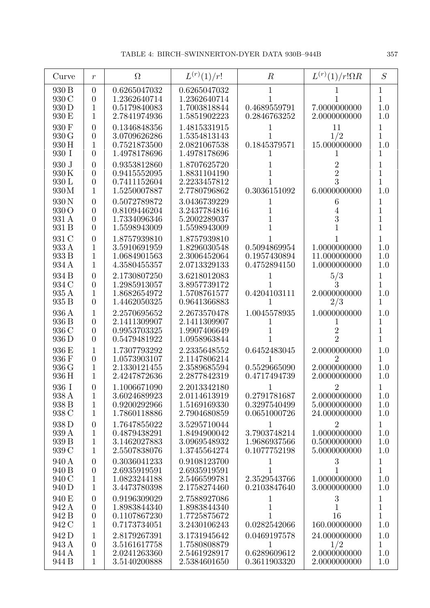| Curve                            | $\,r$                                                                  | $\Omega$                                                     | $L^{(r)}(1)/r!$                                              | $\boldsymbol{R}$                                  | $L^{(r)}(1)/r!\Omega R$                                        | S                                                   |
|----------------------------------|------------------------------------------------------------------------|--------------------------------------------------------------|--------------------------------------------------------------|---------------------------------------------------|----------------------------------------------------------------|-----------------------------------------------------|
| 930 B<br>930 C<br>930 D<br>930 E | $\overline{0}$<br>$\overline{0}$<br>1<br>1                             | 0.6265047032<br>1.2362640714<br>0.5179840083<br>2.7841974936 | 0.6265047032<br>1.2362640714<br>1.7003818844<br>1.5851902223 | 1<br>0.4689559791<br>0.2846763252                 | 7.0000000000<br>2.0000000000                                   | $\mathbf 1$<br>$\mathbf 1$<br>1.0<br>1.0            |
| 930 F<br>930 G<br>930 H<br>930 I | $\overline{0}$<br>$\overline{0}$<br>1<br>$\overline{0}$                | 0.1346848356<br>3.0709626286<br>0.7521873500<br>1.4978178696 | 1.4815331915<br>1.5354813143<br>2.0821067538<br>1.4978178696 | 0.1845379571                                      | 11<br>1/2<br>15.000000000                                      | 1<br>$\mathbf 1$<br>1.0<br>$\mathbf 1$              |
| 930 J<br>930K<br>930 L<br>930M   | $\overline{0}$<br>$\overline{0}$<br>$\overline{0}$<br>1                | 0.9353812860<br>0.9415552095<br>0.7411152604<br>1.5250007887 | 1.8707625720<br>1.8831104190<br>2.2233457812<br>2.7780796862 | 0.3036151092                                      | $\overline{2}$<br>$\overline{2}$<br>3<br>6.0000000000          | 1<br>$\mathbf 1$<br>$\mathbf 1$<br>1.0              |
| 930 N<br>930 O<br>931 A<br>931 B | $\overline{0}$<br>$\overline{0}$<br>$\overline{0}$<br>$\theta$         | 0.5072789872<br>0.8109446204<br>1.7334096346<br>1.5598943009 | 3.0436739229<br>3.2437784816<br>5.2002289037<br>1.5598943009 |                                                   | 6<br>4<br>3                                                    | 1<br>$\mathbf{1}$<br>$\overline{1}$<br>$\mathbf{1}$ |
| 931 C<br>933 A<br>933 B<br>934 A | $\overline{0}$<br>1<br>$\mathbf 1$<br>$\mathbf{1}$                     | 1.8757939810<br>3.5910691959<br>1.0684901563<br>4.3580455357 | 1.8757939810<br>1.8296030548<br>2.3006452064<br>2.0713329133 | 0.5094869954<br>0.1957430894<br>0.4752894150      | 1.0000000000<br>11.000000000<br>1.0000000000                   | $\mathbf 1$<br>1.0<br>1.0<br>1.0                    |
| 934 B<br>934 C<br>935 A<br>935 B | $\overline{0}$<br>$\overline{0}$<br>1<br>$\overline{0}$                | 2.1730807250<br>1.2985913057<br>1.8682654972<br>1.4462050325 | 3.6218012083<br>3.8957739172<br>1.5708761577<br>0.9641366883 | 0.4204103111<br>1                                 | 5/3<br>3<br>2.0000000000<br>2/3                                | 1<br>$\mathbf 1$<br>1.0<br>1                        |
| 936 A<br>936 B<br>936 C<br>936 D | $\mathbf 1$<br>$\overline{0}$<br>$\overline{0}$<br>$\overline{0}$      | 2.2570695652<br>2.1411309907<br>0.9953703325<br>0.5479481922 | 2.2673570478<br>2.1411309907<br>1.9907406649<br>1.0958963844 | 1.0045578935                                      | 1.0000000000<br>$\overline{2}$<br>$\overline{2}$               | 1.0<br>1<br>$\mathbf 1$<br>$\overline{1}$           |
| 936 E<br>936 F<br>936 G<br>936 H | 1<br>$\overline{0}$<br>1<br>1                                          | 1.7307793292<br>1.0573903107<br>2.1330121455<br>2.4247872636 | 2.2335648552<br>2.1147806214<br>2.3589685594<br>2.2877842319 | 0.6452483045<br>0.5529665090<br>0.4717494739      | 2.0000000000<br>$\overline{2}$<br>2.0000000000<br>2.0000000000 | 1.0<br>$\mathbf{1}$<br>1.0<br>1.0                   |
| 936 I<br>938 A<br>938 B<br>938 C | $\overline{0}$<br>1<br>1<br>1                                          | 1.1006671090<br>3.6024689923<br>0.9200292966<br>1.7860118886 | 2.2013342180<br>2.0114613919<br>1.5169169330<br>2.7904680859 | 0.2791781687<br>0.3297540499<br>0.0651000726      | $\overline{2}$<br>2.0000000000<br>5.0000000000<br>24.000000000 | 1<br>1.0<br>1.0<br>1.0                              |
| 938 D<br>939 A<br>939 B<br>939 C | $\overline{0}$<br>1<br>1<br>1                                          | 1.7647855022<br>0.4879438291<br>3.1462027883<br>2.5507838076 | 3.5295710044<br>1.8494900042<br>3.0969548932<br>1.3745564274 | 1<br>3.7903748214<br>1.9686937566<br>0.1077752198 | $\overline{2}$<br>1.0000000000<br>0.5000000000<br>5.0000000000 | $\mathbf{1}$<br>1.0<br>1.0<br>1.0                   |
| 940 A<br>940 B<br>940 C<br>940 D | $\boldsymbol{0}$<br>$\boldsymbol{0}$<br>1<br>1                         | 0.3036041233<br>2.6935919591<br>1.0823244188<br>3.4473780398 | 0.9108123700<br>2.6935919591<br>2.5466599781<br>2.1758274460 | 1<br>1<br>2.3529543766<br>0.2103847640            | $\sqrt{3}$<br>$\mathbf{1}$<br>1.0000000000<br>3.0000000000     | 1<br>$\mathbf{1}$<br>1.0<br>1.0                     |
| 940 E<br>942 A<br>942 B<br>942 C | $\boldsymbol{0}$<br>$\overline{0}$<br>$\boldsymbol{0}$<br>$\mathbf{1}$ | 0.9196309029<br>1.8983844340<br>0.1107867230<br>0.7173734051 | 2.7588927086<br>1.8983844340<br>1.7725875672<br>3.2430106243 | 1<br>0.0282542066                                 | $\boldsymbol{3}$<br>1<br>16<br>160.00000000                    | $\mathbf 1$<br>$\mathbf{1}$<br>$\mathbf{1}$<br>1.0  |
| 942 D<br>943 A<br>944 A<br>944 B | 1<br>$\boldsymbol{0}$<br>1<br>$\mathbf 1$                              | 2.8179267391<br>3.5161617758<br>2.0241263360<br>3.5140200888 | 3.1731945642<br>1.7580808879<br>2.5461928917<br>2.5384601650 | 0.0469197578<br>1<br>0.6289609612<br>0.3611903320 | 24.000000000<br>1/2<br>2.0000000000<br>2.0000000000            | 1.0<br>$\mathbf 1$<br>1.0<br>1.0                    |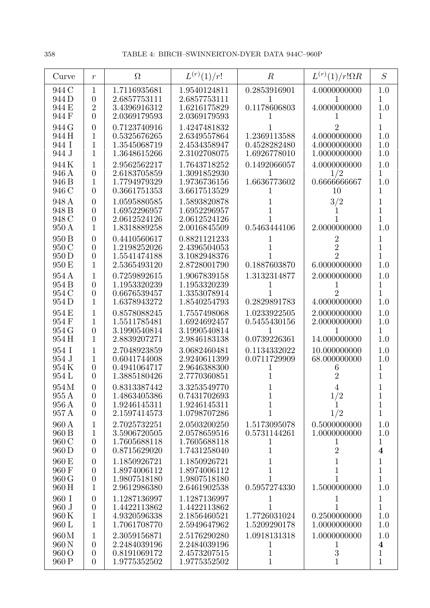| Curve                            | $\boldsymbol{r}$                                                     | $\Omega$                                                     | $L^{(r)}(1)/r!$                                              | $\boldsymbol{R}$                             | $L^{(r)}(1)/r!\Omega R$                                            | S                                                     |
|----------------------------------|----------------------------------------------------------------------|--------------------------------------------------------------|--------------------------------------------------------------|----------------------------------------------|--------------------------------------------------------------------|-------------------------------------------------------|
| 944 C<br>944 D<br>944 E<br>944 F | $\mathbf 1$<br>$\theta$<br>$\overline{2}$<br>$\theta$                | 1.7116935681<br>2.6857753111<br>3.4396916312<br>2.0369179593 | 1.9540124811<br>2.6857753111<br>1.6216175829<br>2.0369179593 | 0.2853916901<br>L<br>0.1178606803            | 4.0000000000<br>4.0000000000                                       | 1.0<br>1<br>1.0<br>1                                  |
| 944 G<br>944 H<br>944 I<br>944 J | $\overline{0}$<br>1<br>1<br>1                                        | 0.7123740916<br>0.5325676265<br>1.3545068719<br>1.3648615266 | 1.4247481832<br>2.6349557864<br>2.4534358947<br>2.3102708075 | 1.2369113588<br>0.4528282480<br>1.6926778010 | 4.0000000000<br>4.0000000000<br>1.0000000000                       | 1<br>1.0<br>1.0<br>1.0                                |
| 944K<br>946 A<br>946 B<br>946 C  | 1<br>$\overline{0}$<br>$\mathbf{1}$<br>$\theta$                      | 2.9562562217<br>2.6183705859<br>1.7794979329<br>0.3661751353 | 1.7643718252<br>1.3091852930<br>1.9736736156<br>3.6617513529 | 0.1492066057<br>1<br>1.6636773602            | 4.0000000000<br>1/2<br>0.6666666667<br>10                          | 1.0<br>1<br>1.0<br>1                                  |
| 948 A<br>948 B<br>948 C<br>950 A | $\overline{0}$<br>$\theta$<br>$\overline{0}$<br>1                    | 1.0595880585<br>1.6952296957<br>2.0612524126<br>1.8318889258 | 1.5893820878<br>1.6952296957<br>2.0612524126<br>2.0016845509 | 0.5463444106                                 | 3/2<br>2.0000000000                                                | 1<br>$\mathbf{1}$<br>$\overline{1}$<br>1.0            |
| 950 B<br>950 C<br>950 D<br>950 E | $\overline{0}$<br>$\overline{0}$<br>$\boldsymbol{0}$<br>1            | 0.4410560617<br>1.2198252026<br>1.5541474188<br>2.5365493120 | 0.8821121233<br>2.4396504053<br>3.1082948376<br>2.8728001790 | 0.1887603870                                 | $\overline{2}$<br>$\overline{2}$<br>$\overline{2}$<br>6.0000000000 | 1<br>1<br>1<br>1.0                                    |
| 954 A<br>954 B<br>954 C<br>954 D | 1<br>$\theta$<br>$\theta$<br>1                                       | 0.7259892615<br>1.1953320239<br>0.6676539457<br>1.6378943272 | 1.9067839158<br>1.1953320239<br>1.3353078914<br>1.8540254793 | 1.3132314877<br>0.2829891783                 | 2.0000000000<br>4.0000000000                                       | 1.0<br>1<br>1<br>1.0                                  |
| 954 E<br>954 F<br>954 G<br>954 H | 1<br>1<br>$\overline{0}$<br>1                                        | 0.8578088245<br>1.5511785481<br>3.1990540814<br>2.8839207271 | 1.7557498068<br>1.6924692457<br>3.1990540814<br>2.9846183138 | 1.0233922505<br>0.5455430156<br>0.0739226361 | 2.0000000000<br>2.0000000000<br>14.000000000                       | 1.0<br>1.0<br>$\mathbf 1$<br>1.0                      |
| 954 I<br>954 J<br>954K<br>954 L  | 1<br>1<br>$\theta$<br>$\overline{0}$                                 | 2.7048923859<br>0.6041744008<br>0.4941064717<br>1.3885180426 | 3.0682460481<br>2.9240611399<br>2.9646388300<br>2.7770360851 | 0.1134332022<br>0.0711729909<br>1            | 10.000000000<br>68.000000000<br>6                                  | 1.0<br>1.0<br>1<br>1                                  |
| 954M<br>955 A<br>956 A<br>957 A  | $\theta$<br>$\overline{0}$<br>$\overline{0}$<br>$\theta$             | 0.8313387442<br>1.4863405386<br>1.9246145311<br>2.1597414573 | 3.3253549770<br>0.7431702693<br>1.9246145311<br>1.0798707286 | 1<br>1<br>1                                  | 1/2<br>1/2                                                         | 1<br>1<br>$\mathbf 1$                                 |
| 960 A<br>960 B<br>960 C<br>960 D | $\mathbf 1$<br>$\mathbf{1}$<br>$\boldsymbol{0}$<br>$\overline{0}$    | 2.7025732251<br>3.5906720505<br>1.7605688118<br>0.8715629020 | 2.0503200250<br>2.0578659516<br>1.7605688118<br>1.7431258040 | 1.5173095078<br>0.5731144261<br>1<br>1       | 0.5000000000<br>1.0000000000<br>T<br>$\overline{2}$                | 1.0<br>1.0<br>$\mathbf 1$<br>$\overline{\mathbf{4}}$  |
| 960 E<br>960 F<br>960 G<br>960 H | $\theta$<br>$\overline{0}$<br>$\boldsymbol{0}$<br>1                  | 1.1850926721<br>1.8974006112<br>1.9807518180<br>2.9612986380 | 1.1850926721<br>1.8974006112<br>1.9807518180<br>2.6461902538 | 1<br>1<br>0.5957274330                       | 1<br>1.5000000000                                                  | 1<br>$\overline{1}$<br>$\mathbf{1}$<br>1.0            |
| 960 I<br>960 J<br>960K<br>960 L  | $\boldsymbol{0}$<br>$\boldsymbol{0}$<br>$\mathbf{1}$<br>$\mathbf{1}$ | 1.1287136997<br>1.4422113862<br>4.9320596338<br>1.7061708770 | 1.1287136997<br>1.4422113862<br>2.1856460521<br>2.5949647962 | 1.7726031024<br>1.5209290178                 | 0.2500000000<br>1.0000000000                                       | $\mathbf 1$<br>$\overline{1}$<br>1.0<br>1.0           |
| 960M<br>960 N<br>960 O<br>960 P  | 1<br>$\overline{0}$<br>$\boldsymbol{0}$<br>$\overline{0}$            | 2.3059156871<br>2.2484039196<br>0.8191069172<br>1.9775352502 | 2.5176290280<br>2.2484039196<br>2.4573207515<br>1.9775352502 | 1.0918131318<br>1<br>1<br>1                  | 1.0000000000<br>T<br>3<br>$\mathbf 1$                              | 1.0<br>$\boldsymbol{4}$<br>$\mathbf 1$<br>$\mathbf 1$ |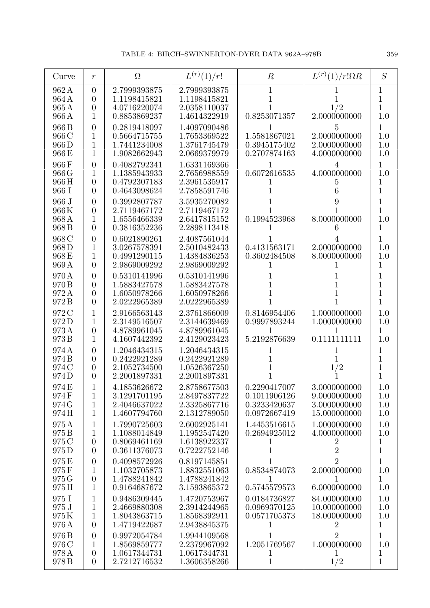| Curve                            | $\boldsymbol{r}$                                                           | $\Omega$                                                     | $L^{(r)}(1)/r!$                                              | $\boldsymbol{R}$                                             | $L^{(r)}(1)/r!\Omega R$                                      | S                               |
|----------------------------------|----------------------------------------------------------------------------|--------------------------------------------------------------|--------------------------------------------------------------|--------------------------------------------------------------|--------------------------------------------------------------|---------------------------------|
| 962A<br>964 A<br>965A<br>966 A   | $\theta$<br>$\overline{0}$<br>$\boldsymbol{0}$<br>1                        | 2.7999393875<br>1.1198415821<br>4.0716220074<br>0.8853869237 | 2.7999393875<br>1.1198415821<br>2.0358110037<br>1.4614322919 | 1<br>0.8253071357                                            | 1/2<br>2.0000000000                                          | 1<br>1<br>$\overline{1}$<br>1.0 |
| 966 B<br>966 C<br>966D<br>966 E  | $\overline{0}$<br>1<br>1<br>1                                              | 0.2819418097<br>0.5664715755<br>1.7441234008<br>1.9082662943 | 1.4097090486<br>1.7653369522<br>1.3761745479<br>2.0669379979 | 1.5581867021<br>0.3945175402<br>0.2707874163                 | 5<br>2.0000000000<br>2.0000000000<br>4.0000000000            | 1<br>1.0<br>1.0<br>1.0          |
| 966F<br>966 G<br>966H<br>966 I   | $\overline{0}$<br>1<br>$\overline{0}$<br>$\overline{0}$                    | 0.4082792341<br>1.1385943933<br>0.4792307183<br>0.4643098624 | 1.6331169366<br>2.7656988559<br>2.3961535917<br>2.7858591746 | 1<br>0.6072616535<br>$\mathbf{I}$                            | 4<br>4.0000000000<br>5                                       | $\overline{1}$<br>1.0<br>1<br>1 |
| 966 J<br>966K<br>968A<br>968 B   | $\overline{0}$<br>$\overline{0}$<br>1<br>$\overline{0}$                    | 0.3992807787<br>2.7119467172<br>1.6556466339<br>0.3816352236 | 3.5935270082<br>2.7119467172<br>2.6417815152<br>2.2898113418 | 0.1994523968                                                 | 8.0000000000                                                 | 1<br>1<br>1.0<br>1              |
| 968 C<br>968D<br>968E<br>969 A   | $\overline{0}$<br>1<br>1<br>$\overline{0}$                                 | 0.6021890261<br>3.0267578391<br>0.4991290115<br>2.9869009292 | 2.4087561044<br>2.5010482433<br>1.4384836253<br>2.9869009292 | 0.4131563171<br>0.3602484508<br>1                            | 2.0000000000<br>8.0000000000                                 | 1<br>1.0<br>1.0<br>1            |
| 970 A<br>970 B<br>972A<br>972B   | $\overline{0}$<br>$\overline{0}$<br>$\overline{0}$<br>$\overline{0}$       | 0.5310141996<br>1.5883427578<br>1.6050978266<br>2.0222965389 | 0.5310141996<br>1.5883427578<br>1.6050978266<br>2.0222965389 | 1<br>1                                                       |                                                              | 1<br>1<br>1<br>1                |
| 972 C<br>972D<br>973A<br>973B    | 1<br>1<br>$\boldsymbol{0}$<br>1                                            | 2.9166563143<br>2.3149516507<br>4.8789961045<br>4.1607442392 | 2.3761866009<br>2.3144639469<br>4.8789961045<br>2.4129023423 | 0.8146954406<br>0.9997893244<br>1<br>5.2192876639            | 1.0000000000<br>1.0000000000<br>$\mathbf{1}$<br>0.1111111111 | 1.0<br>1.0<br>1<br>1.0          |
| 974 A<br>974 B<br>974 C<br>974D  | $\boldsymbol{0}$<br>$\boldsymbol{0}$<br>$\boldsymbol{0}$<br>$\overline{0}$ | 1.2046434315<br>0.2422921289<br>2.1052734500<br>2.2001897331 | 1.2046434315<br>0.2422921289<br>1.0526367250<br>2.2001897331 | 1                                                            | 1<br>1/2                                                     | 1<br>1<br>$\overline{1}$<br>1   |
| 974 E<br>974 F<br>974 G<br>974H  | $\mathbf{1}$<br>$\mathbf{1}$<br>$\mathbf{1}$                               | 4.1853626672<br>3.1291701195<br>2.4046637022<br>1.4607794760 | 2.8758677503<br>2.8497837722<br>2.3325867716<br>2.1312789050 | 0.2290417007<br>0.1011906126<br>0.3233420637<br>0.0972667419 | 3.0000000000<br>9.0000000000<br>3.0000000000<br>15.000000000 | 1.0<br>1.0<br>1.0<br>1.0        |
| 975A<br>975 B<br>975 C<br>975D   | 1<br>1<br>$\boldsymbol{0}$<br>$\overline{0}$                               | 1.7990725603<br>1.1088014849<br>0.8069461169<br>0.3611376073 | 2.6002925141<br>1.1952547420<br>1.6138922337<br>0.7222752146 | 1.4453516615<br>0.2694925012<br>1<br>1                       | 1.0000000000<br>4.0000000000<br>$\rm{2}$<br>$\overline{2}$   | 1.0<br>1.0<br>1<br>1            |
| 975E<br>975F<br>975 G<br>975H    | $\overline{0}$<br>1<br>$\boldsymbol{0}$<br>1                               | 0.4098572926<br>1.1032705873<br>1.4788241842<br>0.9164687672 | 0.8197145851<br>1.8832551063<br>1.4788241842<br>3.1593865372 | 1<br>0.8534874073<br>$\mathbf{I}$<br>0.5745579573            | 2<br>2.0000000000<br>6.0000000000                            | 1<br>1.0<br>1<br>1.0            |
| 975 I<br>975 J<br>975K<br>976 A  | $\mathbf{1}$<br>$\mathbf{1}$<br>$\mathbf{1}$<br>$\overline{0}$             | 0.9486309445<br>2.4669880308<br>1.8043863715<br>1.4719422687 | 1.4720753967<br>2.3914244965<br>1.8568392911<br>2.9438845375 | 0.0184736827<br>0.0969370125<br>0.0571705373<br>T            | 84.000000000<br>10.000000000<br>18.000000000                 | 1.0<br>1.0<br>1.0<br>1          |
| 976 B<br>976 C<br>978 A<br>978 B | $\overline{0}$<br>1<br>$\boldsymbol{0}$<br>$\overline{0}$                  | 0.9972054784<br>1.8569859777<br>1.0617344731<br>2.7212716532 | 1.9944109568<br>2.2379967092<br>1.0617344731<br>1.3606358266 | 1<br>1.2051769567<br>1<br>$\mathbf{1}$                       | 2<br>1.0000000000<br>1<br>1/2                                | 1<br>1.0<br>1<br>$\mathbf{1}$   |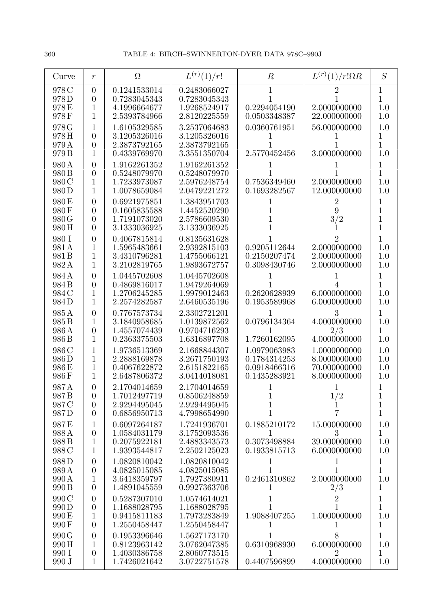| Curve                                      | $\boldsymbol{r}$                                                     | $\Omega$                                                     | $L^{(r)}(1)/r!$                                              | $\boldsymbol{R}$                                             | $L^{(r)}(1)/r!\Omega R$                                      | S                                        |
|--------------------------------------------|----------------------------------------------------------------------|--------------------------------------------------------------|--------------------------------------------------------------|--------------------------------------------------------------|--------------------------------------------------------------|------------------------------------------|
| 978 C<br>978D<br>978E<br>978F              | $\overline{0}$<br>$\overline{0}$<br>1<br>1                           | 0.1241533014<br>0.7283045343<br>4.1996664677<br>2.5393784966 | 0.2483066027<br>0.7283045343<br>1.9268524917<br>2.8120225559 | 1<br>0.2294054190<br>0.0503348387                            | 2.0000000000<br>22.000000000                                 | 1<br>1<br>1.0<br>1.0                     |
| 978 G<br>978H<br>979 A<br>979 <sub>B</sub> | 1<br>$\overline{0}$<br>$\overline{0}$<br>1                           | 1.6105329585<br>3.1205326016<br>2.3873792165<br>0.4339769970 | 3.2537064683<br>3.1205326016<br>2.3873792165<br>3.3551350704 | 0.0360761951<br>2.5770452456                                 | 56.000000000<br>3.0000000000                                 | 1.0<br>1<br>$\mathbf{1}$<br>1.0          |
| 980 A<br>980 B<br>980 C<br>980D            | $\overline{0}$<br>$\overline{0}$<br>1<br>1                           | 1.9162261352<br>0.5248079970<br>1.7233973087<br>1.0078659084 | 1.9162261352<br>0.5248079970<br>2.5976248754<br>2.0479221272 | 0.7536349460<br>0.1693282567                                 | 2.0000000000<br>12.000000000                                 | 1<br>1<br>1.0<br>1.0                     |
| 980 E<br>980F<br>980 G<br>980 H            | $\overline{0}$<br>$\overline{0}$<br>$\overline{0}$<br>$\theta$       | 0.6921975851<br>0.1605835588<br>1.7191073020<br>3.1333036925 | 1.3843951703<br>1.4452520290<br>2.5786609530<br>3.1333036925 | T<br>1                                                       | 2<br>9<br>3/2                                                | 1<br>1<br>$\mathbf 1$<br>1               |
| 980 I<br>981 A<br>981 B<br>982A            | $\overline{0}$<br>1<br>1<br>1                                        | 0.4067815814<br>1.5965483661<br>3.4310796281<br>3.2102819765 | 0.8135631628<br>2.9392815103<br>1.4755066121<br>1.9893672757 | 0.9205112644<br>0.2150207474<br>0.3098430746                 | 2<br>2.0000000000<br>2.0000000000<br>2.0000000000            | 1<br>1.0<br>1.0<br>1.0                   |
| 984 A<br>984 B<br>984 C<br>984D            | $\overline{0}$<br>$\overline{0}$<br>1<br>1                           | 1.0445702608<br>0.4869816017<br>1.2706245285<br>2.2574282587 | 1.0445702608<br>1.9479264069<br>1.9979012463<br>2.6460535196 | 0.2620628939<br>0.1953589968                                 | 6.0000000000<br>6.0000000000                                 | 1<br>1<br>$1.0\,$<br>1.0                 |
| 985A<br>985 B<br>986 A<br>986 B            | $\overline{0}$<br>1<br>$\boldsymbol{0}$<br>1                         | 0.7767573734<br>3.1840958685<br>1.4557074439<br>0.2363375503 | 2.3302721201<br>1.0139872562<br>0.9704716293<br>1.6316897708 | 0.0796134364<br>1<br>1.7260162095                            | 3<br>4.0000000000<br>2/3<br>4.0000000000                     | $\mathbf{1}$<br>1.0<br>1<br>1.0          |
| 986 C<br>986D<br>986E<br>986F              | 1<br>1<br>1<br>1                                                     | 1.9736513369<br>2.2888169878<br>0.4067622872<br>2.6487806372 | 2.1668844307<br>3.2671750193<br>2.6151822165<br>3.0414018081 | 1.0979063983<br>0.1784314253<br>0.0918466316<br>0.1435283921 | 1.0000000000<br>8.0000000000<br>70.000000000<br>8.0000000000 | 1.0<br>1.0<br>1.0<br>1.0                 |
| 987A<br>987 B<br>987 C<br>987D             | $\Omega$<br>$\overline{0}$<br>$\overline{0}$<br>$\overline{0}$       | 2.1704014659<br>1.7012497719<br>2.9294495045<br>0.6856950713 | 2.1704014659<br>0.8506248859<br>2.9294495045<br>4.7998654990 | 1<br>1<br>1                                                  | 1/2<br>$\overline{7}$                                        | 1<br>$\mathbf{1}$<br>$\mathbf{1}$        |
| 987E<br>988A<br>988B<br>988 C              | $\mathbf{1}$<br>$\theta$<br>1<br>$\mathbf{1}$                        | 0.6097264187<br>1.0584031179<br>0.2075922181<br>1.9393544817 | 1.7241936701<br>3.1752093536<br>2.4883343573<br>2.2502125023 | 0.1885210172<br>1<br>0.3073498884<br>0.1933815713            | 15.000000000<br>3<br>39.000000000<br>6.0000000000            | 1.0<br>$\mathbf{1}$<br>1.0<br>1.0        |
| 988D<br>989 A<br>990 A<br>990 B            | $\theta$<br>$\theta$<br>1<br>$\overline{0}$                          | 1.0820810042<br>4.0825015085<br>3.6418359797<br>1.4891045559 | 1.0820810042<br>4.0825015085<br>1.7927380911<br>0.9927363706 | 1<br>1<br>0.2461310862<br>1                                  | 1<br>1<br>2.0000000000<br>2/3                                | $\mathbf{1}$<br>$\mathbf{1}$<br>1.0<br>1 |
| 990 C<br>990 D<br>990 E<br>990F            | $\boldsymbol{0}$<br>$\overline{0}$<br>$\mathbf{1}$<br>$\overline{0}$ | 0.5287307010<br>1.1688028795<br>0.9415811183<br>1.2550458447 | 1.0574614021<br>1.1688028795<br>1.7973283849<br>1.2550458447 | 1<br>1.9088407255<br>1                                       | $\sqrt{2}$<br>1.0000000000<br>T                              | $\mathbf{1}$<br>$\mathbf{1}$<br>1.0<br>1 |
| 990 G<br>990H<br>990 I<br>990 J            | $\theta$<br>1<br>$\theta$<br>$\mathbf{1}$                            | 0.1953396646<br>0.8123963142<br>1.4030386758<br>1.7426021642 | 1.5627173170<br>3.0762047385<br>2.8060773515<br>3.0722751578 | 1<br>0.6310968930<br>1<br>0.4407596899                       | 8<br>6.0000000000<br>$\overline{2}$<br>4.0000000000          | 1<br>1.0<br>$\mathbf{1}$<br>1.0          |